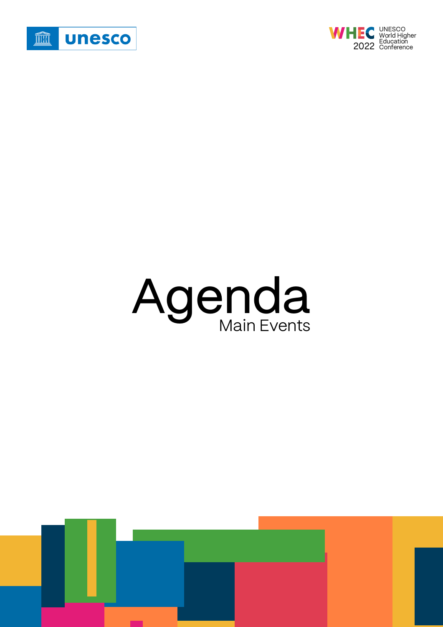



# Agenda

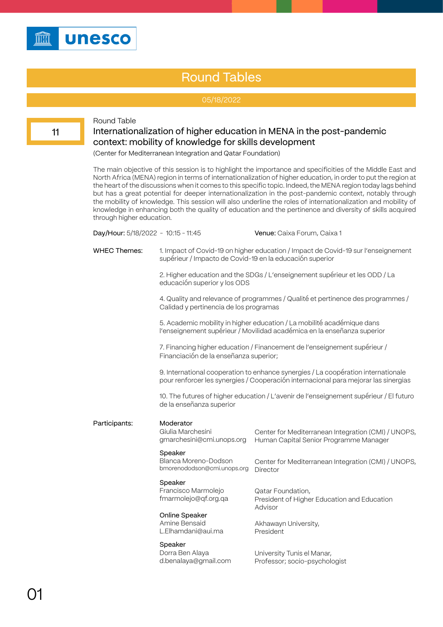

# Round Table

# Internationalization of higher education in MENA in the post-pandemic context: mobility of knowledge for skills development

(Center for Mediterranean Integration and Qatar Foundation)

The main objective of this session is to highlight the importance and specificities of the Middle East and North Africa (MENA) region in terms of internationalization of higher education, in order to put the region at the heart of the discussions when it comes to this specific topic. Indeed, the MENA region today lags behind but has a great potential for deeper internationalization in the post-pandemic context, notably through the mobility of knowledge. This session will also underline the roles of internationalization and mobility of knowledge in enhancing both the quality of education and the pertinence and diversity of skills acquired through higher education.

| Day/Hour: 5/18/2022 - 10:15 - 11:45 |                                                                                                                                                                          | Venue: Caixa Forum, Caixa 1                                                                                                                       |  |
|-------------------------------------|--------------------------------------------------------------------------------------------------------------------------------------------------------------------------|---------------------------------------------------------------------------------------------------------------------------------------------------|--|
| <b>WHEC Themes:</b>                 | supérieur / Impacto de Covid-19 en la educación superior                                                                                                                 | 1. Impact of Covid-19 on higher education / Impact de Covid-19 sur l'enseignement                                                                 |  |
|                                     | educación superior y los ODS                                                                                                                                             | 2. Higher education and the SDGs / L'enseignement supérieur et les ODD / La                                                                       |  |
|                                     | Calidad y pertinencia de los programas                                                                                                                                   | 4. Quality and relevance of programmes / Qualité et pertinence des programmes /                                                                   |  |
|                                     |                                                                                                                                                                          | 5. Academic mobility in higher education / La mobilité académique dans<br>l'enseignement supérieur / Movilidad académica en la enseñanza superior |  |
|                                     | 7. Financing higher education / Financement de l'enseignement supérieur /<br>Financiación de la enseñanza superior;                                                      |                                                                                                                                                   |  |
|                                     | 9. International cooperation to enhance synergies / La coopération internationale<br>pour renforcer les synergies / Cooperación internacional para mejorar las sinergias |                                                                                                                                                   |  |
|                                     | de la enseñanza superior                                                                                                                                                 | 10. The futures of higher education / L'avenir de l'enseignement supérieur / El futuro                                                            |  |
| Participants:                       | Moderator<br>Giulia Marchesini<br>gmarchesini@cmi.unops.org                                                                                                              | Center for Mediterranean Integration (CMI) / UNOPS,<br>Human Capital Senior Programme Manager                                                     |  |
|                                     | Speaker<br>Blanca Moreno-Dodson<br>bmorenododson@cmi.unops.org                                                                                                           | Center for Mediterranean Integration (CMI) / UNOPS,<br><b>Director</b>                                                                            |  |
|                                     | Speaker<br>Francisco Marmolejo<br>fmarmolejo@qf.org.qa                                                                                                                   | Qatar Foundation,<br>President of Higher Education and Education<br>Advisor                                                                       |  |
|                                     | Online Speaker<br>Amine Bensaid<br>L.Elhamdani@aui.ma                                                                                                                    | Akhawayn University,<br>President                                                                                                                 |  |
|                                     | Speaker<br>Dorra Ben Alaya<br>d.benalaya@gmail.com                                                                                                                       | University Tunis el Manar,<br>Professor; socio-psychologist                                                                                       |  |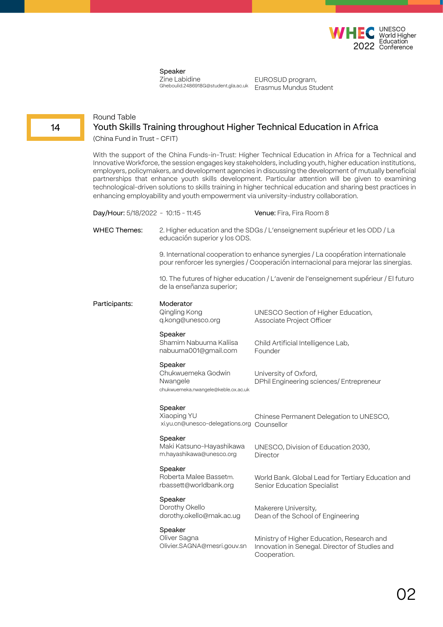

Zine Labidine Gheboulid.2486918G@student.gla.ac.uk

EUROSUD program, Erasmus Mundus Student

# Round Table Youth Skills Training throughout Higher Technical Education in Africa

(China Fund in Trust - CFIT)

With the support of the China Funds-in-Trust: Higher Technical Education in Africa for a Technical and Innovative Workforce, the session engages key stakeholders, including youth, higher education institutions, employers, policymakers, and development agencies in discussing the development of mutually beneficial partnerships that enhance youth skills development. Particular attention will be given to examining technological-driven solutions to skills training in higher technical education and sharing best practices in enhancing employability and youth empowerment via university-industry collaboration.

| Day/Hour: 5/18/2022 - 10:15 - 11:45 |                                                                                                                                                                           | <b>Venue:</b> Fira, Fira Room 8                                                                              |
|-------------------------------------|---------------------------------------------------------------------------------------------------------------------------------------------------------------------------|--------------------------------------------------------------------------------------------------------------|
| <b>WHEC Themes:</b>                 | 2. Higher education and the SDGs / L'enseignement supérieur et les ODD / La<br>educación superior y los ODS.                                                              |                                                                                                              |
|                                     | 9. International cooperation to enhance synergies / La coopération internationale<br>pour renforcer les synergies / Cooperación internacional para mejorar las sinergias. |                                                                                                              |
|                                     | 10. The futures of higher education / L'avenir de l'enseignement supérieur / El futuro<br>de la enseñanza superior;                                                       |                                                                                                              |
| Participants:                       | Moderator<br>Qingling Kong<br>q.kong@unesco.org                                                                                                                           | UNESCO Section of Higher Education,<br>Associate Project Officer                                             |
|                                     | Speaker<br>Shamim Nabuuma Kaliisa<br>nabuuma001@gmail.com                                                                                                                 | Child Artificial Intelligence Lab,<br>Founder                                                                |
|                                     | Speaker<br>Chukwuemeka Godwin<br>Nwangele<br>chukwuemeka.nwangele@keble.ox.ac.uk                                                                                          | University of Oxford,<br>DPhil Engineering sciences/ Entrepreneur                                            |
|                                     | Speaker<br>Xiaoping YU<br>xi.yu.cn@unesco-delegations.org Counsellor                                                                                                      | Chinese Permanent Delegation to UNESCO,                                                                      |
|                                     | Speaker<br>Maki Katsuno-Hayashikawa<br>m.hayashikawa@unesco.org                                                                                                           | UNESCO, Division of Education 2030,<br>Director                                                              |
|                                     | Speaker<br>Roberta Malee Bassetm.<br>rbassett@worldbank.org                                                                                                               | World Bank. Global Lead for Tertiary Education and<br>Senior Education Specialist                            |
|                                     | Speaker<br>Dorothy Okello<br>dorothy.okello@mak.ac.ug                                                                                                                     | Makerere University,<br>Dean of the School of Engineering                                                    |
|                                     | Speaker<br>Oliver Sagna<br>Olivier.SAGNA@mesri.gouv.sn                                                                                                                    | Ministry of Higher Education, Research and<br>Innovation in Senegal. Director of Studies and<br>Cooperation. |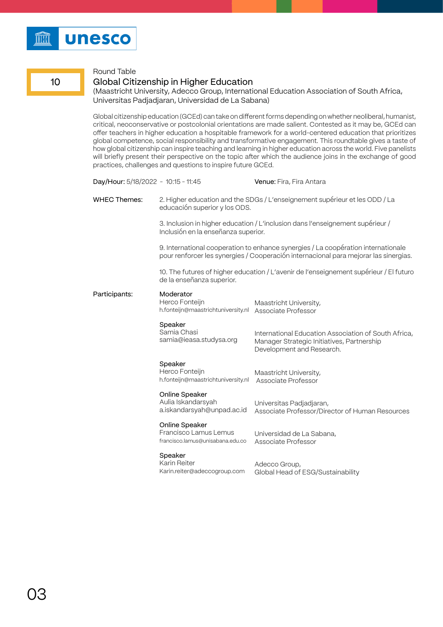

## Global Citizenship in Higher Education

(Maastricht University, Adecco Group, International Education Association of South Africa, Universitas Padjadjaran, Universidad de La Sabana)

Global citizenship education (GCEd) can take on different forms depending on whether neoliberal, humanist, critical, neoconservative or postcolonial orientations are made salient. Contested as it may be, GCEd can offer teachers in higher education a hospitable framework for a world-centered education that prioritizes global competence, social responsibility and transformative engagement. This roundtable gives a taste of how global citizenship can inspire teaching and learning in higher education across the world. Five panelists will briefly present their perspective on the topic after which the audience joins in the exchange of good practices, challenges and questions to inspire future GCEd.

| Day/Hour: 5/18/2022 - 10:15 - 11:45 |                                                                             | Venue: Fira, Fira Antara                                                                                                                                                  |
|-------------------------------------|-----------------------------------------------------------------------------|---------------------------------------------------------------------------------------------------------------------------------------------------------------------------|
| <b>WHEC Themes:</b>                 | educación superior y los ODS.                                               | 2. Higher education and the SDGs / L'enseignement supérieur et les ODD / La                                                                                               |
|                                     | Inclusión en la enseñanza superior.                                         | 3. Inclusion in higher education / L'inclusion dans l'enseignement supérieur /                                                                                            |
|                                     |                                                                             | 9. International cooperation to enhance synergies / La coopération internationale<br>pour renforcer les synergies / Cooperación internacional para mejorar las sinergias. |
|                                     | de la enseñanza superior.                                                   | 10. The futures of higher education / L'avenir de l'enseignement supérieur / El futuro                                                                                    |
| Participants:                       | Moderator<br>Herco Fonteijn<br>h.fonteijn@maastrichtuniversity.nl           | Maastricht University,<br>Associate Professor                                                                                                                             |
|                                     | Speaker<br>Samia Chasi<br>samia@ieasa.studysa.org                           | International Education Association of South Africa,<br>Manager Strategic Initiatives, Partnership<br>Development and Research.                                           |
|                                     | Speaker<br>Herco Fonteijn<br>h.fonteijn@maastrichtuniversity.nl             | Maastricht University,<br>Associate Professor                                                                                                                             |
|                                     | Online Speaker<br>Aulia Iskandarsyah<br>a.iskandarsyah@unpad.ac.id          | Universitas Padjadjaran,<br>Associate Professor/Director of Human Resources                                                                                               |
|                                     | Online Speaker<br>Francisco Lamus Lemus<br>francisco.lamus@unisabana.edu.co | Universidad de La Sabana,<br>Associate Professor                                                                                                                          |
|                                     | Speaker<br>Karin Reiter<br>Karin.reiter@adeccogroup.com                     | Adecco Group,<br>Global Head of ESG/Sustainability                                                                                                                        |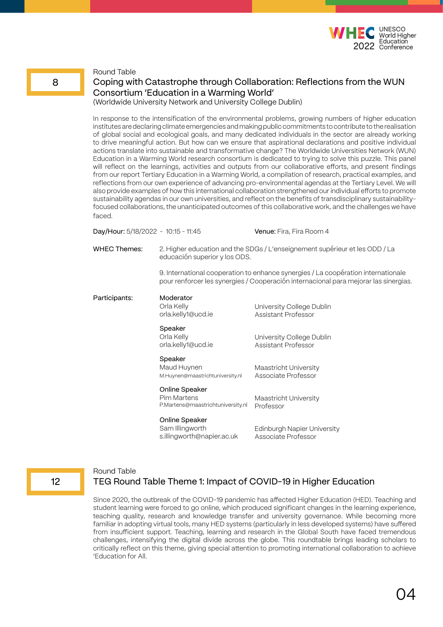

# Coping with Catastrophe through Collaboration: Reflections from the WUN Consortium 'Education in a Warming World'

(Worldwide University Network and University College Dublin)

In response to the intensification of the environmental problems, growing numbers of higher education institutes are declaring climate emergencies and making public commitments to contribute to the realisation of global social and ecological goals, and many dedicated individuals in the sector are already working to drive meaningful action. But how can we ensure that aspirational declarations and positive individual actions translate into sustainable and transformative change? The Worldwide Universities Network (WUN) Education in a Warming World research consortium is dedicated to trying to solve this puzzle. This panel will reflect on the learnings, activities and outputs from our collaborative efforts, and present findings from our report Tertiary Education in a Warming World, a compilation of research, practical examples, and reflections from our own experience of advancing pro-environmental agendas at the Tertiary Level. We will also provide examples of how this international collaboration strengthened our individual efforts to promote sustainability agendas in our own universities, and reflect on the benefits of transdisciplinary sustainabilityfocused collaborations, the unanticipated outcomes of this collaborative work, and the challenges we have faced.

Day/Hour: 5/18/2022 - 10:15 - 11:45 Venue: Fira, Fira Room 4

2. Higher education and the SDGs / L'enseignement supérieur et les ODD / La educación superior y los ODS. WHEC Themes:

> 9. International cooperation to enhance synergies / La coopération internationale pour renforcer les synergies / Cooperación internacional para mejorar las sinergias.

| Participants: | Moderator<br>Orla Kelly<br>orla.kelly1@ucd.ie                             | University College Dublin<br>Assistant Professor   |
|---------------|---------------------------------------------------------------------------|----------------------------------------------------|
|               | Speaker<br>Orla Kelly<br>orla.kelly1@ucd.ie                               | University College Dublin<br>Assistant Professor   |
|               | Speaker<br>Maud Huynen<br>M.Huynen@maastrichtuniversity.nl                | Maastricht University<br>Associate Professor       |
|               | Online Speaker<br><b>Pim Martens</b><br>P.Martens@maastrichtuniversity.nl | Maastricht University<br>Professor                 |
|               | Online Speaker<br>Sam Illingworth<br>s.illingworth@napier.ac.uk           | Edinburgh Napier University<br>Associate Professor |

# 12

Round Table

# TEG Round Table Theme 1: Impact of COVID-19 in Higher Education

Since 2020, the outbreak of the COVID-19 pandemic has affected Higher Education (HED). Teaching and student learning were forced to go online, which produced significant changes in the learning experience, teaching quality, research and knowledge transfer and university governance. While becoming more familiar in adopting virtual tools, many HED systems (particularly in less developed systems) have suffered from insufficient support. Teaching, learning and research in the Global South have faced tremendous challenges, intensifying the digital divide across the globe. This roundtable brings leading scholars to critically reflect on this theme, giving special attention to promoting international collaboration to achieve 'Education for All.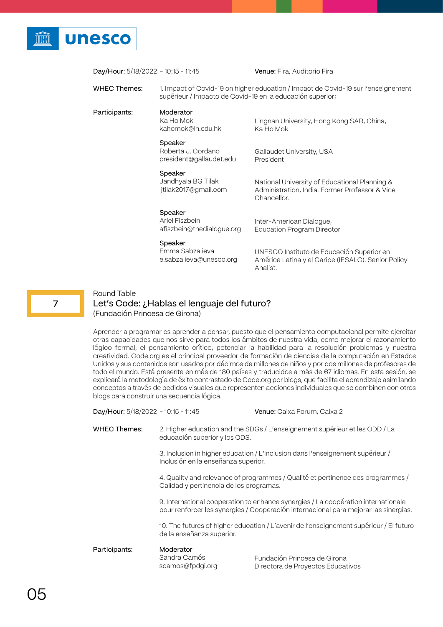# **unesco**

| Day/Hour: 5/18/2022 - 10:15 - 11:45 |                                                           | <b>Venue:</b> Fira, Auditorio Fira                                                                             |
|-------------------------------------|-----------------------------------------------------------|----------------------------------------------------------------------------------------------------------------|
| <b>WHEC Themes:</b>                 | supérieur / Impacto de Covid-19 en la educación superior; | 1. Impact of Covid-19 on higher education / Impact de Covid-19 sur l'enseignement                              |
| Participants:                       | Moderator<br>Ka Ho Mok<br>kahomok@ln.edu.hk               | Lingnan University, Hong Kong SAR, China,<br>Ka Ho Mok                                                         |
|                                     | Speaker<br>Roberta J. Cordano<br>president@gallaudet.edu  | Gallaudet University, USA<br>President                                                                         |
|                                     | Speaker<br>Jandhyala BG Tilak<br>jtilak2017@gmail.com     | National University of Educational Planning &<br>Administration, India. Former Professor & Vice<br>Chancellor. |
|                                     | Speaker<br>Ariel Fiszbein<br>afiszbein@thedialogue.org    | Inter-American Dialogue,<br><b>Education Program Director</b>                                                  |
|                                     | Speaker<br>Emma Sabzalieva<br>e.sabzalieva@unesco.org     | UNESCO Instituto de Educación Superior en<br>América Latina y el Caribe (IESALC). Senior Policy<br>Analist.    |

# 7

# Round Table Let's Code: ¿Hablas el lenguaje del futuro? (Fundación Princesa de Girona)

Aprender a programar es aprender a pensar, puesto que el pensamiento computacional permite ejercitar otras capacidades que nos sirve para todos los ámbitos de nuestra vida, como mejorar el razonamiento lógico formal, el pensamiento crítico, potenciar la habilidad para la resolución problemas y nuestra creatividad. Code.org es el principal proveedor de formación de ciencias de la computación en Estados Unidos y sus contenidos son usados por décimos de millones de niños y por dos millones de profesores de todo el mundo. Está presente en más de 180 países y traducidos a más de 67 idiomas. En esta sesión, se explicará la metodología de éxito contrastado de Code.org por blogs, que facilita el aprendizaje asimilando conceptos a través de pedidos visuales que representen acciones individuales que se combinen con otros blogs para construir una secuencia lógica.

| Day/Hour: 5/18/2022 - 10:15 - 11:45 |                                                                                                                                                                           | <b>Venue:</b> Caixa Forum, Caixa 2                                |  |
|-------------------------------------|---------------------------------------------------------------------------------------------------------------------------------------------------------------------------|-------------------------------------------------------------------|--|
| <b>WHEC Themes:</b>                 | 2. Higher education and the SDGs / L'enseignement supérieur et les ODD / La<br>educación superior y los ODS.                                                              |                                                                   |  |
|                                     | 3. Inclusion in higher education / L'inclusion dans l'enseignement supérieur /<br>Inclusión en la enseñanza superior.                                                     |                                                                   |  |
|                                     | 4. Quality and relevance of programmes / Qualité et pertinence des programmes /<br>Calidad y pertinencia de los programas.                                                |                                                                   |  |
|                                     | 9. International cooperation to enhance synergies / La coopération internationale<br>pour renforcer les synergies / Cooperación internacional para mejorar las sinergias. |                                                                   |  |
|                                     | 10. The futures of higher education / L'avenir de l'enseignement supérieur / El futuro<br>de la enseñanza superior.                                                       |                                                                   |  |
| Participants:                       | Moderator<br>Sandra Camós<br>scamos@fpdgi.org                                                                                                                             | Fundación Princesa de Girona<br>Directora de Proyectos Educativos |  |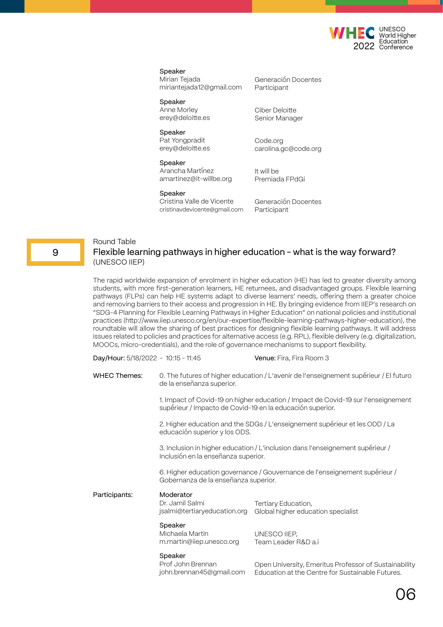

Speaker Mirian Tejada miriantejada12@gmail.com

Speaker Anne Morley erey@deloitte.es

Speaker Pat Yongpradit erey@deloitte.es

Generación Docentes Participant

Ciber Deloitte Senior Manager

> Code.org carolina.gc@code.org

Speaker Arancha Martínez amartinez@it-willbe.org

Premiada FPdGi

It will be

Speaker Cristina Valle de Vicente cristinavdevicente@gmail.com

Generación Docentes Participant

# Round Table Flexible learning pathways in higher education - what is the way forward? (UNESCO IIEP)

The rapid worldwide expansion of enrolment in higher education (HE) has led to greater diversity among students, with more first-generation learners, HE returnees, and disadvantaged groups. Flexible learning pathways (FLPs) can help HE systems adapt to diverse learners' needs, offering them a greater choice and removing barriers to their access and progression in HE. By bringing evidence from IIEP's research on "SDG-4 Planning for Flexible Learning Pathways in Higher Education" on national policies and institutional practices (http://www.iiep.unesco.org/en/our-expertise/flexible-learning-pathways-higher-education), the roundtable will allow the sharing of best practices for designing flexible learning pathways. It will address issues related to policies and practices for alternative access (e.g. RPL), flexible delivery (e.g. digitalization, MOOCs, micro-credentials), and the role of governance mechanisms to support flexibility.

| MOOCs, micro-credentials), and the role of governance mechanisms to support flexibility. |                                                                                                                                                |                                                                                |
|------------------------------------------------------------------------------------------|------------------------------------------------------------------------------------------------------------------------------------------------|--------------------------------------------------------------------------------|
| Day/Hour: 5/18/2022 - 10:15 - 11:45                                                      |                                                                                                                                                | <b>Venue:</b> Fira, Fira Room 3                                                |
| <b>WHEC Themes:</b>                                                                      | 0. The futures of higher education / L'avenir de l'enseignement supérieur / El futuro<br>de la enseñanza superior.                             |                                                                                |
|                                                                                          | 1. Impact of Covid-19 on higher education / Impact de Covid-19 sur l'enseignement<br>supérieur / Impacto de Covid-19 en la educación superior. |                                                                                |
|                                                                                          | 2. Higher education and the SDGs / L'enseignement supérieur et les ODD / La<br>educación superior y los ODS.                                   |                                                                                |
| Inclusión en la enseñanza superior.                                                      |                                                                                                                                                | 3. Inclusion in higher education / L'inclusion dans l'enseignement supérieur / |
|                                                                                          | 6. Higher education governance / Gouvernance de l'enseignement supérieur /<br>Gobernanza de la enseñanza superior.                             |                                                                                |
| Participants:                                                                            | Moderator<br>Dr. Jamil Salmi<br>jsalmi@tertiaryeducation.org                                                                                   | Tertiary Education,<br>Global higher education specialist                      |

Speaker Michaela Martin m.martin@iiep.unesco.org UNESCO IIEP, Team Leader R&D a.i

#### Speaker

Prof John Brennan john.brennan45@gmail.com Open University, Emeritus Professor of Sustainability Education at the Centre for Sustainable Futures.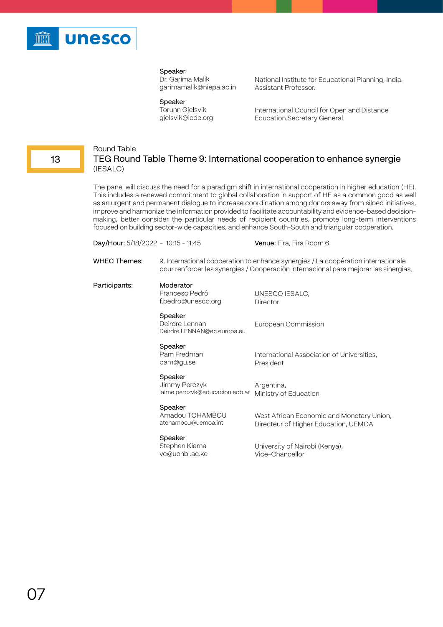

Dr. Garima Malik garimamalik@niepa.ac.in National Institute for Educational Planning, India. Assistant Professor.

#### Speaker

Torunn Gjelsvik gjelsvik@icde.org International Council for Open and Distance Education.Secretary General.

#### Round Table

13

# TEG Round Table Theme 9: International cooperation to enhance synergie (IESALC)

The panel will discuss the need for a paradigm shift in international cooperation in higher education (HE). This includes a renewed commitment to global collaboration in support of HE as a common good as well as an urgent and permanent dialogue to increase coordination among donors away from siloed initiatives, improve and harmonize the information provided to facilitate accountability and evidence-based decisionmaking, better consider the particular needs of recipient countries, promote long-term interventions focused on building sector-wide capacities, and enhance South-South and triangular cooperation.

| Day/Hour: 5/18/2022 - 10:15 - 11:45 |                                                            | <b>Venue:</b> Fira, Fira Room 6                                                                                                                                           |
|-------------------------------------|------------------------------------------------------------|---------------------------------------------------------------------------------------------------------------------------------------------------------------------------|
| WHEC Themes:                        |                                                            | 9. International cooperation to enhance synergies / La coopération internationale<br>pour renforcer les synergies / Cooperación internacional para mejorar las sinergias. |
| Participants:                       | Moderator<br>Francesc Pedró<br>f.pedro@unesco.org          | UNESCO IESALC,<br><b>Director</b>                                                                                                                                         |
|                                     | Speaker<br>Deirdre Lennan<br>Deirdre.LENNAN@ec.europa.eu   | European Commission                                                                                                                                                       |
|                                     | Speaker<br>Pam Fredman<br>pam@gu.se                        | International Association of Universities,<br>President                                                                                                                   |
|                                     | Speaker<br>Jimmy Perczyk<br>iaime.perczvk@educacion.eob.ar | Argentina,<br>Ministry of Education                                                                                                                                       |
|                                     | Speaker<br>Amadou TCHAMBOU<br>atchambou@uemoa.int          | West African Economic and Monetary Union,<br>Directeur of Higher Education, UEMOA                                                                                         |
|                                     | Speaker<br>Stephen Kiama<br>vc@uonbi.ac.ke                 | University of Nairobi (Kenya),<br>Vice-Chancellor                                                                                                                         |
|                                     |                                                            |                                                                                                                                                                           |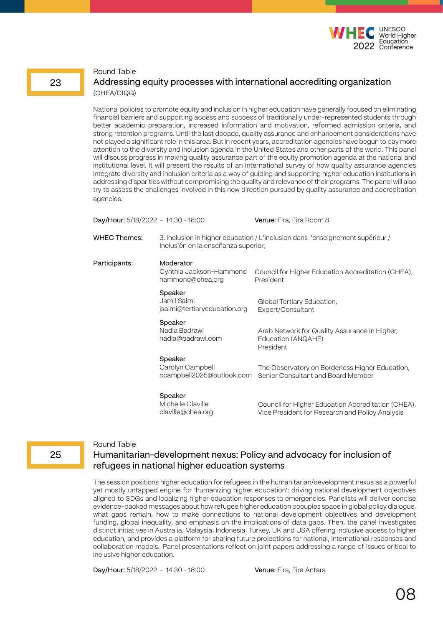

# Addressing equity processes with international accrediting organization (CHEA/CIQG)

National policies to promote equity and inclusion in higher education have generally focused on eliminating financial barriers and supporting access and success of traditionally under-represented students through better academic preparation, increased information and motivation, reformed admission criteria, and strong retention programs. Until the last decade, quality assurance and enhancement considerations have not played a significant role in this area. But in recent years, accreditation agencies have begun to pay more attention to the diversity and inclusion agenda in the United States and other parts of the world. This panel will discuss progress in making quality assurance part of the equity promotion agenda at the national and institutional level. It will present the results of an international survey of how quality assurance agencies integrate diversity and inclusion criteria as a way of guiding and supporting higher education institutions in addressing disparities without compromising the quality and relevance of their programs. The panel will also try to assess the challenges involved in this new direction pursued by quality assurance and accreditation agencies.

| Day/Hour: 5/18/2022 - 14:30 - 16:00 |                                                          | <b>Venue:</b> Fira, Fira Room 8                                                                       |
|-------------------------------------|----------------------------------------------------------|-------------------------------------------------------------------------------------------------------|
| WHEC Themes:                        | Inclusión en la enseñanza superior;                      | 3. Inclusion in higher education / L'inclusion dans l'enseignement supérieur /                        |
| Participants:                       | Moderator<br>Cynthia Jackson-Hammond<br>hammond@chea.org | Council for Higher Education Accreditation (CHEA),<br>President                                       |
|                                     | Speaker<br>Jamil Salmi<br>jsalmi@tertiaryeducation.org   | Global Tertiary Education,<br>Expert/Consultant                                                       |
|                                     | Speaker<br>Nadia Badrawi<br>nadia@badrawi.com            | Arab Network for Quality Assurance in Higher,<br>Education (ANQAHE)<br>President                      |
|                                     | Speaker<br>Carolyn Campbell<br>ccampbell2025@outlook.com | The Observatory on Borderless Higher Education,<br>Senior Consultant and Board Member                 |
|                                     | Speaker<br>Michelle Claville<br>claville@chea.org        | Council for Higher Education Accreditation (CHEA),<br>Vice President for Research and Policy Analysis |

#### Round Table

25

# Humanitarian-development nexus: Policy and advocacy for inclusion of refugees in national higher education systems

The session positions higher education for refugees in the humanitarian/development nexus as a powerful yet mostly untapped engine for 'humanizing higher education': driving national development objectives aligned to SDGs and localizing higher education responses to emergencies. Panelists will deliver concise evidence-backed messages about how refugee higher education occupies space in global policy dialogue, what gaps remain, how to make connections to national development objectives and development funding, global inequality, and emphasis on the implications of data gaps. Then, the panel investigates distinct initiatives in Australia, Malaysia, Indonesia, Turkey, UK and USA offering inclusive access to higher education, and provides a platform for sharing future projections for national, international responses and collaboration models. Panel presentations reflect on joint papers addressing a range of issues critical to inclusive higher education.

Day/Hour: 5/18/2022 - 14:30 - 16:00 Venue: Fira, Fira Antara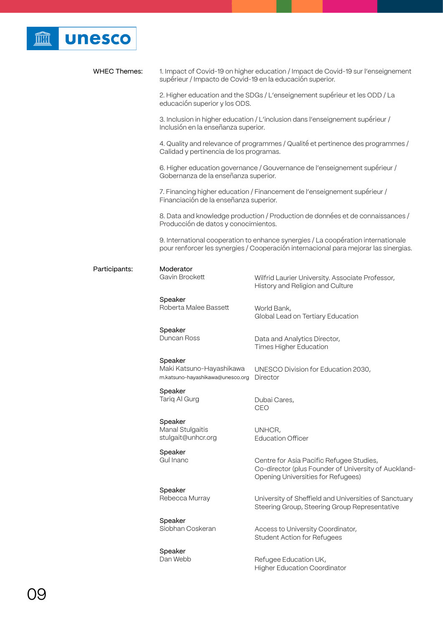

| <b>WHEC Themes:</b> | 1. Impact of Covid-19 on higher education / Impact de Covid-19 sur l'enseignement<br>supérieur / Impacto de Covid-19 en la educación superior. |                                                                                                                                                                           |  |
|---------------------|------------------------------------------------------------------------------------------------------------------------------------------------|---------------------------------------------------------------------------------------------------------------------------------------------------------------------------|--|
|                     | educación superior y los ODS.                                                                                                                  | 2. Higher education and the SDGs / L'enseignement supérieur et les ODD / La                                                                                               |  |
|                     | Inclusión en la enseñanza superior.                                                                                                            | 3. Inclusion in higher education / L'inclusion dans l'enseignement supérieur /                                                                                            |  |
|                     | Calidad y pertinencia de los programas.                                                                                                        | 4. Quality and relevance of programmes / Qualité et pertinence des programmes /                                                                                           |  |
|                     | 6. Higher education governance / Gouvernance de l'enseignement supérieur /<br>Gobernanza de la enseñanza superior.                             |                                                                                                                                                                           |  |
|                     | Financiación de la enseñanza superior.                                                                                                         | 7. Financing higher education / Financement de l'enseignement supérieur /                                                                                                 |  |
|                     | Producción de datos y conocimientos.                                                                                                           | 8. Data and knowledge production / Production de données et de connaissances /                                                                                            |  |
|                     |                                                                                                                                                | 9. International cooperation to enhance synergies / La coopération internationale<br>pour renforcer les synergies / Cooperación internacional para mejorar las sinergias. |  |
| Participants:       | Moderator<br>Gavin Brockett                                                                                                                    | Wilfrid Laurier University. Associate Professor,<br>History and Religion and Culture                                                                                      |  |
|                     | Speaker<br>Roberta Malee Bassett                                                                                                               | World Bank,<br>Global Lead on Tertiary Education                                                                                                                          |  |
|                     | Speaker<br>Duncan Ross                                                                                                                         | Data and Analytics Director,<br>Times Higher Education                                                                                                                    |  |
|                     | Speaker<br>Maki Katsuno-Hayashikawa<br>m.katsuno-hayashikawa@unesco.org                                                                        | UNESCO Division for Education 2030,<br>Director                                                                                                                           |  |
|                     | Speaker<br>Tariq Al Gurg                                                                                                                       | Dubai Cares<br>CEO                                                                                                                                                        |  |
|                     | Speaker<br>Manal Stulgaitis<br>stulgait@unhcr.org                                                                                              | UNHCR,<br><b>Education Officer</b>                                                                                                                                        |  |
|                     | Speaker<br>Gul Inanc                                                                                                                           | Centre for Asia Pacific Refugee Studies,<br>Co-director (plus Founder of University of Auckland-<br>Opening Universities for Refugees)                                    |  |
|                     | Speaker<br>Rebecca Murray                                                                                                                      | University of Sheffield and Universities of Sanctuary<br>Steering Group, Steering Group Representative                                                                    |  |
|                     | Speaker<br>Siobhan Coskeran                                                                                                                    | Access to University Coordinator,<br><b>Student Action for Refugees</b>                                                                                                   |  |
|                     | Speaker<br>Dan Webb                                                                                                                            | Refugee Education UK,<br><b>Higher Education Coordinator</b>                                                                                                              |  |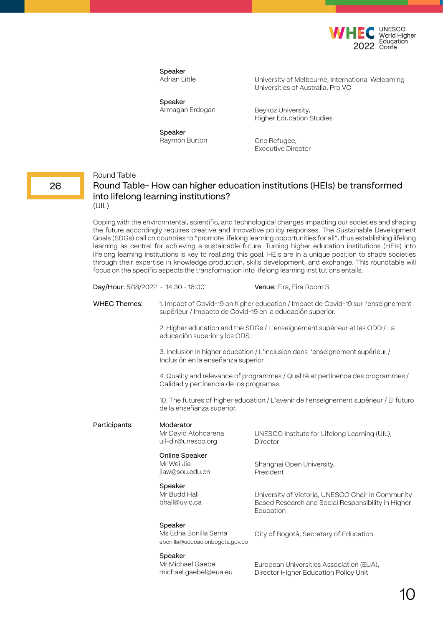

Speaker Adrian Little

University of Melbourne, International Welcoming Universities of Australia, Pro VC

Speaker Armagan Erdogan

Beykoz University, Higher Education Studies

Speaker Raymon Burton

One Refugee, Executive Director

# Round Table

# Round Table- How can higher education institutions (HEIs) be transformed into lifelong learning institutions? (UIL)

Coping with the environmental, scientific, and technological changes impacting our societies and shaping the future accordingly requires creative and innovative policy responses. The Sustainable Development Goals (SDGs) call on countries to "promote lifelong learning opportunities for all", thus establishing lifelong learning as central for achieving a sustainable future. Turning higher education institutions (HEIs) into lifelong learning institutions is key to realizing this goal. HEIs are in a unique position to shape societies through their expertise in knowledge production, skills development, and exchange. This roundtable will focus on the specific aspects the transformation into lifelong learning institutions entails.

| Day/Hour: 5/18/2022 - 14:30 - 16:00 |                                                                                                                                                | Venue: Fira, Fira Room 3                                                                                             |  |
|-------------------------------------|------------------------------------------------------------------------------------------------------------------------------------------------|----------------------------------------------------------------------------------------------------------------------|--|
| <b>WHEC Themes:</b>                 | 1. Impact of Covid-19 on higher education / Impact de Covid-19 sur l'enseignement<br>supérieur / Impacto de Covid-19 en la educación superior. |                                                                                                                      |  |
|                                     | 2. Higher education and the SDGs / L'enseignement supérieur et les ODD / La<br>educación superior y los ODS.                                   |                                                                                                                      |  |
|                                     | 3. Inclusion in higher education / L'inclusion dans l'enseignement supérieur /<br>Inclusión en la enseñanza superior.                          |                                                                                                                      |  |
|                                     | 4. Quality and relevance of programmes / Qualité et pertinence des programmes /<br>Calidad y pertinencia de los programas.                     |                                                                                                                      |  |
|                                     | de la enseñanza superior.                                                                                                                      | 10. The futures of higher education / L'avenir de l'enseignement supérieur / El futuro                               |  |
| Participants:                       | Moderator<br>Mr David Atchoarena<br>uil-dir@unesco.org                                                                                         | UNESCO Institute for Lifelong Learning (UIL),<br>Director                                                            |  |
|                                     | Online Speaker<br>Mr Wei Jia<br>jiaw@sou.edu.cn                                                                                                | Shanghai Open University,<br>President                                                                               |  |
|                                     | Speaker<br>Mr Budd Hall<br>bhall@uvic.ca                                                                                                       | University of Victoria, UNESCO Chair in Community<br>Based Research and Social Responsibility in Higher<br>Education |  |
|                                     | Speaker<br>Ms Edna Bonilla Serna<br>ebonilla@educacionbogota.gov.co                                                                            | City of Bogotà, Secretary of Education                                                                               |  |
|                                     | Speaker<br>Mr Michael Gaebel<br>michael.gaebel@eua.eu                                                                                          | European Universities Association (EUA),<br>Director Higher Education Policy Unit                                    |  |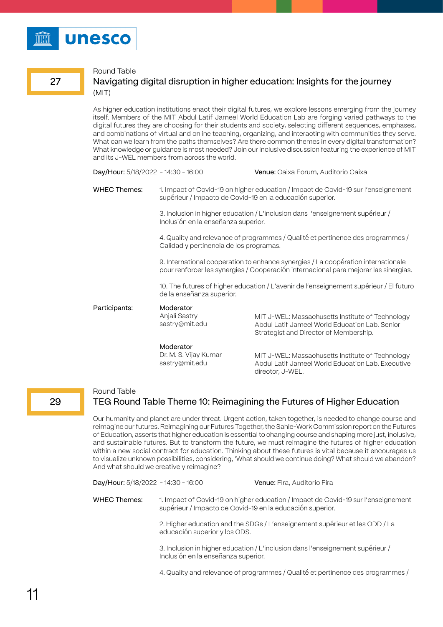

27

# Navigating digital disruption in higher education: Insights for the journey (MIT)

As higher education institutions enact their digital futures, we explore lessons emerging from the journey itself. Members of the MIT Abdul Latif Jameel World Education Lab are forging varied pathways to the digital futures they are choosing for their students and society, selecting different sequences, emphases, and combinations of virtual and online teaching, organizing, and interacting with communities they serve. What can we learn from the paths themselves? Are there common themes in every digital transformation? What knowledge or guidance is most needed? Join our inclusive discussion featuring the experience of MIT and its J-WEL members from across the world.

| Day/Hour: 5/18/2022 - 14:30 - 16:00 |                                                                                                                                                                           | Venue: Caixa Forum, Auditorio Caixa                                                                                                          |
|-------------------------------------|---------------------------------------------------------------------------------------------------------------------------------------------------------------------------|----------------------------------------------------------------------------------------------------------------------------------------------|
| <b>WHEC Themes:</b>                 | 1. Impact of Covid-19 on higher education / Impact de Covid-19 sur l'enseignement<br>supérieur / Impacto de Covid-19 en la educación superior.                            |                                                                                                                                              |
|                                     | 3. Inclusion in higher education / L'inclusion dans l'enseignement supérieur /<br>Inclusión en la enseñanza superior.                                                     |                                                                                                                                              |
|                                     | 4. Quality and relevance of programmes / Qualité et pertinence des programmes /<br>Calidad y pertinencia de los programas.                                                |                                                                                                                                              |
|                                     | 9. International cooperation to enhance synergies / La coopération internationale<br>pour renforcer les synergies / Cooperación internacional para mejorar las sinergias. |                                                                                                                                              |
|                                     | 10. The futures of higher education / L'avenir de l'enseignement supérieur / El futuro<br>de la enseñanza superior.                                                       |                                                                                                                                              |
| Participants:                       | Moderator<br>Anjali Sastry<br>sastry@mit.edu                                                                                                                              | MIT J-WEL: Massachusetts Institute of Technology<br>Abdul Latif Jameel World Education Lab. Senior<br>Strategist and Director of Membership. |
|                                     | Moderator<br>Dr. M. S. Vijay Kumar<br>sastry@mit.edu                                                                                                                      | MIT J-WEL: Massachusetts Institute of Technology<br>Abdul Latif Jameel World Education Lab. Executive                                        |

#### Round Table

# TEG Round Table Theme 10: Reimagining the Futures of Higher Education

director, J-WEL.

Our humanity and planet are under threat. Urgent action, taken together, is needed to change course and reimagine our futures. Reimagining our Futures Together, the Sahle-Work Commission report on the Futures of Education, asserts that higher education is essential to changing course and shaping more just, inclusive, and sustainable futures. But to transform the future, we must reimagine the futures of higher education within a new social contract for education. Thinking about these futures is vital because it encourages us to visualize unknown possibilities, considering, 'What should we continue doing? What should we abandon? And what should we creatively reimagine?

| Day/Hour: 5/18/2022 - 14:30 - 16:00 |                                                                                                                                                | Venue: Fira, Auditorio Fira                                                     |
|-------------------------------------|------------------------------------------------------------------------------------------------------------------------------------------------|---------------------------------------------------------------------------------|
| <b>WHEC Themes:</b>                 | 1. Impact of Covid-19 on higher education / Impact de Covid-19 sur l'enseignement<br>supérieur / Impacto de Covid-19 en la educación superior. |                                                                                 |
|                                     | educación superior y los ODS.                                                                                                                  | 2. Higher education and the SDGs / L'enseignement supérieur et les ODD / La     |
|                                     | Inclusión en la enseñanza superior.                                                                                                            | 3. Inclusion in higher education / L'inclusion dans l'enseignement supérieur /  |
|                                     |                                                                                                                                                | 4. Quality and relevance of programmes / Qualité et pertinence des programmes / |
|                                     |                                                                                                                                                |                                                                                 |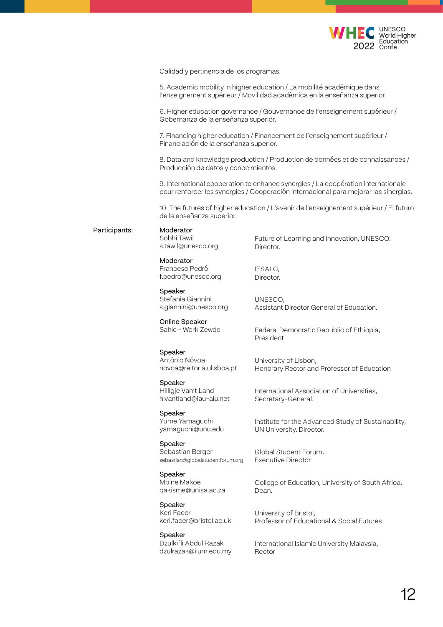

Calidad y pertinencia de los programas.

5. Academic mobility in higher education / La mobilité académique dans l'enseignement supérieur / Movilidad académica en la enseñanza superior.

6. Higher education governance / Gouvernance de l'enseignement supérieur / Gobernanza de la enseñanza superior.

7. Financing higher education / Financement de l'enseignement supérieur / Financiación de la enseñanza superior.

8. Data and knowledge production / Production de données et de connaissances / Producción de datos y conocimientos.

9. International cooperation to enhance synergies / La coopération internationale pour renforcer les synergies / Cooperación internacional para mejorar las sinergias.

10. The futures of higher education / L'avenir de l'enseignement supérieur / El futuro de la enseñanza superior.

Participants:

Moderator Sobhi Tawil s.tawil@unesco.org

Moderator Francesc Pedró f.pedro@unesco.org

Speaker Stefania Giannini s.giannini@unesco.org

Online Speaker Sahle - Work Zewde

Speaker António Nóvoa novoa@reitoria.ulisboa.pt

Speaker Hilligje Van't Land h.vantland@iau-aiu.net

Speaker Yume Yamaguchi yamaguchi@unu.edu

Speaker Sebastian Berger sebastian@globalstudentforum.org

Speaker Mpine Makoe qakisme@unisa.ac.za

Speaker Keri Facer keri.facer@bristol.ac.uk

Speaker Dzulkifli Abdul Razak dzulrazak@iium.edu.my Future of Learning and Innovation, UNESCO. Director.

IESALC, Director.

UNESCO, Assistant Director General of Education.

Federal Democratic Republic of Ethiopia, President

University of Lisbon, Honorary Rector and Professor of Education

International Association of Universities, Secretary-General.

Institute for the Advanced Study of Sustainability, UN University. Director.

Global Student Forum, Executive Director

College of Education, University of South Africa, Dean.

University of Bristol, Professor of Educational & Social Futures

International Islamic University Malaysia, Rector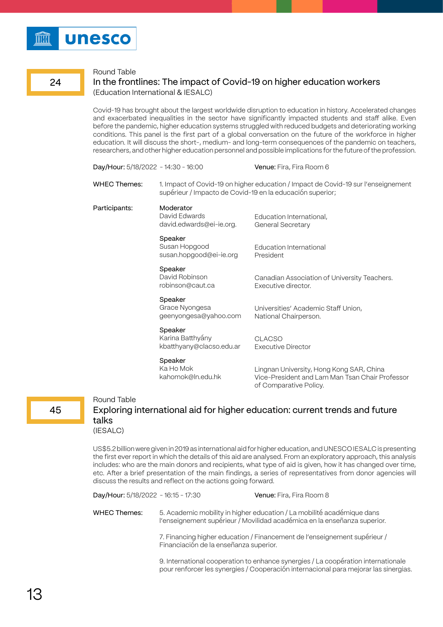# 24

# In the frontlines: The impact of Covid-19 on higher education workers (Education International & IESALC)

Covid-19 has brought about the largest worldwide disruption to education in history. Accelerated changes and exacerbated inequalities in the sector have significantly impacted students and staff alike. Even before the pandemic, higher education systems struggled with reduced budgets and deteriorating working conditions. This panel is the first part of a global conversation on the future of the workforce in higher education. It will discuss the short-, medium- and long-term consequences of the pandemic on teachers, researchers, and other higher education personnel and possible implications for the future of the profession.

| Day/Hour: 5/18/2022 - 14:30 - 16:00 |                                                           | <b>Venue:</b> Fira, Fira Room 6                                                             |
|-------------------------------------|-----------------------------------------------------------|---------------------------------------------------------------------------------------------|
| WHEC Themes:                        | supérieur / Impacto de Covid-19 en la educación superior; | 1. Impact of Covid-19 on higher education / Impact de Covid-19 sur l'enseignement           |
| Participants:                       | Moderator<br>David Edwards<br>david.edwards@ei-ie.org.    | Education International,<br>General Secretary                                               |
|                                     | Speaker<br>Susan Hopgood<br>susan.hopgood@ei-ie.org       | Education International<br>President                                                        |
|                                     | Speaker<br>David Robinson<br>robinson@caut.ca             | Canadian Association of University Teachers.<br>Executive director.                         |
|                                     | Speaker<br>Grace Nyongesa<br>geenyongesa@yahoo.com        | Universities' Academic Staff Union,<br>National Chairperson.                                |
|                                     | Speaker<br>Karina Batthyány<br>kbatthyany@clacso.edu.ar   | <b>CLACSO</b><br><b>Executive Director</b>                                                  |
|                                     | Speaker<br>Ka Ho Mok<br>kahomok@ln.edu.hk                 | Lingnan University, Hong Kong SAR, China<br>Vice-President and Lam Man Tsan Chair Professor |

45

# Round Table Exploring international aid for higher education: current trends and future

of Comparative Policy.

(IESALC)

talks

US\$5.2 billion were given in 2019 as international aid for higher education, and UNESCO IESALC is presenting the first ever report in which the details of this aid are analysed. From an exploratory approach, this analysis includes: who are the main donors and recipients, what type of aid is given, how it has changed over time, etc. After a brief presentation of the main findings, a series of representatives from donor agencies will discuss the results and reflect on the actions going forward.

| Day/Hour: 5/18/2022 - 16:15 - 17:30 |                                        | <b>Venue:</b> Fira, Fira Room 8                                                                                                                                           |
|-------------------------------------|----------------------------------------|---------------------------------------------------------------------------------------------------------------------------------------------------------------------------|
| <b>WHEC Themes:</b>                 |                                        | 5. Academic mobility in higher education / La mobilité académique dans<br>l'enseignement supérieur / Movilidad académica en la enseñanza superior.                        |
|                                     | Financiación de la enseñanza superior. | 7. Financing higher education / Financement de l'enseignement supérieur /                                                                                                 |
|                                     |                                        | 9. International cooperation to enhance synergies / La coopération internationale<br>pour renforcer les synergies / Cooperación internacional para mejorar las sinergias. |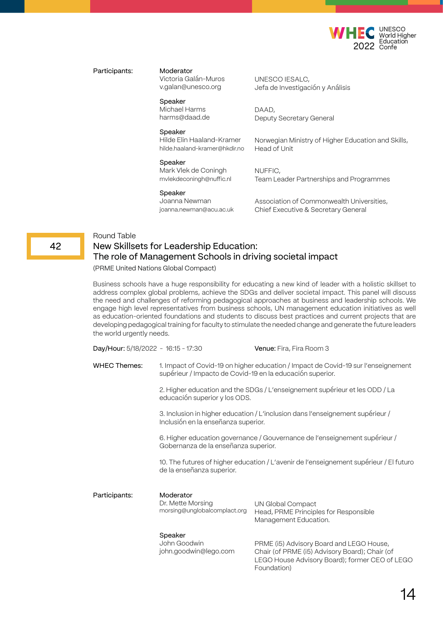

#### Participants:

Victoria Galán-Muros v.galan@unesco.org

Moderator

UNESCO IESALC, Jefa de Investigación y Análisis

Deputy Secretary General

DAAD,

Speaker Michael Harms harms@daad.de

Speaker Hilde Elin Haaland-Kramer hilde.haaland-kramer@hkdir.no

Speaker Mark Vlek de Coningh mvlekdeconingh@nuffic.nl Norwegian Ministry of Higher Education and Skills, Head of Unit

NUFFIC, Team Leader Partnerships and Programmes

#### Speaker Joanna Newman joanna.newman@acu.ac.uk

Association of Commonwealth Universities, Chief Executive & Secretary General

# Round Table

# New Skillsets for Leadership Education: The role of Management Schools in driving societal impact

(PRME United Nations Global Compact)

Business schools have a huge responsibility for educating a new kind of leader with a holistic skillset to address complex global problems, achieve the SDGs and deliver societal impact. This panel will discuss the need and challenges of reforming pedagogical approaches at business and leadership schools. We engage high level representatives from business schools, UN management education initiatives as well as education-oriented foundations and students to discuss best practices and current projects that are developing pedagogical training for faculty to stimulate the needed change and generate the future leaders the world urgently needs.

| Day/Hour: 5/18/2022 - 16:15 - 17:30 |                                                                                                                                                | Venue: Fira, Fira Room 3                                                                                                                                    |
|-------------------------------------|------------------------------------------------------------------------------------------------------------------------------------------------|-------------------------------------------------------------------------------------------------------------------------------------------------------------|
| WHEC Themes:                        | 1. Impact of Covid-19 on higher education / Impact de Covid-19 sur l'enseignement<br>supérieur / Impacto de Covid-19 en la educación superior. |                                                                                                                                                             |
|                                     | educación superior y los ODS.                                                                                                                  | 2. Higher education and the SDGs / L'enseignement supérieur et les ODD / La                                                                                 |
|                                     | Inclusión en la enseñanza superior.                                                                                                            | 3. Inclusion in higher education / L'inclusion dans l'enseignement supérieur /                                                                              |
|                                     | 6. Higher education governance / Gouvernance de l'enseignement supérieur /<br>Gobernanza de la enseñanza superior.                             |                                                                                                                                                             |
|                                     | de la enseñanza superior.                                                                                                                      | 10. The futures of higher education / L'avenir de l'enseignement supérieur / El futuro                                                                      |
| Participants:                       | Moderator<br>Dr. Mette Morsing<br>morsing@unglobalcomplact.org                                                                                 | UN Global Compact<br>Head, PRME Principles for Responsible<br>Management Education.                                                                         |
|                                     | Speaker<br>John Goodwin<br>john.goodwin@lego.com                                                                                               | PRME (i5) Advisory Board and LEGO House,<br>Chair (of PRME (i5) Advisory Board); Chair (of<br>LEGO House Advisory Board); former CEO of LEGO<br>Foundation) |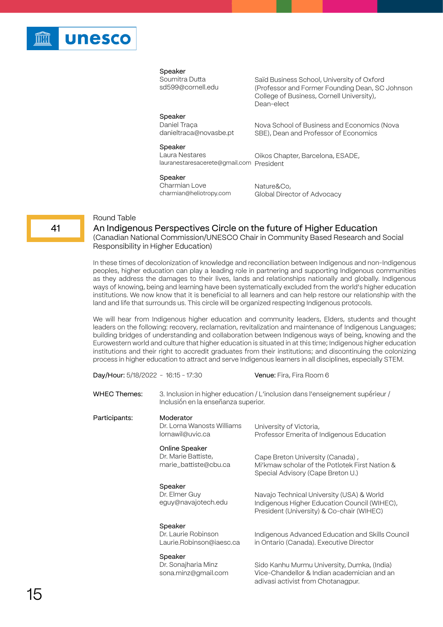

Soumitra Dutta sd599@cornell.edu

Saïd Business School, University of Oxford (Professor and Former Founding Dean, SC Johnson College of Business, Cornell University), Dean-elect

# Speaker

Daniel Traça danieltraca@novasbe.pt Nova School of Business and Economics (Nova SBE), Dean and Professor of Economics

#### Speaker

Laura Nestares lauranestaresacerete@gmail.com President Oikos Chapter, Barcelona, ESADE,

#### Speaker

Charmian Love charmian@heliotropy.com Nature&Co, Global Director of Advocacy

## Round Table

An Indigenous Perspectives Circle on the future of Higher Education (Canadian National Commission/UNESCO Chair in Community Based Research and Social Responsibility in Higher Education)

In these times of decolonization of knowledge and reconciliation between Indigenous and non-Indigenous peoples, higher education can play a leading role in partnering and supporting Indigenous communities as they address the damages to their lives, lands and relationships nationally and globally. Indigenous ways of knowing, being and learning have been systematically excluded from the world's higher education institutions. We now know that it is beneficial to all learners and can help restore our relationship with the land and life that surrounds us. This circle will be organized respecting Indigenous protocols.

We will hear from Indigenous higher education and community leaders, Elders, students and thought leaders on the following: recovery, reclamation, revitalization and maintenance of Indigenous Languages; building bridges of understanding and collaboration between Indigenous ways of being, knowing and the Eurowestern world and culture that higher education is situated in at this time; Indigenous higher education institutions and their right to accredit graduates from their institutions; and discontinuing the colonizing process in higher education to attract and serve Indigenous learners in all disciplines, especially STEM.

| Day/Hour: 5/18/2022 - 16:15 - 17:30 |                                                                | <b>Venue:</b> Fira, Fira Room 6                                                                                                        |
|-------------------------------------|----------------------------------------------------------------|----------------------------------------------------------------------------------------------------------------------------------------|
| WHEC Themes:                        | Inclusión en la enseñanza superior.                            | 3. Inclusion in higher education / L'inclusion dans l'enseignement supérieur /                                                         |
| Participants:                       | Moderator<br>Dr. Lorna Wanosts Williams<br>lornawil@uvic.ca    | University of Victoria,<br>Professor Emerita of Indigenous Education                                                                   |
|                                     | Online Speaker<br>Dr. Marie Battiste,<br>marie_battiste@cbu.ca | Cape Breton University (Canada),<br>Mi'kmaw scholar of the Potlotek First Nation &<br>Special Advisory (Cape Breton U.)                |
|                                     | Speaker<br>Dr. Elmer Guy<br>eguy@navajotech.edu                | Navajo Technical University (USA) & World<br>Indigenous Higher Education Council (WIHEC),<br>President (University) & Co-chair (WIHEC) |
|                                     | Speaker<br>Dr. Laurie Robinson<br>Laurie.Robinson@iaesc.ca     | Indigenous Advanced Education and Skills Council<br>in Ontario (Canada). Executive Director                                            |
|                                     | Speaker<br>Dr. Sonajharia Minz<br>sona.minz@gmail.com          | Sido Kanhu Murmu University, Dumka, (India)<br>Vice-Chandellor & Indian academician and an<br>adivasi activist from Chotanagpur.       |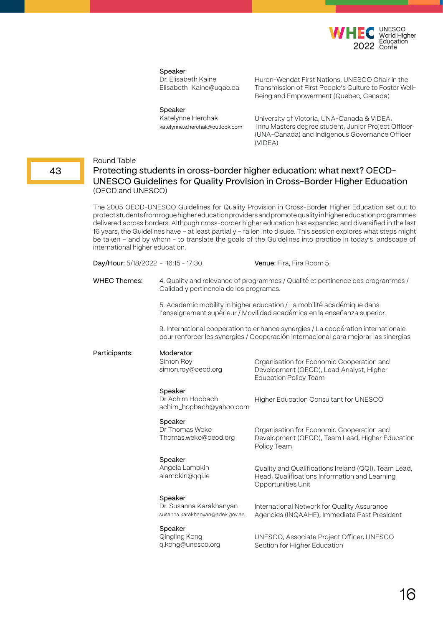

Dr. Elisabeth Kaine Elisabeth\_Kaine@uqac.ca Huron-Wendat First Nations, UNESCO Chair in the Transmission of First People's Culture to Foster Well-Being and Empowerment (Quebec, Canada)

Speaker Katelynne Herchak katelynne.e.herchak@outlook.com

University of Victoria, UNA-Canada & VIDEA, Innu Masters degree student, Junior Project Officer (UNA-Canada) and Indigenous Governance Officer (VIDEA)

# Round Table

# Protecting students in cross-border higher education: what next? OECD-UNESCO Guidelines for Quality Provision in Cross-Border Higher Education (OECD and UNESCO)

The 2005 OECD-UNESCO Guidelines for Quality Provision in Cross-Border Higher Education set out to protect students from rogue higher education providers and promote quality in higher education programmes delivered across borders. Although cross-border higher education has expanded and diversified in the last 16 years, the Guidelines have – at least partially – fallen into disuse. This session explores what steps might be taken – and by whom - to translate the goals of the Guidelines into practice in today's landscape of international higher education.

| Day/Hour: 5/18/2022 - 16:15 - 17:30 |                                                                       | Venue: Fira, Fira Room 5                                                                                                                                                 |
|-------------------------------------|-----------------------------------------------------------------------|--------------------------------------------------------------------------------------------------------------------------------------------------------------------------|
| <b>WHEC Themes:</b>                 | Calidad y pertinencia de los programas.                               | 4. Quality and relevance of programmes / Qualité et pertinence des programmes /                                                                                          |
|                                     |                                                                       | 5. Academic mobility in higher education / La mobilité académique dans<br>l'enseignement supérieur / Movilidad académica en la enseñanza superior.                       |
|                                     |                                                                       | 9. International cooperation to enhance synergies / La coopération internationale<br>pour renforcer les synergies / Cooperación internacional para mejorar las sinergias |
| Participants:                       | Moderator<br>Simon Roy<br>simon.roy@oecd.org                          | Organisation for Economic Cooperation and<br>Development (OECD), Lead Analyst, Higher<br><b>Education Policy Team</b>                                                    |
|                                     | Speaker<br>Dr Achim Hopbach<br>achim_hopbach@yahoo.com                | Higher Education Consultant for UNESCO                                                                                                                                   |
|                                     | Speaker<br>Dr Thomas Weko<br>Thomas.weko@oecd.org                     | Organisation for Economic Cooperation and<br>Development (OECD), Team Lead, Higher Education<br>Policy Team                                                              |
|                                     | Speaker<br>Angela Lambkin<br>alambkin@qqi.ie                          | Quality and Qualifications Ireland (QQI), Team Lead,<br>Head, Qualifications Information and Learning<br>Opportunities Unit                                              |
|                                     | Speaker<br>Dr. Susanna Karakhanyan<br>susanna.karakhanyan@adek.gov.ae | International Network for Quality Assurance<br>Agencies (INQAAHE), Immediate Past President                                                                              |
|                                     | Speaker<br>Qingling Kong<br>g.kong@unesco.org                         | UNESCO, Associate Project Officer, UNESCO<br>Section for Higher Education                                                                                                |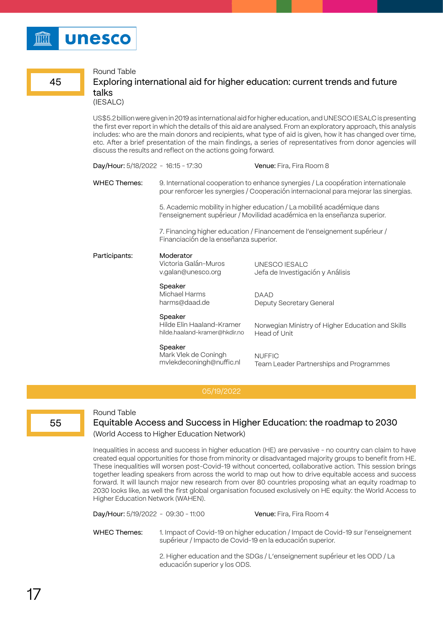

45

# Exploring international aid for higher education: current trends and future talks

(IESALC)

US\$5.2 billion were given in 2019 as international aid for higher education, and UNESCO IESALC is presenting the first ever report in which the details of this aid are analysed. From an exploratory approach, this analysis includes: who are the main donors and recipients, what type of aid is given, how it has changed over time, etc. After a brief presentation of the main findings, a series of representatives from donor agencies will discuss the results and reflect on the actions going forward.

| Day/Hour: 5/18/2022 - 16:15 - 17:30 |                                                                                                                                                                           | Venue: Fira, Fira Room 8                                                                                                                           |
|-------------------------------------|---------------------------------------------------------------------------------------------------------------------------------------------------------------------------|----------------------------------------------------------------------------------------------------------------------------------------------------|
| <b>WHEC Themes:</b>                 | 9. International cooperation to enhance synergies / La coopération internationale<br>pour renforcer les synergies / Cooperación internacional para mejorar las sinergias. |                                                                                                                                                    |
|                                     |                                                                                                                                                                           | 5. Academic mobility in higher education / La mobilité académique dans<br>l'enseignement supérieur / Movilidad académica en la enseñanza superior. |
|                                     | Financiación de la enseñanza superior.                                                                                                                                    | 7. Financing higher education / Financement de l'enseignement supérieur /                                                                          |
| Participants:                       | Moderator<br>Victoria Galán-Muros<br>v.galan@unesco.org                                                                                                                   | UNESCO IESALC<br>Jefa de Investigación y Análisis                                                                                                  |
|                                     | Speaker<br>Michael Harms<br>harms@daad.de                                                                                                                                 | <b>DAAD</b><br>Deputy Secretary General                                                                                                            |
|                                     | Speaker<br>Hilde Elin Haaland-Kramer<br>hilde.haaland-kramer@hkdir.no                                                                                                     | Norwegian Ministry of Higher Education and Skills<br>Head of Unit                                                                                  |
|                                     | Speaker<br>Mark Vlek de Coningh<br>mvlekdeconingh@nuffic.nl                                                                                                               | <b>NUFFIC</b><br>Team Leader Partnerships and Programmes                                                                                           |

55

# Round Table

# Equitable Access and Success in Higher Education: the roadmap to 2030 (World Access to Higher Education Network)

Inequalities in access and success in higher education (HE) are pervasive - no country can claim to have created equal opportunities for those from minority or disadvantaged majority groups to benefit from HE. These inequalities will worsen post-Covid-19 without concerted, collaborative action. This session brings together leading speakers from across the world to map out how to drive equitable access and success forward. It will launch major new research from over 80 countries proposing what an equity roadmap to 2030 looks like, as well the first global organisation focused exclusively on HE equity: the World Access to Higher Education Network (WAHEN).

Day/Hour: 5/19/2022 - 09:30 - 11:00 Venue: Fira, Fira Room 4

1. Impact of Covid-19 on higher education / Impact de Covid-19 sur l'enseignement supérieur / Impacto de Covid-19 en la educación superior. WHEC Themes:

> 2. Higher education and the SDGs / L'enseignement supérieur et les ODD / La educación superior y los ODS.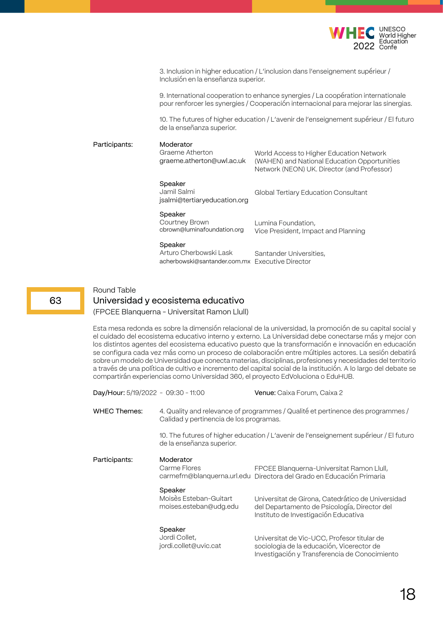

3. Inclusion in higher education / L'inclusion dans l'enseignement supérieur / Inclusión en la enseñanza superior.

9. International cooperation to enhance synergies / La coopération internationale pour renforcer les synergies / Cooperación internacional para mejorar las sinergias.

10. The futures of higher education / L'avenir de l'enseignement supérieur / El futuro de la enseñanza superior.

| Participants: | Moderator<br>Graeme Atherton<br>graeme.atherton@uwl.ac.uk                            | World Access to Higher Education Network<br>(WAHEN) and National Education Opportunities<br>Network (NEON) UK. Director (and Professor) |
|---------------|--------------------------------------------------------------------------------------|-----------------------------------------------------------------------------------------------------------------------------------------|
|               | Speaker<br>Jamil Salmi<br>isalmi@tertiaryeducation.org                               | Global Tertiary Education Consultant                                                                                                    |
|               | Speaker<br><b>Courtney Brown</b><br>cbrown@luminafoundation.org                      | Lumina Foundation,<br>Vice President, Impact and Planning                                                                               |
|               | Speaker<br>Arturo Cherbowski Lask<br>acherbowski@santander.com.mx Executive Director | Santander Universities,                                                                                                                 |

# Round Table

# Universidad y ecosistema educativo

(FPCEE Blanquerna - Universitat Ramon Llull)

Esta mesa redonda es sobre la dimensión relacional de la universidad, la promoción de su capital social y el cuidado del ecosistema educativo interno y externo. La Universidad debe conectarse más y mejor con los distintos agentes del ecosistema educativo puesto que la transformación e innovación en educación se configura cada vez más como un proceso de colaboración entre múltiples actores. La sesión debatirá sobre un modelo de Universidad que conecta materias, disciplinas, profesiones y necesidades del territorio a través de una política de cultivo e incremento del capital social de la institución. A lo largo del debate se compartirán experiencias como Universidad 360, el proyecto EdVoluciona o EduHUB.

| Day/Hour: 5/19/2022 - 09:30 - 11:00 |                                                             | Venue: Caixa Forum, Caixa 2                                                                                                               |
|-------------------------------------|-------------------------------------------------------------|-------------------------------------------------------------------------------------------------------------------------------------------|
| <b>WHEC Themes:</b>                 | Calidad y pertinencia de los programas.                     | 4. Quality and relevance of programmes / Qualité et pertinence des programmes /                                                           |
|                                     | de la enseñanza superior.                                   | 10. The futures of higher education / L'avenir de l'enseignement supérieur / El futuro                                                    |
| Participants:                       | Moderator<br>Carme Flores                                   | FPCEE Blanquerna-Universitat Ramon Llull,<br>carmefm@blanquerna.url.edu Directora del Grado en Educación Primaria                         |
|                                     | Speaker<br>Moisès Esteban-Guitart<br>moises.esteban@udg.edu | Universitat de Girona, Catedrático de Universidad<br>del Departamento de Psicología, Director del<br>Instituto de Investigación Educativa |
|                                     | Speaker<br>Jordi Collet,<br>jordi.collet@uvic.cat           | Universitat de Vic-UCC, Profesor titular de<br>sociologia de la educación, Vicerector de<br>Investigación y Transferencia de Conocimiento |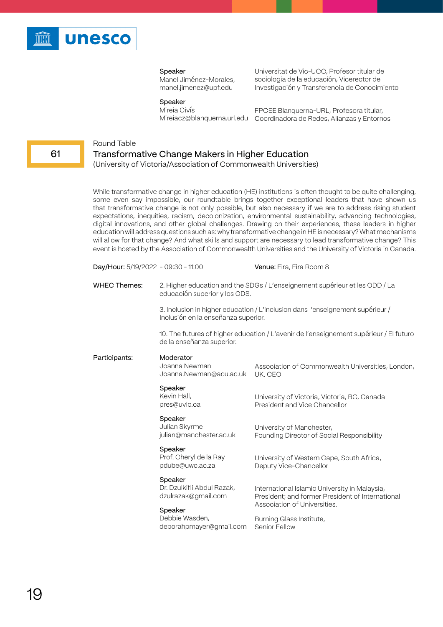

Manel Jiménez-Morales, manel.jimenez@upf.edu

Universitat de Vic-UCC, Profesor titular de sociologia de la educación, Vicerector de Investigación y Transferencia de Conocimiento

#### Speaker

Mireia Civís Mireiacz@blanquerna.url.edu

FPCEE Blanquerna-URL, Profesora titular, Coordinadora de Redes, Alianzas y Entornos

# Round Table

# Transformative Change Makers in Higher Education

(University of Victoria/Association of Commonwealth Universities)

While transformative change in higher education (HE) institutions is often thought to be quite challenging, some even say impossible, our roundtable brings together exceptional leaders that have shown us that transformative change is not only possible, but also necessary if we are to address rising student expectations, inequities, racism, decolonization, environmental sustainability, advancing technologies, digital innovations, and other global challenges. Drawing on their experiences, these leaders in higher education will address questions such as: why transformative change in HE is necessary? What mechanisms will allow for that change? And what skills and support are necessary to lead transformative change? This event is hosted by the Association of Commonwealth Universities and the University of Victoria in Canada.

| Day/Hour: 5/19/2022 - 09:30 - 11:00 |                                                                                                                       | Venue: Fira, Fira Room 8                                                                          |
|-------------------------------------|-----------------------------------------------------------------------------------------------------------------------|---------------------------------------------------------------------------------------------------|
| <b>WHEC Themes:</b>                 | 2. Higher education and the SDGs / L'enseignement supérieur et les ODD / La<br>educación superior y los ODS.          |                                                                                                   |
|                                     | 3. Inclusion in higher education / L'inclusion dans l'enseignement supérieur /<br>Inclusión en la enseñanza superior. |                                                                                                   |
|                                     | de la enseñanza superior.                                                                                             | 10. The futures of higher education / L'avenir de l'enseignement supérieur / El futuro            |
| Participants:                       | Moderator<br>Joanna Newman<br>Joanna.Newman@acu.ac.uk                                                                 | Association of Commonwealth Universities, London,<br>UK, CEO                                      |
|                                     | Speaker<br>Kevin Hall,<br>pres@uvic.ca                                                                                | University of Victoria, Victoria, BC, Canada<br>President and Vice Chancellor                     |
|                                     | Speaker<br>Julian Skyrme<br>julian@manchester.ac.uk                                                                   | University of Manchester,<br>Founding Director of Social Responsibility                           |
|                                     | Speaker<br>Prof. Cheryl de la Ray<br>pdube@uwc.ac.za                                                                  | University of Western Cape, South Africa,<br>Deputy Vice-Chancellor                               |
|                                     | Speaker<br>Dr. Dzulkifli Abdul Razak,<br>dzulrazak@gmail.com                                                          | International Islamic University in Malaysia,<br>President; and former President of International |
|                                     | Speaker<br>Debbie Wasden,<br>deborahpmayer@gmail.com                                                                  | Association of Universities.<br>Burning Glass Institute,<br>Senior Fellow                         |
|                                     |                                                                                                                       |                                                                                                   |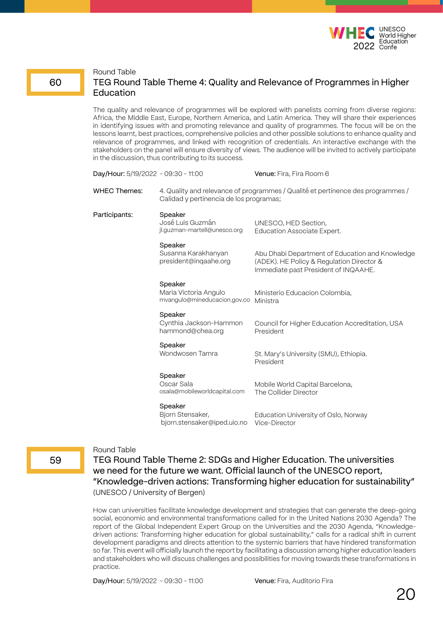

60

# TEG Round Table Theme 4: Quality and Relevance of Programmes in Higher Education

The quality and relevance of programmes will be explored with panelists coming from diverse regions: Africa, the Middle East, Europe, Northern America, and Latin America. They will share their experiences in identifying issues with and promoting relevance and quality of programmes. The focus will be on the lessons learnt, best practices, comprehensive policies and other possible solutions to enhance quality and relevance of programmes, and linked with recognition of credentials. An interactive exchange with the stakeholders on the panel will ensure diversity of views. The audience will be invited to actively participate in the discussion, thus contributing to its success.

| Day/Hour: 5/19/2022 - 09:30 - 11:00 |                                                                  | <b>Venue:</b> Fira, Fira Room 6                                                                                                      |
|-------------------------------------|------------------------------------------------------------------|--------------------------------------------------------------------------------------------------------------------------------------|
| <b>WHEC Themes:</b>                 | Calidad y pertinencia de los programas;                          | 4. Quality and relevance of programmes / Qualité et pertinence des programmes /                                                      |
| Participants:                       | Speaker<br>José Luis Guzmán<br>jl.guzman-martell@unesco.org      | UNESCO, HED Section,<br>Education Associate Expert.                                                                                  |
|                                     | Speaker<br>Susanna Karakhanyan<br>president@inqaahe.org          | Abu Dhabi Department of Education and Knowledge<br>(ADEK). HE Policy & Regulation Director &<br>Immediate past President of INQAAHE. |
|                                     | Speaker<br>Maria Victoria Angulo<br>mvangulo@mineducacion.gov.co | Ministerio Educacion Colombia,<br>Ministra                                                                                           |
|                                     | Speaker<br>Cynthia Jackson-Hammon<br>hammond@chea.org            | Council for Higher Education Accreditation, USA<br>President                                                                         |
|                                     | Speaker<br>Wondwosen Tamra                                       | St. Mary's University (SMU), Ethiopia.<br>President                                                                                  |
|                                     | Speaker<br>Oscar Sala<br>osala@mobileworldcapital.com            | Mobile World Capital Barcelona,<br>The Collider Director                                                                             |
|                                     | Speaker<br>Bjorn Stensaker,<br>bjorn.stensaker@iped.uio.no       | Education University of Oslo, Norway<br>Vice-Director                                                                                |

# Round Table

59

TEG Round Table Theme 2: SDGs and Higher Education. The universities we need for the future we want. Official launch of the UNESCO report, "Knowledge-driven actions: Transforming higher education for sustainability" (UNESCO / University of Bergen)

How can universities facilitate knowledge development and strategies that can generate the deep-going social, economic and environmental transformations called for in the United Nations 2030 Agenda? The report of the Global Independent Expert Group on the Universities and the 2030 Agenda, "Knowledgedriven actions: Transforming higher education for global sustainability," calls for a radical shift in current development paradigms and directs attention to the systemic barriers that have hindered transformation so far. This event will officially launch the report by facilitating a discussion among higher education leaders and stakeholders who will discuss challenges and possibilities for moving towards these transformations in practice.

Day/Hour: 5/19/2022 - 09:30 - 11:00 Venue: Fira, Auditorio Fira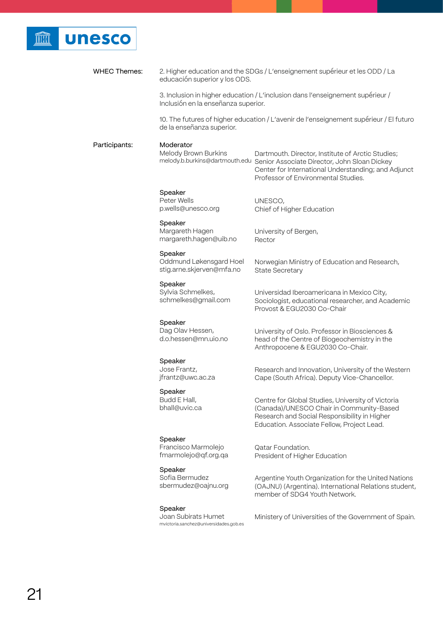

| <b>WHEC Themes:</b> | 2. Higher education and the SDGs / L'enseignement supérieur et les ODD / La<br>educación superior y los ODS.          |                                                                                                                                                                                                                                |
|---------------------|-----------------------------------------------------------------------------------------------------------------------|--------------------------------------------------------------------------------------------------------------------------------------------------------------------------------------------------------------------------------|
|                     | 3. Inclusion in higher education / L'inclusion dans l'enseignement supérieur /<br>Inclusión en la enseñanza superior. |                                                                                                                                                                                                                                |
|                     | de la enseñanza superior.                                                                                             | 10. The futures of higher education / L'avenir de l'enseignement supérieur / El futuro                                                                                                                                         |
| Participants:       | Moderator<br>Melody Brown Burkins                                                                                     | Dartmouth. Director, Institute of Arctic Studies;<br>melody.b.burkins@dartmouth.edu Senior Associate Director, John Sloan Dickey<br>Center for International Understanding; and Adjunct<br>Professor of Environmental Studies. |
|                     | Speaker<br>Peter Wells<br>p.wells@unesco.org                                                                          | UNESCO,<br>Chief of Higher Education                                                                                                                                                                                           |
|                     | Speaker<br>Margareth Hagen<br>margareth.hagen@uib.no                                                                  | University of Bergen,<br>Rector                                                                                                                                                                                                |
|                     | Speaker<br>Oddmund Løkensgard Hoel<br>stig.arne.skjerven@mfa.no                                                       | Norwegian Ministry of Education and Research,<br><b>State Secretary</b>                                                                                                                                                        |
|                     | Speaker<br>Sylvia Schmelkes,<br>schmelkes@gmail.com                                                                   | Universidad Iberoamericana in Mexico City,<br>Sociologist, educational researcher, and Academic<br>Provost & EGU2030 Co-Chair                                                                                                  |
|                     | Speaker<br>Dag Olav Hessen,<br>d.o.hessen@mn.uio.no                                                                   | University of Oslo. Professor in Biosciences &<br>head of the Centre of Biogeochemistry in the<br>Anthropocene & EGU2030 Co-Chair.                                                                                             |
|                     | Speaker<br>Jose Frantz,<br>jfrantz@uwc.ac.za                                                                          | Research and Innovation, University of the Western<br>Cape (South Africa). Deputy Vice-Chancellor.                                                                                                                             |
|                     | Speaker<br>Budd E Hall,<br>bhall@uvic.ca                                                                              | Centre for Global Studies, University of Victoria<br>(Canada)/UNESCO Chair in Community-Based<br>Research and Social Responsibility in Higher<br>Education. Associate Fellow, Project Lead.                                    |
|                     | Speaker<br>Francisco Marmolejo<br>fmarmolejo@qf.org.qa                                                                | <b>Qatar Foundation.</b><br>President of Higher Education                                                                                                                                                                      |
|                     | Speaker<br>Sofia Bermudez<br>sbermudez@oajnu.org                                                                      | Argentine Youth Organization for the United Nations<br>(OAJNU) (Argentina). International Relations student,<br>member of SDG4 Youth Network.                                                                                  |
|                     | Speaker<br>Joan Subirats Humet<br>mvictoria.sanchez@universidades.gob.es                                              | Ministery of Universities of the Government of Spain.                                                                                                                                                                          |
|                     |                                                                                                                       |                                                                                                                                                                                                                                |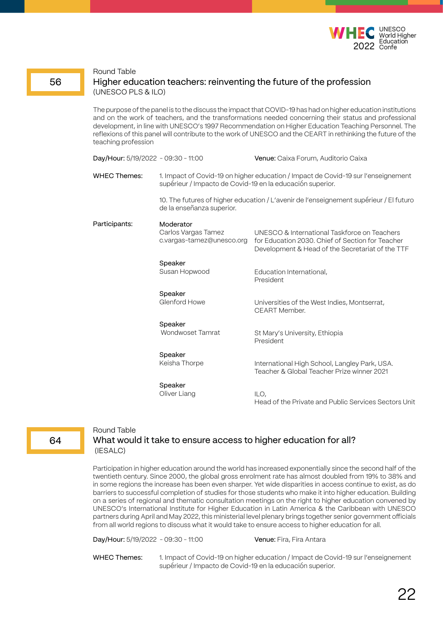

56

# Higher education teachers: reinventing the future of the profession (UNESCO PLS & ILO)

The purpose of the panel is to the discuss the impact that COVID-19 has had on higher education institutions and on the work of teachers, and the transformations needed concerning their status and professional development, in line with UNESCO's 1997 Recommendation on Higher Education Teaching Personnel. The reflexions of this panel will contribute to the work of UNESCO and the CEART in rethinking the future of the teaching profession

| Day/Hour: 5/19/2022 - 09:30 - 11:00 |                                                               | Venue: Caixa Forum, Auditorio Caixa                                                                                                                  |
|-------------------------------------|---------------------------------------------------------------|------------------------------------------------------------------------------------------------------------------------------------------------------|
| <b>WHEC Themes:</b>                 | supérieur / Impacto de Covid-19 en la educación superior.     | 1. Impact of Covid-19 on higher education / Impact de Covid-19 sur l'enseignement                                                                    |
|                                     | de la enseñanza superior.                                     | 10. The futures of higher education / L'avenir de l'enseignement supérieur / El futuro                                                               |
| Participants:                       | Moderator<br>Carlos Vargas Tamez<br>c.vargas-tamez@unesco.org | UNESCO & International Taskforce on Teachers<br>for Education 2030. Chief of Section for Teacher<br>Development & Head of the Secretariat of the TTF |
|                                     | Speaker<br>Susan Hopwood                                      | Education International,<br>President                                                                                                                |
|                                     | Speaker<br>Glenford Howe                                      | Universities of the West Indies, Montserrat,<br><b>CEART Member.</b>                                                                                 |
|                                     | Speaker<br>Wondwoset Tamrat                                   | St Mary's University, Ethiopia<br>President                                                                                                          |
|                                     | Speaker<br>Keisha Thorpe                                      | International High School, Langley Park, USA.<br>Teacher & Global Teacher Prize winner 2021                                                          |
|                                     | Speaker<br>Oliver Liang                                       | ILO,<br>$\mathbf{a}$ is the set of $\mathbf{a}$ is the set of $\mathbf{a}$ is the set of $\mathbf{a}$ is the set of $\mathbf{a}$                     |

Head of the Private and Public Services Sectors Unit

# 64

# Round Table What would it take to ensure access to higher education for all? (IESALC)

Participation in higher education around the world has increased exponentially since the second half of the twentieth century. Since 2000, the global gross enrolment rate has almost doubled from 19% to 38% and in some regions the increase has been even sharper. Yet wide disparities in access continue to exist, as do barriers to successful completion of studies for those students who make it into higher education. Building on a series of regional and thematic consultation meetings on the right to higher education convened by UNESCO's International Institute for Higher Education in Latin America & the Caribbean with UNESCO partners during April and May 2022, this ministerial level plenary brings together senior government officials from all world regions to discuss what it would take to ensure access to higher education for all.

Day/Hour: 5/19/2022 - 09:30 - 11:00 Venue: Fira, Fira Antara

WHEC Themes:

1. Impact of Covid-19 on higher education / Impact de Covid-19 sur l'enseignement supérieur / Impacto de Covid-19 en la educación superior.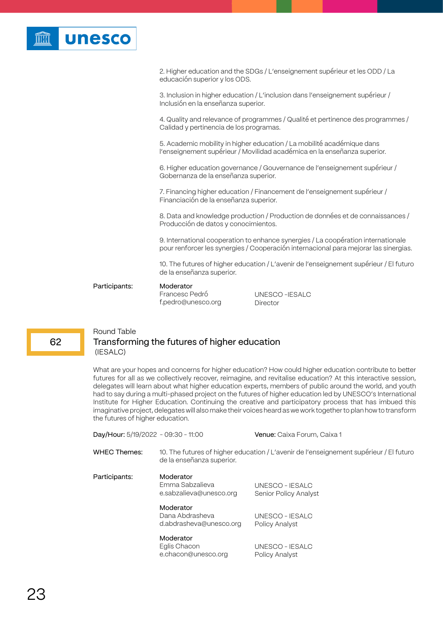| <b>unesco</b> |                                                                                                                                                                           |                                                                                                                       |
|---------------|---------------------------------------------------------------------------------------------------------------------------------------------------------------------------|-----------------------------------------------------------------------------------------------------------------------|
|               |                                                                                                                                                                           |                                                                                                                       |
|               |                                                                                                                                                                           | 2. Higher education and the SDGs / L'enseignement supérieur et les ODD / La<br>educación superior y los ODS.          |
|               |                                                                                                                                                                           | 3. Inclusion in higher education / L'inclusion dans l'enseignement supérieur /<br>Inclusión en la enseñanza superior. |
|               | 4. Quality and relevance of programmes / Qualité et pertinence des programmes /<br>Calidad y pertinencia de los programas.                                                |                                                                                                                       |
|               | 5. Academic mobility in higher education / La mobilité académique dans<br>l'enseignement supérieur / Movilidad académica en la enseñanza superior.                        |                                                                                                                       |
|               | 6. Higher education governance / Gouvernance de l'enseignement supérieur /<br>Gobernanza de la enseñanza superior.                                                        |                                                                                                                       |
|               | 7. Financing higher education / Financement de l'enseignement supérieur /<br>Financiación de la enseñanza superior.                                                       |                                                                                                                       |
|               | 8. Data and knowledge production / Production de données et de connaissances /<br>Producción de datos y conocimientos.                                                    |                                                                                                                       |
|               | 9. International cooperation to enhance synergies / La coopération internationale<br>pour renforcer les synergies / Cooperación internacional para mejorar las sinergias. |                                                                                                                       |
|               | 10. The futures of higher education / L'avenir de l'enseignement supérieur / El futuro<br>de la enseñanza superior.                                                       |                                                                                                                       |
| Participants: | Moderator<br>Francesc Pedró<br>f.pedro@unesco.org                                                                                                                         |                                                                                                                       |

# 62

# Round Table Transforming the futures of higher education (IESALC)

What are your hopes and concerns for higher education? How could higher education contribute to better futures for all as we collectively recover, reimagine, and revitalise education? At this interactive session, delegates will learn about what higher education experts, members of public around the world, and youth had to say during a multi-phased project on the futures of higher education led by UNESCO's International Institute for Higher Education. Continuing the creative and participatory process that has imbued this imaginative project, delegates will also make their voices heard as we work together to plan how to transform the futures of higher education.

| Day/Hour: 5/19/2022 - 09:30 - 11:00 |                                                         | <b>Venue:</b> Caixa Forum, Caixa 1                                                     |
|-------------------------------------|---------------------------------------------------------|----------------------------------------------------------------------------------------|
| <b>WHEC Themes:</b>                 | de la enseñanza superior.                               | 10. The futures of higher education / L'avenir de l'enseignement supérieur / El futuro |
| Participants:                       | Moderator<br>Emma Sabzalieva<br>e.sabzalieva@unesco.org | UNESCO - IESALC<br>Senior Policy Analyst                                               |
|                                     | Moderator<br>Dana Abdrasheva<br>d.abdrasheva@unesco.org | UNESCO - IESALC<br>Policy Analyst                                                      |
|                                     | Moderator<br>Eglis Chacon<br>e.chacon@unesco.org        | UNESCO - IESALC<br>Policy Analyst                                                      |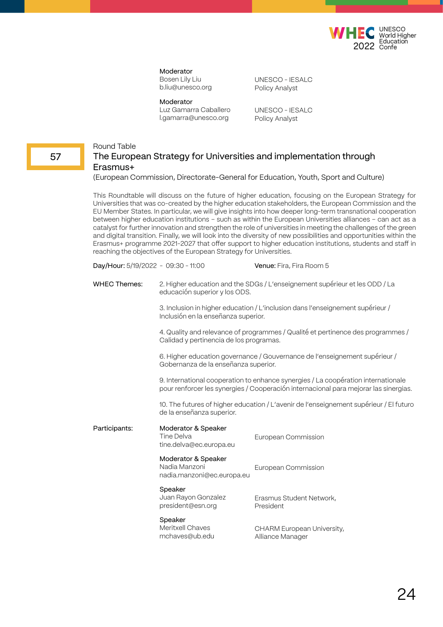

#### Moderator Bosen Lily Liu

b.liu@unesco.org

UNESCO - IESALC Policy Analyst

Moderator

Luz Gamarra Caballero l.gamarra@unesco.org

UNESCO - IESALC Policy Analyst

# Round Table

57

# The European Strategy for Universities and implementation through Erasmus+

(European Commission, Directorate-General for Education, Youth, Sport and Culture)

This Roundtable will discuss on the future of higher education, focusing on the European Strategy for Universities that was co-created by the higher education stakeholders, the European Commission and the EU Member States. In particular, we will give insights into how deeper long-term transnational cooperation between higher education institutions – such as within the European Universities alliances – can act as a catalyst for further innovation and strengthen the role of universities in meeting the challenges of the green and digital transition. Finally, we will look into the diversity of new possibilities and opportunities within the Erasmus+ programme 2021-2027 that offer support to higher education institutions, students and staff in reaching the objectives of the European Strategy for Universities.

| Day/Hour: 5/19/2022 - 09:30 - 11:00 |                                                                                                                                                                           | Venue: Fira, Fira Room 5                                                               |  |
|-------------------------------------|---------------------------------------------------------------------------------------------------------------------------------------------------------------------------|----------------------------------------------------------------------------------------|--|
| <b>WHEC Themes:</b>                 | 2. Higher education and the SDGs / L'enseignement supérieur et les ODD / La<br>educación superior y los ODS.                                                              |                                                                                        |  |
|                                     | 3. Inclusion in higher education / L'inclusion dans l'enseignement supérieur /<br>Inclusión en la enseñanza superior.                                                     |                                                                                        |  |
|                                     | Calidad y pertinencia de los programas.                                                                                                                                   | 4. Quality and relevance of programmes / Qualité et pertinence des programmes /        |  |
|                                     | 6. Higher education governance / Gouvernance de l'enseignement supérieur /<br>Gobernanza de la enseñanza superior.                                                        |                                                                                        |  |
|                                     | 9. International cooperation to enhance synergies / La coopération internationale<br>pour renforcer les synergies / Cooperación internacional para mejorar las sinergias. |                                                                                        |  |
| de la enseñanza superior.           |                                                                                                                                                                           | 10. The futures of higher education / L'avenir de l'enseignement supérieur / El futuro |  |
| Participants:                       | Moderator & Speaker<br>Tine Delva<br>tine.delva@ec.europa.eu                                                                                                              | European Commission                                                                    |  |
|                                     | Moderator & Speaker<br>Nadia Manzoni<br>nadia.manzoni@ec.europa.eu                                                                                                        | European Commission                                                                    |  |
|                                     | Speaker<br>Juan Rayon Gonzalez<br>president@esn.org                                                                                                                       | Erasmus Student Network,<br>President                                                  |  |
|                                     | Speaker<br>Meritxell Chaves<br>mchaves@ub.edu                                                                                                                             | CHARM European University,<br>Alliance Manager                                         |  |
|                                     |                                                                                                                                                                           |                                                                                        |  |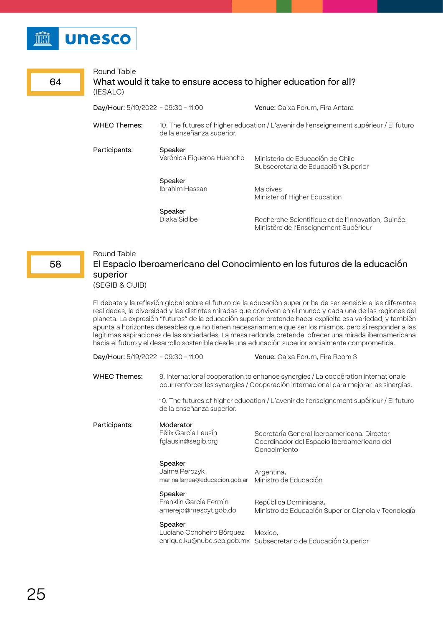

64

# Round Table What would it take to ensure access to higher education for all? (IESALC)

| Day/Hour: 5/19/2022 - 09:30 - 11:00 |                                      | <b>Venue:</b> Caixa Forum, Fira Antara                                                      |
|-------------------------------------|--------------------------------------|---------------------------------------------------------------------------------------------|
| <b>WHEC Themes:</b>                 | de la enseñanza superior.            | 10. The futures of higher education / L'avenir de l'enseignement supérieur / El futuro      |
| Participants:                       | Speaker<br>Verónica Figueroa Huencho | Ministerio de Educación de Chile<br>Subsecretaria de Educación Superior                     |
|                                     | Speaker<br>Ibrahim Hassan            | Maldives<br>Minister of Higher Education                                                    |
|                                     | Speaker<br>Diaka Sidibe              | Recherche Scientifique et de l'Innovation, Guinée.<br>Ministère de l'Enseignement Supérieur |

#### Round Table

58

# El Espacio Iberoamericano del Conocimiento en los futuros de la educación superior

(SEGIB & CUIB)

El debate y la reflexión global sobre el futuro de la educación superior ha de ser sensible a las diferentes realidades, la diversidad y las distintas miradas que conviven en el mundo y cada una de las regiones del planeta. La expresión "futuros" de la educación superior pretende hacer explícita esa variedad, y también apunta a horizontes deseables que no tienen necesariamente que ser los mismos, pero sí responder a las legítimas aspiraciones de las sociedades. La mesa redonda pretende ofrecer una mirada iberoamericana hacia el futuro y el desarrollo sostenible desde una educación superior socialmente comprometida.

Day/Hour: 5/19/2022 - 09:30 - 11:00

Venue: Caixa Forum, Fira Room 3

9. International cooperation to enhance synergies / La coopération internationale pour renforcer les synergies / Cooperación internacional para mejorar las sinergias. WHEC Themes:

> 10. The futures of higher education / L'avenir de l'enseignement supérieur / El futuro de la enseñanza superior.

Moderator Félix García Lausín fglausin@segib.org Speaker Jaime Perczyk marina.larrea@educacion.gob.ar Speaker Franklin García Fermín amerejo@mescyt.gob.do Speaker Luciano Concheiro Bórquez enrique.ku@nube.sep.gob.mx Subsecretario de Educación Superior Secretaría General Iberoamericana. Director Coordinador del Espacio Iberoamericano del Conocimiento Argentina, Ministro de Educación República Dominicana, Ministro de Educación Superior Ciencia y Tecnología Mexico, Participants: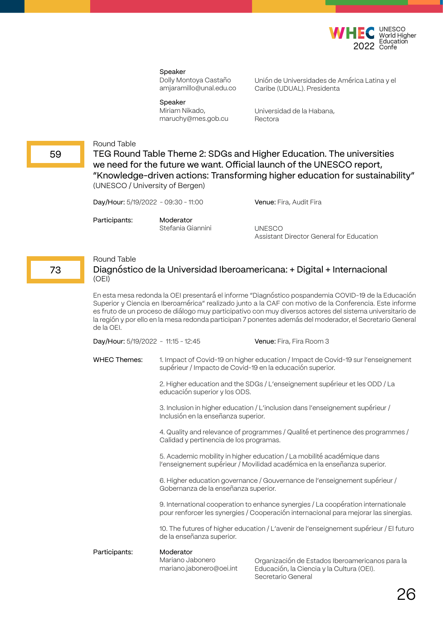

Dolly Montoya Castaño amjaramillo@unal.edu.co Unión de Universidades de América Latina y el Caribe (UDUAL). Presidenta

Speaker

Miriam Nikado, maruchy@mes.gob.cu Universidad de la Habana, Rectora

# Round Table

TEG Round Table Theme 2: SDGs and Higher Education. The universities we need for the future we want. Official launch of the UNESCO report, "Knowledge-driven actions: Transforming higher education for sustainability" (UNESCO / University of Bergen)

Day/Hour: 5/19/2022 - 09:30 - 11:00 Venue: Fira, Audit Fira

Participants:

Stefania Giannini

Moderator

UNESCO Assistant Director General for Education

# Round Table

# Diagnóstico de la Universidad Iberoamericana: + Digital + Internacional (OEI)

En esta mesa redonda la OEI presentará el informe "Diagnóstico pospandemia COVID-19 de la Educación Superior y Ciencia en Iberoamérica" realizado junto a la CAF con motivo de la Conferencia. Este informe es fruto de un proceso de diálogo muy participativo con muy diversos actores del sistema universitario de la región y por ello en la mesa redonda participan 7 ponentes además del moderador, el Secretario General de la OEI.

Day/Hour: 5/19/2022 - 11:15 - 12:45 Venue: Fira, Fira Room 3

1. Impact of Covid-19 on higher education / Impact de Covid-19 sur l'enseignement supérieur / Impacto de Covid-19 en la educación superior. WHEC Themes:

> 2. Higher education and the SDGs / L'enseignement supérieur et les ODD / La educación superior y los ODS.

3. Inclusion in higher education / L'inclusion dans l'enseignement supérieur / Inclusión en la enseñanza superior.

4. Quality and relevance of programmes / Qualité et pertinence des programmes / Calidad y pertinencia de los programas.

5. Academic mobility in higher education / La mobilité académique dans l'enseignement supérieur / Movilidad académica en la enseñanza superior.

6. Higher education governance / Gouvernance de l'enseignement supérieur / Gobernanza de la enseñanza superior.

9. International cooperation to enhance synergies / La coopération internationale pour renforcer les synergies / Cooperación internacional para mejorar las sinergias.

10. The futures of higher education / L'avenir de l'enseignement supérieur / El futuro de la enseñanza superior.

#### **Moderator** Mariano Jabonero mariano.jabonero@oei.int Participants:

Organización de Estados Iberoamericanos para la Educación, la Ciencia y la Cultura (OEI). Secretario General

73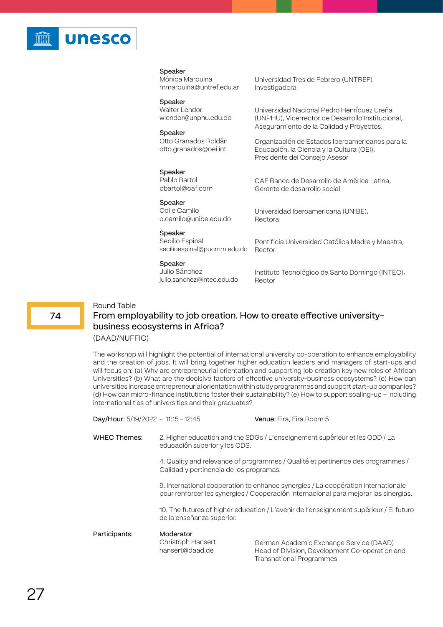

Mónica Marquina mmarquina@untref.edu.ar

#### Speaker

Walter Lendor wlendor@unphu.edu.do

#### Speaker

Otto Granados Roldán otto.granados@oei.int

#### Speaker

Pablo Bartol

Universidad Tres de Febrero (UNTREF) Investigadora

Universidad Nacional Pedro Henríquez Ureña (UNPHU), Vicerrector de Desarrollo Institucional, Aseguramiento de la Calidad y Proyectos.

Organización de Estados Iberoamericanos para la Educación, la Ciencia y la Cultura (OEI), Presidente del Consejo Asesor

Speaker Odile Camilo

pbartol@caf.com

Gerente de desarrollo social

CAF Banco de Desarrollo de América Latina,

o.camilo@unibe.edu.do Universidad Iberoamericana (UNIBE), Rectora

Rector

# Speaker

Secilio Espinal secilioespinal@pucmm.edu.do

# Speaker

Julio Sánchez julio.sanchez@intec.edu.do Instituto Tecnológico de Santo Domingo (INTEC), Rector

Pontificia Universidad Católica Madre y Maestra,

# Round Table

# From employability to job creation. How to create effective universitybusiness ecosystems in Africa?

(DAAD/NUFFIC)

The workshop will highlight the potential of international university co-operation to enhance employability and the creation of jobs. It will bring together higher education leaders and managers of start-ups and will focus on: (a) Why are entrepreneurial orientation and supporting job creation key new roles of African Universities? (b) What are the decisive factors of effective university-business ecosystems? (c) How can universities increase entrepreneurial orientation within study programmes and support start-up companies? (d) How can micro-finance institutions foster their sustainability? (e) How to support scaling-up – including international ties of universities and their graduates?

| Day/Hour: 5/19/2022 - 11:15 - 12:45                  |                                                                                                                            | Venue: Fira, Fira Room 5                                                                                                                                                  |  |
|------------------------------------------------------|----------------------------------------------------------------------------------------------------------------------------|---------------------------------------------------------------------------------------------------------------------------------------------------------------------------|--|
| <b>WHEC Themes:</b><br>educación superior y los ODS. |                                                                                                                            | 2. Higher education and the SDGs / L'enseignement supérieur et les ODD / La                                                                                               |  |
|                                                      | 4. Quality and relevance of programmes / Qualité et pertinence des programmes /<br>Calidad y pertinencia de los programas. |                                                                                                                                                                           |  |
|                                                      |                                                                                                                            | 9. International cooperation to enhance synergies / La coopération internationale<br>pour renforcer les synergies / Cooperación internacional para mejorar las sinergias. |  |
|                                                      | 10. The futures of higher education / L'avenir de l'enseignement supérieur / El futuro<br>de la enseñanza superior.        |                                                                                                                                                                           |  |
| Participants:                                        | Moderator<br>Christoph Hansert<br>hansert@daad.de                                                                          | German Academic Exchange Service (DAAD)<br>Head of Division, Development Co-operation and<br><b>Transnational Programmes</b>                                              |  |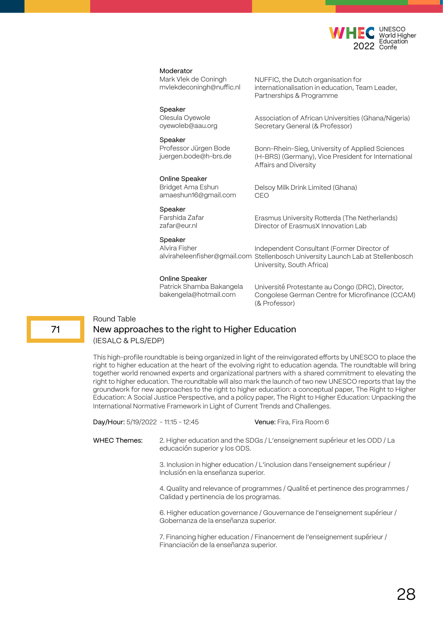

| Moderator<br>Mark Vlek de Coningh<br>mvlekdeconingh@nuffic.nl       | NUFFIC, the Dutch organisation for<br>internationalisation in education, Team Leader,<br>Partnerships & Programme                                          |
|---------------------------------------------------------------------|------------------------------------------------------------------------------------------------------------------------------------------------------------|
| Speaker<br>Olesula Oyewole<br>oyewoleb@aau.org                      | Association of African Universities (Ghana/Nigeria)<br>Secretary General (& Professor)                                                                     |
| Speaker<br>Professor Jürgen Bode<br>juergen.bode@h-brs.de           | Bonn-Rhein-Sieg, University of Applied Sciences<br>(H-BRS) (Germany), Vice President for International<br>Affairs and Diversity                            |
| Online Speaker<br>Bridget Ama Eshun<br>amaeshun16@gmail.com         | Delsoy Milk Drink Limited (Ghana)<br>CEO                                                                                                                   |
| Speaker<br>Farshida Zafar<br>zafar@eur.nl                           | Erasmus University Rotterda (The Netherlands)<br>Director of ErasmusX Innovation Lab                                                                       |
| Speaker<br>Alvira Fisher                                            | Independent Consultant (Former Director of<br>alviraheleenfisher@gmail.com Stellenbosch University Launch Lab at Stellenbosch<br>University, South Africa) |
| Online Speaker<br>Patrick Shamba Bakangela<br>bakengela@hotmail.com | Université Protestante au Congo (DRC), Director,<br>Congolese German Centre for Microfinance (CCAM)<br>(& Professor)                                       |

# Round Table New approaches to the right to Higher Education (IESALC & PLS/EDP)

This high-profile roundtable is being organized in light of the reinvigorated efforts by UNESCO to place the right to higher education at the heart of the evolving right to education agenda. The roundtable will bring together world renowned experts and organizational partners with a shared commitment to elevating the right to higher education. The roundtable will also mark the launch of two new UNESCO reports that lay the groundwork for new approaches to the right to higher education: a conceptual paper, The Right to Higher Education: A Social Justice Perspective, and a policy paper, The Right to Higher Education: Unpacking the International Normative Framework in Light of Current Trends and Challenges.

| Day/Hour: 5/19/2022 - 11:15 - 12:45 | Venue: Fira, Fira Room 6 |
|-------------------------------------|--------------------------|
|                                     |                          |

2. Higher education and the SDGs / L'enseignement supérieur et les ODD / La educación superior y los ODS. WHEC Themes:

> 3. Inclusion in higher education / L'inclusion dans l'enseignement supérieur / Inclusión en la enseñanza superior.

4. Quality and relevance of programmes / Qualité et pertinence des programmes / Calidad y pertinencia de los programas.

6. Higher education governance / Gouvernance de l'enseignement supérieur / Gobernanza de la enseñanza superior.

7. Financing higher education / Financement de l'enseignement supérieur / Financiación de la enseñanza superior.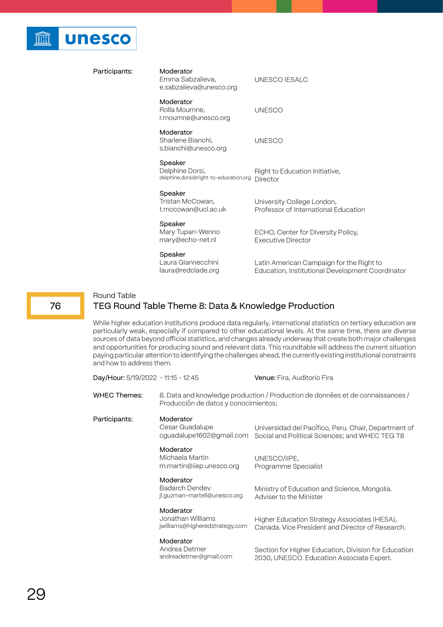

Participants:

| Moderator<br>Emma Sabzalieva,<br>e.sabzalieva@unesco.org            | UNESCO IESALC                                                      |
|---------------------------------------------------------------------|--------------------------------------------------------------------|
| Moderator<br>Rolla Moumne,<br>r.moumne@unesco.org                   | <b>UNESCO</b>                                                      |
| Moderator<br>Sharlene Bianchi,<br>s.bianchi@unesco.org              | <b>UNESCO</b>                                                      |
| Speaker<br>Delphine Dorsi,<br>delphine.dorsi@right-to-education.org | Right to Education Initiative,<br>Director                         |
| Speaker<br>Tristan McCowan,<br>t.mccowan@ucl.ac.uk                  | University College London,<br>Professor of International Education |
| Speaker<br>Mary Tupan-Wenno<br>mary@echo-net.nl                     | ECHO, Center for Diversity Policy,<br><b>Executive Director</b>    |
|                                                                     |                                                                    |

Speaker Laura Giannecchini laura@redclade.org

Latin American Campaign for the Right to Education, Institutional Development Coordinator

## Round Table

# TEG Round Table Theme 8: Data & Knowledge Production

While higher education institutions produce data regularly, international statistics on tertiary education are particularly weak, especially if compared to other educational levels. At the same time, there are diverse sources of data beyond official statistics, and changes already underway that create both major challenges and opportunities for producing sound and relevant data. This roundtable will address the current situation paying particular attention to identifying the challenges ahead, the currently existing institutional constraints and how to address them.

| Day/Hour: 5/19/2022 - 11:15 - 12:45 |                                                                                                                        | <b>Venue:</b> Fira, Auditorio Fira                                                                     |
|-------------------------------------|------------------------------------------------------------------------------------------------------------------------|--------------------------------------------------------------------------------------------------------|
| <b>WHEC Themes:</b>                 | 8. Data and knowledge production / Production de données et de connaissances /<br>Producción de datos y conocimientos; |                                                                                                        |
| Participants:                       | Moderator<br>Cesar Guadalupe<br>cguadalupe1602@gmail.com                                                               | Universidad del Pacífico, Peru. Chair, Department of<br>Social and Political Sciences; and WHEC TEG T8 |
|                                     | Moderator<br>Michaela Martin<br>m.martin@iiep.unesco.org                                                               | UNESCO/IIPE,<br>Programme Specialist                                                                   |
|                                     | Moderator<br><b>Badarch Dendev</b><br>jl.guzman-martell@unesco.org                                                     | Ministry of Education and Science, Mongolia.<br>Adviser to the Minister                                |
|                                     | Moderator<br>Jonathan Williams<br>jwilliams@higheredstrategy.com                                                       | Higher Education Strategy Associates (HESA),<br>Canada. Vice President and Director of Research.       |
|                                     | Moderator<br>Andrea Detmer<br>andreadetmer@gmail.com                                                                   | Section for Higher Education, Division for Education<br>2030, UNESCO. Education Associate Expert.      |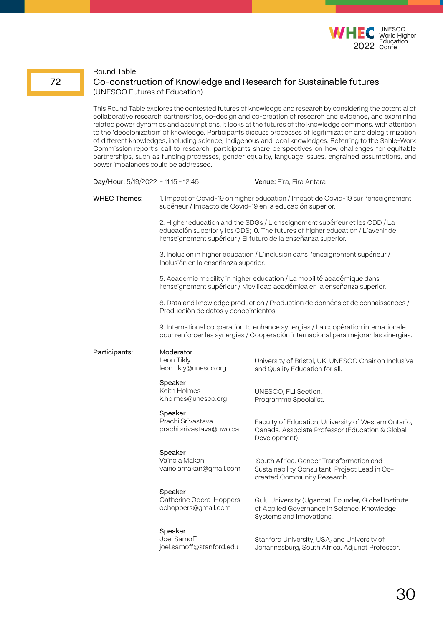

# 72

# Co-construction of Knowledge and Research for Sustainable futures (UNESCO Futures of Education)

This Round Table explores the contested futures of knowledge and research by considering the potential of collaborative research partnerships, co-design and co-creation of research and evidence, and examining related power dynamics and assumptions. It looks at the futures of the knowledge commons, with attention to the 'decolonization' of knowledge. Participants discuss processes of legitimization and delegitimization of different knowledges, including science, Indigenous and local knowledges. Referring to the Sahle-Work Commission report's call to research, participants share perspectives on how challenges for equitable partnerships, such as funding processes, gender equality, language issues, engrained assumptions, and power imbalances could be addressed.

| Day/Hour: 5/19/2022 - 11:15 - 12:45 |                                                                                                                                                                                                                                 | <b>Venue:</b> Fira, Fira Antara                                                                                                                                           |  |
|-------------------------------------|---------------------------------------------------------------------------------------------------------------------------------------------------------------------------------------------------------------------------------|---------------------------------------------------------------------------------------------------------------------------------------------------------------------------|--|
| <b>WHEC Themes:</b>                 | 1. Impact of Covid-19 on higher education / Impact de Covid-19 sur l'enseignement<br>supérieur / Impacto de Covid-19 en la educación superior.                                                                                  |                                                                                                                                                                           |  |
|                                     | 2. Higher education and the SDGs / L'enseignement supérieur et les ODD / La<br>educación superior y los ODS;10. The futures of higher education / L'avenir de<br>l'enseignement supérieur / El futuro de la enseñanza superior. |                                                                                                                                                                           |  |
|                                     | 3. Inclusion in higher education / L'inclusion dans l'enseignement supérieur /<br>Inclusión en la enseñanza superior.                                                                                                           |                                                                                                                                                                           |  |
|                                     |                                                                                                                                                                                                                                 | 5. Academic mobility in higher education / La mobilité académique dans<br>l'enseignement supérieur / Movilidad académica en la enseñanza superior.                        |  |
|                                     | Producción de datos y conocimientos.                                                                                                                                                                                            | 8. Data and knowledge production / Production de données et de connaissances /                                                                                            |  |
|                                     |                                                                                                                                                                                                                                 | 9. International cooperation to enhance synergies / La coopération internationale<br>pour renforcer les synergies / Cooperación internacional para mejorar las sinergias. |  |
| Participants:                       | Moderator<br>Leon Tikly<br>leon.tikly@unesco.org                                                                                                                                                                                | University of Bristol, UK. UNESCO Chair on Inclusive<br>and Quality Education for all.                                                                                    |  |
|                                     | Speaker<br>Keith Holmes<br>k.holmes@unesco.org                                                                                                                                                                                  | UNESCO, FLI Section.<br>Programme Specialist.                                                                                                                             |  |
|                                     | Speaker<br>Prachi Srivastava<br>prachi.srivastava@uwo.ca                                                                                                                                                                        | Faculty of Education, University of Western Ontario,<br>Canada. Associate Professor (Education & Global<br>Development).                                                  |  |
|                                     | Speaker<br>Vainola Makan<br>vainolamakan@gmail.com                                                                                                                                                                              | South Africa. Gender Transformation and<br>Sustainability Consultant, Project Lead in Co-<br>created Community Research.                                                  |  |
|                                     | Speaker<br>Catherine Odora-Hoppers<br>cohoppers@gmail.com                                                                                                                                                                       | Gulu University (Uganda). Founder, Global Institute<br>of Applied Governance in Science, Knowledge<br>Systems and Innovations.                                            |  |
|                                     | Speaker<br>Joel Samoff<br>joel.samoff@stanford.edu                                                                                                                                                                              | Stanford University, USA, and University of<br>Johannesburg, South Africa. Adjunct Professor.                                                                             |  |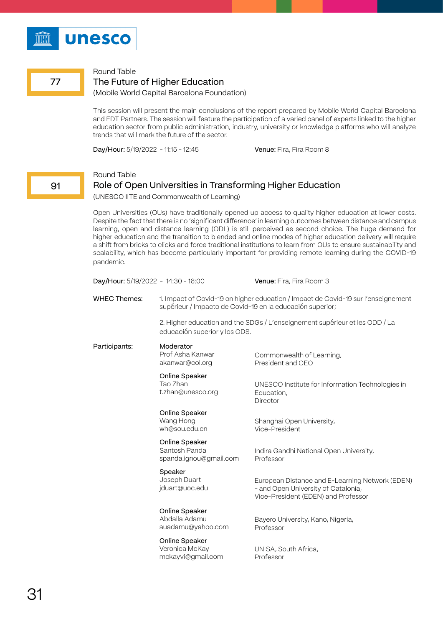

# The Future of Higher Education

(Mobile World Capital Barcelona Foundation)

This session will present the main conclusions of the report prepared by Mobile World Capital Barcelona and EDT Partners. The session will feature the participation of a varied panel of experts linked to the higher education sector from public administration, industry, university or knowledge platforms who will analyze trends that will mark the future of the sector.

Day/Hour: 5/19/2022 - 11:15 - 12:45 Venue: Fira, Fira Room 8

# Round Table

#### 91

77

# Role of Open Universities in Transforming Higher Education

(UNESCO IITE and Commonwealth of Learning)

Open Universities (OUs) have traditionally opened up access to quality higher education at lower costs. Despite the fact that there is no 'significant difference' in learning outcomes between distance and campus learning, open and distance learning (ODL) is still perceived as second choice. The huge demand for higher education and the transition to blended and online modes of higher education delivery will require a shift from bricks to clicks and force traditional institutions to learn from OUs to ensure sustainability and scalability, which has become particularly important for providing remote learning during the COVID-19 pandemic.

| Day/Hour: 5/19/2022 - 14:30 - 16:00 |                                                           | Venue: Fira, Fira Room 3                                                                                                      |
|-------------------------------------|-----------------------------------------------------------|-------------------------------------------------------------------------------------------------------------------------------|
| WHEC Themes:                        | supérieur / Impacto de Covid-19 en la educación superior; | 1. Impact of Covid-19 on higher education / Impact de Covid-19 sur l'enseignement                                             |
|                                     | educación superior y los ODS.                             | 2. Higher education and the SDGs / L'enseignement supérieur et les ODD / La                                                   |
| Participants:                       | Moderator<br>Prof Asha Kanwar<br>akanwar@col.org          | Commonwealth of Learning,<br>President and CEO                                                                                |
|                                     | Online Speaker<br>Tao Zhan<br>t.zhan@unesco.org           | UNESCO Institute for Information Technologies in<br>Education,<br><b>Director</b>                                             |
|                                     | Online Speaker<br>Wang Hong<br>wh@sou.edu.cn              | Shanghai Open University,<br>Vice-President                                                                                   |
|                                     | Online Speaker<br>Santosh Panda<br>spanda.ignou@gmail.com | Indira Gandhi National Open University,<br>Professor                                                                          |
|                                     | Speaker<br>Joseph Duart<br>jduart@uoc.edu                 | European Distance and E-Learning Network (EDEN)<br>- and Open University of Catalonia,<br>Vice-President (EDEN) and Professor |
|                                     | Online Speaker<br>Abdalla Adamu<br>auadamu@yahoo.com      | Bayero University, Kano, Nigeria,<br>Professor                                                                                |
|                                     | Online Speaker<br>Veronica McKay<br>mckayvi@gmail.com     | UNISA, South Africa,<br>Professor                                                                                             |
|                                     |                                                           |                                                                                                                               |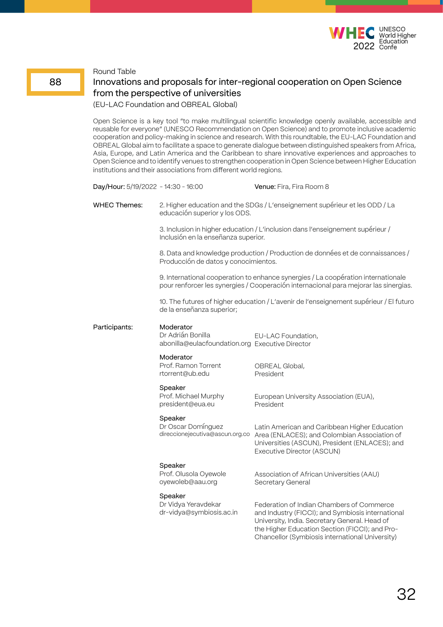

# Innovations and proposals for inter-regional cooperation on Open Science from the perspective of universities

(EU-LAC Foundation and OBREAL Global)

Open Science is a key tool "to make multilingual scientific knowledge openly available, accessible and reusable for everyone" (UNESCO Recommendation on Open Science) and to promote inclusive academic cooperation and policy-making in science and research. With this roundtable, the EU-LAC Foundation and OBREAL Global aim to facilitate a space to generate dialogue between distinguished speakers from Africa, Asia, Europe, and Latin America and the Caribbean to share innovative experiences and approaches to Open Science and to identify venues to strengthen cooperation in Open Science between Higher Education institutions and their associations from different world regions.

| Day/Hour: 5/19/2022 - 14:30 - 16:00                                                                                                                                       | <b>Venue:</b> Fira, Fira Room 8                                                                                                                                                                                                                      |  |  |
|---------------------------------------------------------------------------------------------------------------------------------------------------------------------------|------------------------------------------------------------------------------------------------------------------------------------------------------------------------------------------------------------------------------------------------------|--|--|
| educación superior y los ODS.                                                                                                                                             | 2. Higher education and the SDGs / L'enseignement supérieur et les ODD / La                                                                                                                                                                          |  |  |
| 3. Inclusion in higher education / L'inclusion dans l'enseignement supérieur /<br>Inclusión en la enseñanza superior.                                                     |                                                                                                                                                                                                                                                      |  |  |
| 8. Data and knowledge production / Production de données et de connaissances /<br>Producción de datos y conocimientos.                                                    |                                                                                                                                                                                                                                                      |  |  |
| 9. International cooperation to enhance synergies / La coopération internationale<br>pour renforcer les synergies / Cooperación internacional para mejorar las sinergias. |                                                                                                                                                                                                                                                      |  |  |
| de la enseñanza superior;                                                                                                                                                 | 10. The futures of higher education / L'avenir de l'enseignement supérieur / El futuro                                                                                                                                                               |  |  |
| Moderator<br>Dr Adrián Bonilla<br>abonilla@eulacfoundation.org Executive Director                                                                                         | EU-LAC Foundation,                                                                                                                                                                                                                                   |  |  |
| Moderator<br>Prof. Ramon Torrent<br>rtorrent@ub.edu                                                                                                                       | OBREAL Global,<br>President                                                                                                                                                                                                                          |  |  |
| Speaker<br>Prof. Michael Murphy<br>president@eua.eu                                                                                                                       | European University Association (EUA),<br>President                                                                                                                                                                                                  |  |  |
| Speaker<br>Dr Oscar Domínguez<br>direccionejecutiva@ascun.org.co                                                                                                          | Latin American and Caribbean Higher Education<br>Area (ENLACES); and Colombian Association of<br>Universities (ASCUN), President (ENLACES); and<br>Executive Director (ASCUN)                                                                        |  |  |
| Speaker<br>Prof. Olusola Oyewole<br>oyewoleb@aau.org                                                                                                                      | Association of African Universities (AAU)<br>Secretary General                                                                                                                                                                                       |  |  |
| Speaker<br>Dr Vidya Yeravdekar<br>dr-vidya@symbiosis.ac.in                                                                                                                | Federation of Indian Chambers of Commerce<br>and Industry (FICCI); and Symbiosis international<br>University, India. Secretary General. Head of<br>the Higher Education Section (FICCI); and Pro-<br>Chancellor (Symbiosis international University) |  |  |
|                                                                                                                                                                           |                                                                                                                                                                                                                                                      |  |  |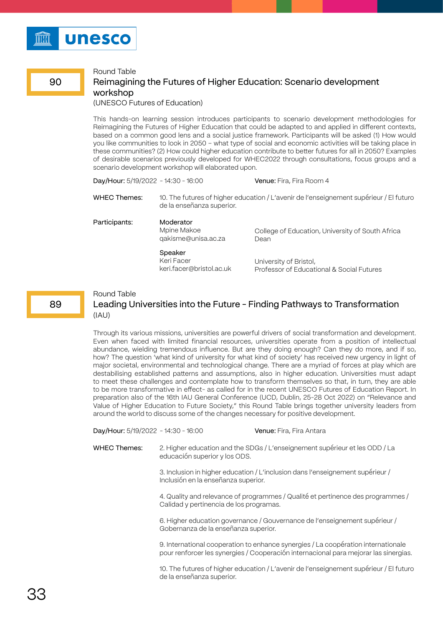# 90

# Reimagining the Futures of Higher Education: Scenario development workshop

(UNESCO Futures of Education)

This hands-on learning session introduces participants to scenario development methodologies for Reimagining the Futures of Higher Education that could be adapted to and applied in different contexts, based on a common good lens and a social justice framework. Participants will be asked (1) How would you like communities to look in 2050 – what type of social and economic activities will be taking place in these communities? (2) How could higher education contribute to better futures for all in 2050? Examples of desirable scenarios previously developed for WHEC2022 through consultations, focus groups and a scenario development workshop will elaborated upon.

| Day/Hour: 5/19/2022 - 14:30 - 16:00 |                                                   | <b>Venue:</b> Fira, Fira Room 4                                                        |
|-------------------------------------|---------------------------------------------------|----------------------------------------------------------------------------------------|
| WHEC Themes:                        | de la enseñanza superior.                         | 10. The futures of higher education / L'avenir de l'enseignement supérieur / El futuro |
| Participants:                       | Moderator<br>Mpine Makoe<br>gakisme@unisa.ac.za   | College of Education, University of South Africa<br>Dean                               |
|                                     | Speaker<br>Keri Facer<br>keri.facer@bristol.ac.uk | University of Bristol,<br>Professor of Educational & Social Futures                    |

#### Round Table

# 89

Leading Universities into the Future - Finding Pathways to Transformation  $(IAI)$ 

Through its various missions, universities are powerful drivers of social transformation and development. Even when faced with limited financial resources, universities operate from a position of intellectual abundance, wielding tremendous influence. But are they doing enough? Can they do more, and if so, how? The question 'what kind of university for what kind of society' has received new urgency in light of major societal, environmental and technological change. There are a myriad of forces at play which are destabilising established patterns and assumptions, also in higher education. Universities must adapt to meet these challenges and contemplate how to transform themselves so that, in turn, they are able to be more transformative in effect- as called for in the recent UNESCO Futures of Education Report. In preparation also of the 16th IAU General Conference (UCD, Dublin, 25-28 Oct 2022) on "Relevance and Value of Higher Education to Future Society," this Round Table brings together university leaders from around the world to discuss some of the changes necessary for positive development.

Day/Hour: 5/19/2022 - 14:30 - 16:00 Venue: Fira, Fira Antara

2. Higher education and the SDGs / L'enseignement supérieur et les ODD / La educación superior y los ODS. WHEC Themes:

> 3. Inclusion in higher education / L'inclusion dans l'enseignement supérieur / Inclusión en la enseñanza superior.

4. Quality and relevance of programmes / Qualité et pertinence des programmes / Calidad y pertinencia de los programas.

6. Higher education governance / Gouvernance de l'enseignement supérieur / Gobernanza de la enseñanza superior.

9. International cooperation to enhance synergies / La coopération internationale pour renforcer les synergies / Cooperación internacional para mejorar las sinergias.

10. The futures of higher education / L'avenir de l'enseignement supérieur / El futuro de la enseñanza superior.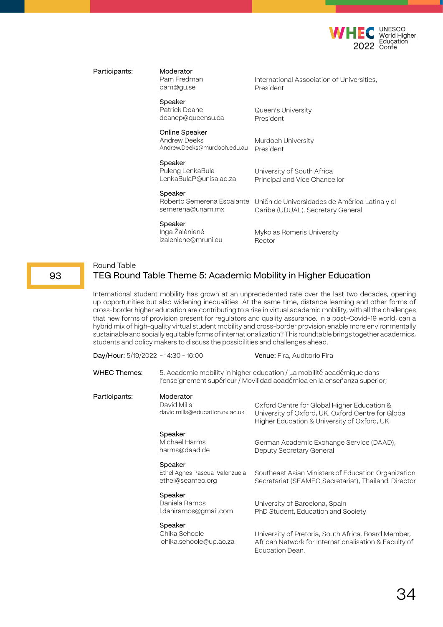

## Participants:

Pam Fredman pam@gu.se

Online Speaker Andrew Deeks

Puleng LenkaBula LenkaBulaP@unisa.ac.za

Moderator

Speaker Patrick Deane deanep@queensu.ca International Association of Universities, President

Queen's University President

Murdoch University President

University of South Africa Principal and Vice Chancellor

#### Speaker

Speaker

Roberto Semerena Escalante Unión de Universidades de América Latina y el semerena@unam.mx Caribe (UDUAL). Secretary General.

Andrew.Deeks@murdoch.edu.au

## Speaker

Inga Žalėnienė izaleniene@mruni.eu Mykolas Romeris University **Rector** 

## Round Table

93

# TEG Round Table Theme 5: Academic Mobility in Higher Education

International student mobility has grown at an unprecedented rate over the last two decades, opening up opportunities but also widening inequalities. At the same time, distance learning and other forms of cross-border higher education are contributing to a rise in virtual academic mobility, with all the challenges that new forms of provision present for regulators and quality assurance. In a post-Covid-19 world, can a hybrid mix of high-quality virtual student mobility and cross-border provision enable more environmentally sustainable and socially equitable forms of internationalization? This roundtable brings together academics, students and policy makers to discuss the possibilities and challenges ahead.

| Day/Hour: 5/19/2022 - 14:30 - 16:00 |                                                              | <b>Venue:</b> Fira, Auditorio Fira                                                                                                                 |
|-------------------------------------|--------------------------------------------------------------|----------------------------------------------------------------------------------------------------------------------------------------------------|
| WHEC Themes:                        |                                                              | 5. Academic mobility in higher education / La mobilité académique dans<br>l'enseignement supérieur / Movilidad académica en la enseñanza superior; |
| Participants:                       | Moderator<br>David Mills<br>david.mills@education.ox.ac.uk   | Oxford Centre for Global Higher Education &<br>University of Oxford, UK. Oxford Centre for Global<br>Higher Education & University of Oxford, UK   |
|                                     | Speaker<br>Michael Harms<br>harms@daad.de                    | German Academic Exchange Service (DAAD),<br>Deputy Secretary General                                                                               |
|                                     | Speaker<br>Ethel Agnes Pascua-Valenzuela<br>ethel@seameo.org | Southeast Asian Ministers of Education Organization<br>Secretariat (SEAMEO Secretariat), Thailand. Director                                        |
|                                     | Speaker<br>Daniela Ramos<br>l.daniramos@gmail.com            | University of Barcelona, Spain<br>PhD Student, Education and Society                                                                               |
|                                     | Speaker<br>Chika Sehoole<br>chika.sehoole@up.ac.za           | University of Pretoria, South Africa. Board Member,<br>African Network for Internationalisation & Faculty of<br>Education Dean.                    |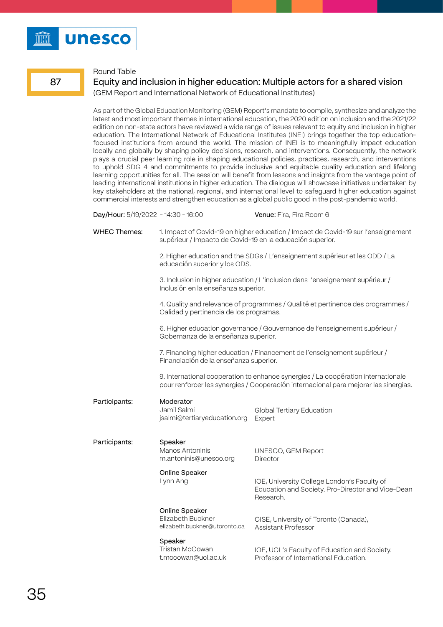

# 87

# Equity and inclusion in higher education: Multiple actors for a shared vision (GEM Report and International Network of Educational Institutes)

As part of the Global Education Monitoring (GEM) Report's mandate to compile, synthesize and analyze the latest and most important themes in international education, the 2020 edition on inclusion and the 2021/22 edition on non-state actors have reviewed a wide range of issues relevant to equity and inclusion in higher education. The International Network of Educational Institutes (INEI) brings together the top educationfocused institutions from around the world. The mission of INEI is to meaningfully impact education locally and globally by shaping policy decisions, research, and interventions. Consequently, the network plays a crucial peer learning role in shaping educational policies, practices, research, and interventions to uphold SDG 4 and commitments to provide inclusive and equitable quality education and lifelong learning opportunities for all. The session will benefit from lessons and insights from the vantage point of leading international institutions in higher education. The dialogue will showcase initiatives undertaken by key stakeholders at the national, regional, and international level to safeguard higher education against commercial interests and strengthen education as a global public good in the post-pandemic world.

| Day/Hour: 5/19/2022 - 14:30 - 16:00 |                                                                                                                                                | Venue: Fira, Fira Room 6                                                                                                                                                  |  |
|-------------------------------------|------------------------------------------------------------------------------------------------------------------------------------------------|---------------------------------------------------------------------------------------------------------------------------------------------------------------------------|--|
| <b>WHEC Themes:</b>                 | 1. Impact of Covid-19 on higher education / Impact de Covid-19 sur l'enseignement<br>supérieur / Impacto de Covid-19 en la educación superior. |                                                                                                                                                                           |  |
|                                     | 2. Higher education and the SDGs / L'enseignement supérieur et les ODD / La<br>educación superior y los ODS.                                   |                                                                                                                                                                           |  |
|                                     | 3. Inclusion in higher education / L'inclusion dans l'enseignement supérieur /<br>Inclusión en la enseñanza superior.                          |                                                                                                                                                                           |  |
|                                     | 4. Quality and relevance of programmes / Qualité et pertinence des programmes /<br>Calidad y pertinencia de los programas.                     |                                                                                                                                                                           |  |
|                                     | 6. Higher education governance / Gouvernance de l'enseignement supérieur /<br>Gobernanza de la enseñanza superior.                             |                                                                                                                                                                           |  |
|                                     | Financiación de la enseñanza superior.                                                                                                         | 7. Financing higher education / Financement de l'enseignement supérieur /                                                                                                 |  |
|                                     |                                                                                                                                                | 9. International cooperation to enhance synergies / La coopération internationale<br>pour renforcer les synergies / Cooperación internacional para mejorar las sinergias. |  |
| Participants:                       | Moderator<br>Jamil Salmi<br>jsalmi@tertiaryeducation.org                                                                                       | Global Tertiary Education<br>Expert                                                                                                                                       |  |
| Participants:                       | Speaker<br>Manos Antoninis<br>m.antoninis@unesco.org                                                                                           | UNESCO, GEM Report<br>Director                                                                                                                                            |  |
|                                     | Online Speaker<br>Lynn Ang                                                                                                                     | IOE, University College London's Faculty of<br>Education and Society. Pro-Director and Vice-Dean<br>Research.                                                             |  |
|                                     | Online Speaker<br>Elizabeth Buckner<br>elizabeth.buckner@utoronto.ca                                                                           | OISE, University of Toronto (Canada),<br><b>Assistant Professor</b>                                                                                                       |  |
|                                     | Speaker<br>Tristan McCowan<br>t.mccowan@ucl.ac.uk                                                                                              | IOE, UCL's Faculty of Education and Society.<br>Professor of International Education.                                                                                     |  |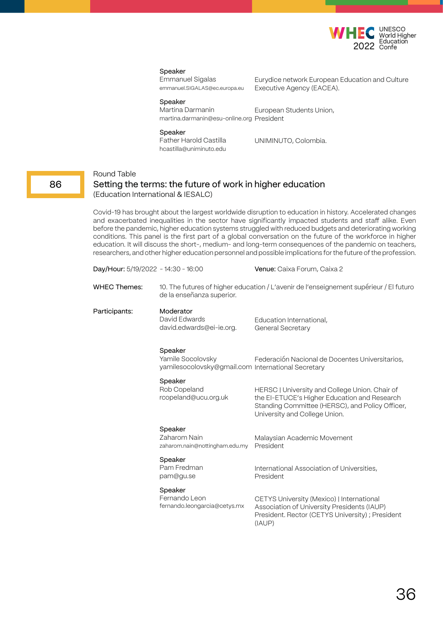

Emmanuel Sigalas emmanuel.SIGALAS@ec.europa.eu Eurydice network European Education and Culture Executive Agency (EACEA).

#### Speaker

Martina Darmanin martina.darmanin@esu-online.org President European Students Union,

#### Speaker

Father Harold Castilla hcastilla@uniminuto.edu UNIMINUTO, Colombia.

#### Round Table

## Setting the terms: the future of work in higher education (Education International & IESALC)

Covid-19 has brought about the largest worldwide disruption to education in history. Accelerated changes and exacerbated inequalities in the sector have significantly impacted students and staff alike. Even before the pandemic, higher education systems struggled with reduced budgets and deteriorating working conditions. This panel is the first part of a global conversation on the future of the workforce in higher education. It will discuss the short-, medium- and long-term consequences of the pandemic on teachers, researchers, and other higher education personnel and possible implications for the future of the profession.

| Day/Hour: 5/19/2022 - 14:30 - 16:00 |                                                                                    | Venue: Caixa Forum, Caixa 2                                                                                                                                                        |
|-------------------------------------|------------------------------------------------------------------------------------|------------------------------------------------------------------------------------------------------------------------------------------------------------------------------------|
| <b>WHEC Themes:</b>                 | de la enseñanza superior.                                                          | 10. The futures of higher education / L'avenir de l'enseignement supérieur / El futuro                                                                                             |
| Participants:                       | Moderator<br>David Edwards<br>david.edwards@ei-ie.org.                             | Education International,<br>General Secretary                                                                                                                                      |
|                                     | Speaker<br>Yamile Socolovsky<br>yamilesocolovsky@gmail.com International Secretary | Federación Nacional de Docentes Universitarios,                                                                                                                                    |
|                                     | Speaker<br>Rob Copeland<br>rcopeland@ucu.org.uk                                    | HERSC   University and College Union. Chair of<br>the EI-ETUCE's Higher Education and Research<br>Standing Committee (HERSC), and Policy Officer,<br>University and College Union. |
|                                     | Speaker<br>Zaharom Nain<br>zaharom.nain@nottingham.edu.my                          | Malaysian Academic Movement<br>President                                                                                                                                           |
|                                     | Speaker<br>Pam Fredman<br>pam@gu.se                                                | International Association of Universities,<br>President                                                                                                                            |
|                                     | Speaker<br>Fernando Leon<br>fernando.leongarcia@cetys.mx                           | CETYS University (Mexico)   International<br>Association of University Presidents (IAUP)<br>President. Rector (CETYS University) ; President<br>(IAUP)                             |
|                                     |                                                                                    |                                                                                                                                                                                    |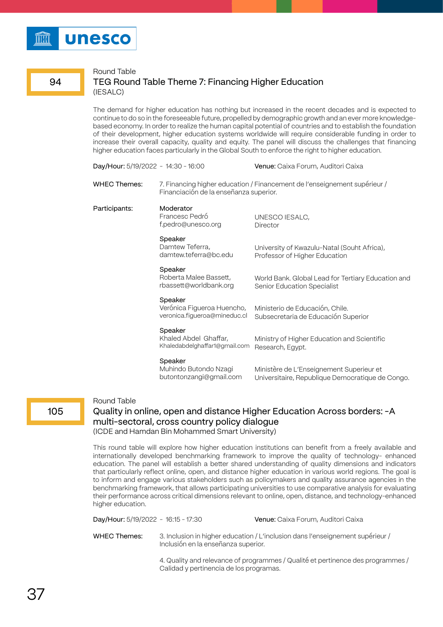#### Round Table

94

# TEG Round Table Theme 7: Financing Higher Education (IESALC)

The demand for higher education has nothing but increased in the recent decades and is expected to continue to do so in the foreseeable future, propelled by demographic growth and an ever more knowledgebased economy. In order to realize the human capital potential of countries and to establish the foundation of their development, higher education systems worldwide will require considerable funding in order to increase their overall capacity, quality and equity. The panel will discuss the challenges that financing higher education faces particularly in the Global South to enforce the right to higher education.

| Day/Hour: 5/19/2022 - 14:30 - 16:00 |                                                                       | <b>Venue:</b> Caixa Forum, Auditori Caixa                                                    |
|-------------------------------------|-----------------------------------------------------------------------|----------------------------------------------------------------------------------------------|
| WHEC Themes:                        | Financiación de la enseñanza superior.                                | 7. Financing higher education / Financement de l'enseignement supérieur /                    |
| Participants:                       | Moderator<br>Francesc Pedró<br>f.pedro@unesco.org                     | UNESCO IESALC,<br><b>Director</b>                                                            |
|                                     | Speaker<br>Damtew Teferra,<br>damtew.teferra@bc.edu                   | University of Kwazulu-Natal (Souht Africa),<br>Professor of Higher Education                 |
|                                     | Speaker<br>Roberta Malee Bassett,<br>rbassett@worldbank.org           | World Bank. Global Lead for Tertiary Education and<br>Senior Education Specialist            |
|                                     | Speaker<br>Verónica Figueroa Huencho,<br>veronica.figueroa@mineduc.cl | Ministerio de Educación, Chile.<br>Subsecretaria de Educación Superior                       |
|                                     | Speaker<br>Khaled Abdel Ghaffar,<br>Khaledabdelghaffar1@gmail.com     | Ministry of Higher Education and Scientific<br>Research, Egypt.                              |
|                                     | Speaker<br>Muhindo Butondo Nzagi<br>butontonzangi@gmail.com           | Ministère de L'Enseignement Superieur et<br>Universitaire, Republique Democratique de Congo. |

# Round Table

105

Quality in online, open and distance Higher Education Across borders: -A multi-sectoral, cross country policy dialogue (ICDE and Hamdan Bin Mohammed Smart University)

This round table will explore how higher education institutions can benefit from a freely available and internationally developed benchmarking framework to improve the quality of technology- enhanced education. The panel will establish a better shared understanding of quality dimensions and indicators that particularly reflect online, open, and distance higher education in various world regions. The goal is to inform and engage various stakeholders such as policymakers and quality assurance agencies in the benchmarking framework, that allows participating universities to use comparative analysis for evaluating their performance across critical dimensions relevant to online, open, distance, and technology-enhanced higher education.

Day/Hour: 5/19/2022 - 16:15 - 17:30 Venue: Caixa Forum, Auditori Caixa

3. Inclusion in higher education / L'inclusion dans l'enseignement supérieur / Inclusión en la enseñanza superior. WHEC Themes:

> 4. Quality and relevance of programmes / Qualité et pertinence des programmes / Calidad y pertinencia de los programas.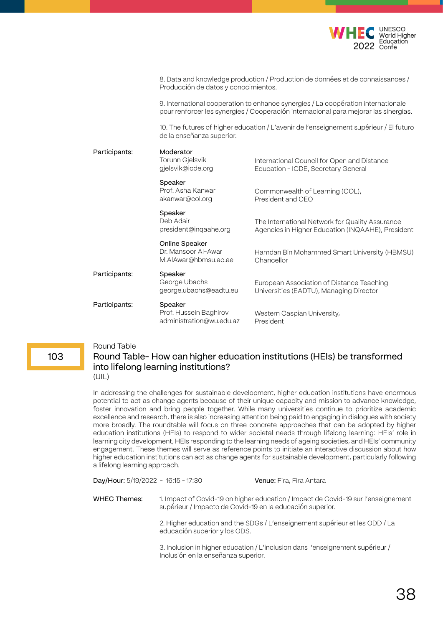

| 8. Data and knowledge production / Production de données et de connaissances / |  |
|--------------------------------------------------------------------------------|--|
| Producción de datos y conocimientos.                                           |  |

9. International cooperation to enhance synergies / La coopération internationale pour renforcer les synergies / Cooperación internacional para mejorar las sinergias.

10. The futures of higher education / L'avenir de l'enseignement supérieur / El futuro de la enseñanza superior.

| Moderator<br>Torunn Gjelsvik<br>gjelsvik@icde.org             | International Council for Open and Distance<br>Education - ICDE, Secretary General                   |
|---------------------------------------------------------------|------------------------------------------------------------------------------------------------------|
| Speaker<br>Prof. Asha Kanwar<br>akanwar@col.org               | Commonwealth of Learning (COL),<br>President and CEO                                                 |
| Speaker<br>Deb Adair<br>president@inqaahe.org                 | The International Network for Quality Assurance<br>Agencies in Higher Education (INQAAHE), President |
| Online Speaker<br>Dr. Mansoor Al-Awar<br>M.AlAwar@hbmsu.ac.ae | Hamdan Bin Mohammed Smart University (HBMSU)<br>Chancellor                                           |
| Speaker<br>George Ubachs<br>george.ubachs@eadtu.eu            | European Association of Distance Teaching<br>Universities (EADTU), Managing Director                 |
| Speaker<br>Prof. Hussein Baghirov<br>administration@wu.edu.az | Western Caspian University,<br>President                                                             |
|                                                               |                                                                                                      |

#### Round Table

## Round Table- How can higher education institutions (HEIs) be transformed into lifelong learning institutions? (UIL)

In addressing the challenges for sustainable development, higher education institutions have enormous potential to act as change agents because of their unique capacity and mission to advance knowledge, foster innovation and bring people together. While many universities continue to prioritize academic excellence and research, there is also increasing attention being paid to engaging in dialogues with society more broadly. The roundtable will focus on three concrete approaches that can be adopted by higher education institutions (HEIs) to respond to wider societal needs through lifelong learning: HEIs' role in learning city development, HEIs responding to the learning needs of ageing societies, and HEIs' community engagement. These themes will serve as reference points to initiate an interactive discussion about how higher education institutions can act as change agents for sustainable development, particularly following a lifelong learning approach.

| Day/Hour: 5/19/2022 - 16:15 - 17:30 |                                                           | Venue: Fira, Fira Antara                                                          |
|-------------------------------------|-----------------------------------------------------------|-----------------------------------------------------------------------------------|
| WHEC Themes:                        | supérieur / Impacto de Covid-19 en la educación superior. | 1. Impact of Covid-19 on higher education / Impact de Covid-19 sur l'enseignement |
|                                     | educación superior y los ODS.                             | 2. Higher education and the SDGs / L'enseignement supérieur et les ODD / La       |
|                                     | Inclusión en la enseñanza superior.                       | 3. Inclusion in higher education / L'inclusion dans l'enseignement supérieur /    |

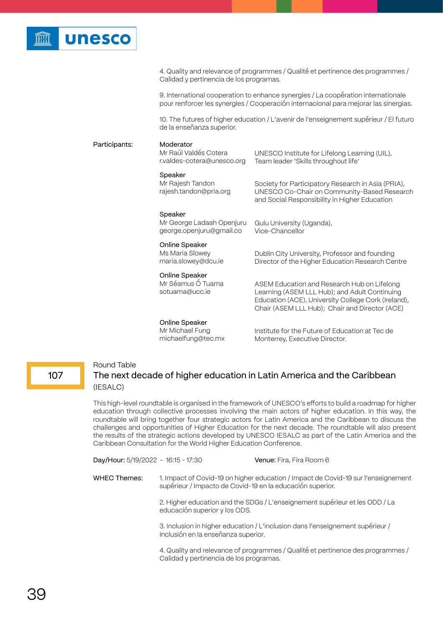

4. Quality and relevance of programmes / Qualité et pertinence des programmes / Calidad y pertinencia de los programas.

9. International cooperation to enhance synergies / La coopération internationale pour renforcer les synergies / Cooperación internacional para mejorar las sinergias.

10. The futures of higher education / L'avenir de l'enseignement supérieur / El futuro de la enseñanza superior.

| Participants: | Moderator<br>Mr Raúl Valdés Cotera<br>r.valdes-cotera@unesco.org | UNESCO Institute for Lifelong Learning (UIL),<br>Team leader 'Skills throughout life'                                                                                                                 |
|---------------|------------------------------------------------------------------|-------------------------------------------------------------------------------------------------------------------------------------------------------------------------------------------------------|
|               | Speaker<br>Mr Rajesh Tandon<br>rajesh.tandon@pria.org            | Society for Participatory Research in Asia (PRIA),<br>UNESCO Co-Chair on Community-Based Research<br>and Social Responsibility in Higher Education                                                    |
|               | Speaker<br>Mr George Ladaah Openjuru<br>george.openjuru@gmail.co | Gulu University (Uganda),<br>Vice-Chancellor                                                                                                                                                          |
|               | Online Speaker<br>Ms Maria Slowey<br>maria.slowey@dcu.ie         | Dublin City University, Professor and founding<br>Director of the Higher Education Research Centre                                                                                                    |
|               | Online Speaker<br>Mr Séamus Ó Tuama<br>sotuama@ucc.ie            | ASEM Education and Research Hub on Lifelong<br>Learning (ASEM LLL Hub); and Adult Continuing<br>Education (ACE), University College Cork (Ireland),<br>Chair (ASEM LLL Hub); Chair and Director (ACE) |
|               | Online Speaker<br>Mr Michael Fung<br>michaelfung@tec.mx          | Institute for the Future of Education at Tec de<br>Monterrey, Executive Director.                                                                                                                     |

# Round Table

# The next decade of higher education in Latin America and the Caribbean (IESALC)

This high-level roundtable is organised in the framework of UNESCO's efforts to build a roadmap for higher education through collective processes involving the main actors of higher education. In this way, the roundtable will bring together four strategic actors for Latin America and the Caribbean to discuss the challenges and opportunities of Higher Education for the next decade. The roundtable will also present the results of the strategic actions developed by UNESCO IESALC as part of the Latin America and the Caribbean Consultation for the World Higher Education Conference.

| Day/Hour: 5/19/2022 - 16:15 - 17:30 |                                                           | <b>Venue:</b> Fira, Fira Room 6                                                   |
|-------------------------------------|-----------------------------------------------------------|-----------------------------------------------------------------------------------|
| WHEC Themes:                        | supérieur / Impacto de Covid-19 en la educación superior. | 1. Impact of Covid-19 on higher education / Impact de Covid-19 sur l'enseignement |
|                                     | educación superior y los ODS.                             | 2. Higher education and the SDGs / L'enseignement supérieur et les ODD / La       |
|                                     | Inclusión en la enseñanza superior.                       | 3. Inclusion in higher education / L'inclusion dans l'enseignement supérieur /    |

4. Quality and relevance of programmes / Qualité et pertinence des programmes / Calidad y pertinencia de los programas.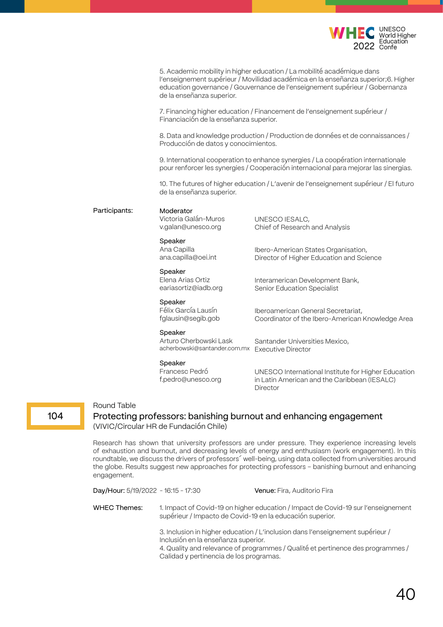

|               | 5. Academic mobility in higher education / La mobilité académique dans<br>l'enseignement supérieur / Movilidad académica en la enseñanza superior;6. Higher<br>education governance / Gouvernance de l'enseignement supérieur / Gobernanza<br>de la enseñanza superior. |                                                                                                                 |  |
|---------------|-------------------------------------------------------------------------------------------------------------------------------------------------------------------------------------------------------------------------------------------------------------------------|-----------------------------------------------------------------------------------------------------------------|--|
|               | 7. Financing higher education / Financement de l'enseignement supérieur /<br>Financiación de la enseñanza superior.                                                                                                                                                     |                                                                                                                 |  |
|               | 8. Data and knowledge production / Production de données et de connaissances /<br>Producción de datos y conocimientos.                                                                                                                                                  |                                                                                                                 |  |
|               | 9. International cooperation to enhance synergies / La coopération internationale<br>pour renforcer les synergies / Cooperación internacional para mejorar las sinergias.                                                                                               |                                                                                                                 |  |
|               | 10. The futures of higher education / L'avenir de l'enseignement supérieur / El futuro<br>de la enseñanza superior.                                                                                                                                                     |                                                                                                                 |  |
| Participants: | Moderator<br>Victoria Galán-Muros<br>v.galan@unesco.org                                                                                                                                                                                                                 | UNESCO IESALC,<br>Chief of Research and Analysis                                                                |  |
|               | Speaker<br>Ana Capilla<br>ana.capilla@oei.int                                                                                                                                                                                                                           | Ibero-American States Organisation,<br>Director of Higher Education and Science                                 |  |
|               | Speaker<br>Elena Arias Ortiz<br>eariasortiz@iadb.org                                                                                                                                                                                                                    | Interamerican Development Bank,<br>Senior Education Specialist                                                  |  |
|               | Speaker<br>Félix García Lausín<br>fglausin@segib.gob                                                                                                                                                                                                                    | Iberoamerican General Secretariat,<br>Coordinator of the Ibero-American Knowledge Area                          |  |
|               | Speaker<br>Arturo Cherbowski Lask<br>acherbowski@santander.com.mx  Executive Director                                                                                                                                                                                   | Santander Universities Mexico,                                                                                  |  |
|               | Speaker<br>Francesc Pedró<br>f.pedro@unesco.org                                                                                                                                                                                                                         | UNESCO International Institute for Higher Education<br>in Latin American and the Caribbean (IESALC)<br>Director |  |

## Round Table

104

# Protecting professors: banishing burnout and enhancing engagement (VIVIC/Circular HR de Fundación Chile)

Research has shown that university professors are under pressure. They experience increasing levels of exhaustion and burnout, and decreasing levels of energy and enthusiasm (work engagement). In this roundtable, we discuss the drivers of professors´ well-being, using data collected from universities around the globe. Results suggest new approaches for protecting professors – banishing burnout and enhancing engagement.

| Day/Hour: 5/19/2022 - 16:15 - 17:30 |                                                                                | Venue: Fira, Auditorio Fira                                                                                                                                       |
|-------------------------------------|--------------------------------------------------------------------------------|-------------------------------------------------------------------------------------------------------------------------------------------------------------------|
| WHEC Themes:                        | supérieur / Impacto de Covid-19 en la educación superior.                      | 1. Impact of Covid-19 on higher education / Impact de Covid-19 sur l'enseignement                                                                                 |
|                                     | Inclusión en la enseñanza superior.<br>Calidad y pertinencia de los programas. | 3. Inclusion in higher education / L'inclusion dans l'enseignement supérieur /<br>4. Quality and relevance of programmes / Qualité et pertinence des programmes / |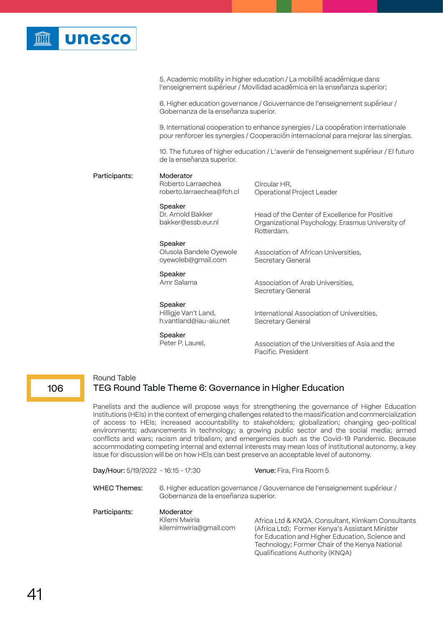

|               |                                                                                                                                                                           | 5. Academic mobility in higher education / La mobilité académique dans<br>l'enseignement supérieur / Movilidad académica en la enseñanza superior; |  |
|---------------|---------------------------------------------------------------------------------------------------------------------------------------------------------------------------|----------------------------------------------------------------------------------------------------------------------------------------------------|--|
|               | 6. Higher education governance / Gouvernance de l'enseignement supérieur /<br>Gobernanza de la enseñanza superior.                                                        |                                                                                                                                                    |  |
|               | 9. International cooperation to enhance synergies / La coopération internationale<br>pour renforcer les synergies / Cooperación internacional para mejorar las sinergias. |                                                                                                                                                    |  |
|               | de la enseñanza superior.                                                                                                                                                 | 10. The futures of higher education / L'avenir de l'enseignement supérieur / El futuro                                                             |  |
| Participants: | Moderator<br>Roberto Larraechea<br>roberto.larraechea@fch.cl                                                                                                              | Circular HR,<br>Operational Project Leader                                                                                                         |  |
|               | Speaker<br>Dr. Arnold Bakker<br>bakker@essb.eur.nl                                                                                                                        | Head of the Center of Excellence for Positive<br>Organizational Psychology. Erasmus University of<br>Rotterdam.                                    |  |
|               | Speaker<br>Olusola Bandele Oyewole<br>oyewoleb@gmail.com                                                                                                                  | Association of African Universities,<br>Secretary General                                                                                          |  |
|               | Speaker<br>Amr Salama                                                                                                                                                     | Association of Arab Universities,<br>Secretary General                                                                                             |  |
|               | Speaker<br>Hilligje Van't Land,<br>h.vantland@iau-aiu.net                                                                                                                 | International Association of Universities,<br>Secretary General                                                                                    |  |
|               | Speaker<br>Peter P. Laurel,                                                                                                                                               | Association of the Universities of Asia and the<br>Pacific, President                                                                              |  |
|               |                                                                                                                                                                           |                                                                                                                                                    |  |

# 106

Round Table

# TEG Round Table Theme 6: Governance in Higher Education

Panelists and the audience will propose ways for strengthening the governance of Higher Education Institutions (HEIs) in the context of emerging challenges related to the massification and commercialization of access to HEIs; increased accountability to stakeholders; globalization; changing geo-political environments; advancements in technology; a growing public sector and the social media; armed conflicts and wars; racism and tribalism; and emergencies such as the Covid-19 Pandemic. Because accommodating competing internal and external interests may mean loss of institutional autonomy, a key issue for discussion will be on how HEIs can best preserve an acceptable level of autonomy.

| Day/Hour: 5/19/2022 - 16:15 - 17:30 |                                                      | <b>Venue:</b> Fira, Fira Room 5                                                                                                                                                                                                                     |
|-------------------------------------|------------------------------------------------------|-----------------------------------------------------------------------------------------------------------------------------------------------------------------------------------------------------------------------------------------------------|
| WHEC Themes:                        | Gobernanza de la enseñanza superior.                 | 6. Higher education governance / Gouvernance de l'enseignement supérieur /                                                                                                                                                                          |
| Participants:                       | Moderator<br>Kilemi Mwiria<br>kilemimwiria@gmail.com | Africa Ltd & KNQA. Consultant, Kimkam Consultants<br>(Africa Ltd); Former Kenya's Assistant Minister<br>for Education and Higher Education, Science and<br>Technology; Former Chair of the Kenya National<br><b>Qualifications Authority (KNQA)</b> |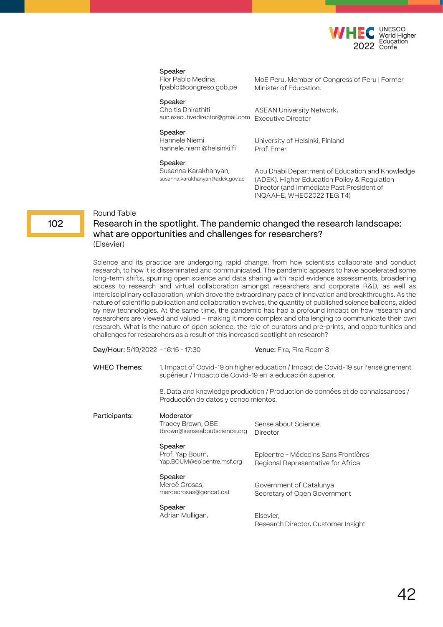

Flor Pablo Medina fpablo@congreso.gob.pe MoE Peru, Member of Congress of Peru | Former Minister of Education.

University of Helsinki, Finland

Speaker

Choltis Dhirathiti aun.executivedirector@gmail.com Executive Director ASEAN University Network,

Prof. Emer.

Speaker

Hannele Niemi hannele.niemi@helsinki.fi

Speaker

| Susanna Karakhanyan,            |
|---------------------------------|
| susanna.karakhanyan@adek.gov.ae |

Abu Dhabi Department of Education and Knowledge (ADEK). Higher Education Policy & Regulation Director (and Immediate Past President of INQAAHE, WHEC2022 TEG T4)

### Round Table

# Research in the spotlight. The pandemic changed the research landscape: what are opportunities and challenges for researchers? (Elsevier)

Science and its practice are undergoing rapid change, from how scientists collaborate and conduct research, to how it is disseminated and communicated. The pandemic appears to have accelerated some long-term shifts, spurring open science and data sharing with rapid evidence assessments, broadening access to research and virtual collaboration amongst researchers and corporate R&D, as well as interdisciplinary collaboration, which drove the extraordinary pace of innovation and breakthroughs. As the nature of scientific publication and collaboration evolves, the quantity of published science balloons, aided by new technologies. At the same time, the pandemic has had a profound impact on how research and researchers are viewed and valued – making it more complex and challenging to communicate their own research. What is the nature of open science, the role of curators and pre-prints, and opportunities and challenges for researchers as a result of this increased spotlight on research?

| Day/Hour: 5/19/2022 - 16:15 - 17:30 |                                                                | <b>Venue:</b> Fira, Fira Room 8                                                   |
|-------------------------------------|----------------------------------------------------------------|-----------------------------------------------------------------------------------|
| WHEC Themes:                        | supérieur / Impacto de Covid-19 en la educación superior.      | 1. Impact of Covid-19 on higher education / Impact de Covid-19 sur l'enseignement |
|                                     | Producción de datos y conocimientos.                           | 8. Data and knowledge production / Production de données et de connaissances /    |
| Participants:                       | Moderator<br>Tracey Brown, OBE<br>tbrown@senseaboutscience.org | Sense about Science<br>Director                                                   |
|                                     | Speaker<br>Prof. Yap Boum,<br>Yap.BOUM@epicentre.msf.org       | Epicentre - Médecins Sans Frontières<br>Regional Representative for Africa        |
|                                     | Speaker<br>Mercé Crosas,<br>mercecrosas@gencat.cat             | Government of Catalunya<br>Secretary of Open Government                           |
|                                     | Speaker<br>Adrian Mulligan,                                    | Elsevier,<br>Research Director, Customer Insight                                  |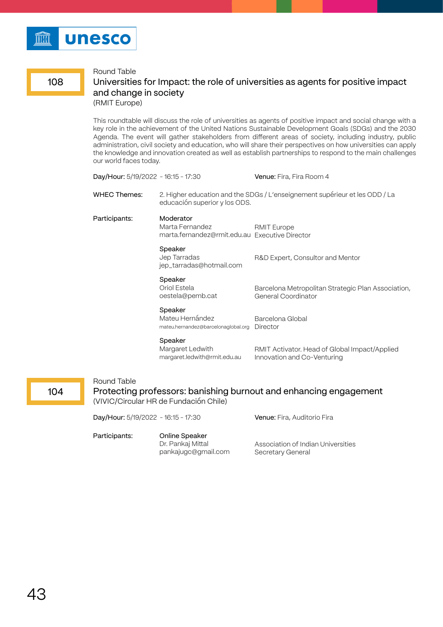

#### Round Table

# 108

# Universities for Impact: the role of universities as agents for positive impact and change in society

(RMIT Europe)

This roundtable will discuss the role of universities as agents of positive impact and social change with a key role in the achievement of the United Nations Sustainable Development Goals (SDGs) and the 2030 Agenda. The event will gather stakeholders from different areas of society, including industry, public administration, civil society and education, who will share their perspectives on how universities can apply the knowledge and innovation created as well as establish partnerships to respond to the main challenges our world faces today.

| Day/Hour: 5/19/2022 - 16:15 - 17:30 |                                                                                | <b>Venue:</b> Fira, Fira Room 4                                              |
|-------------------------------------|--------------------------------------------------------------------------------|------------------------------------------------------------------------------|
| <b>WHEC Themes:</b>                 | educación superior y los ODS.                                                  | 2. Higher education and the SDGs / L'enseignement supérieur et les ODD / La  |
| Participants:                       | Moderator<br>Marta Fernandez<br>marta.fernandez@rmit.edu.au Executive Director | <b>RMIT Europe</b>                                                           |
|                                     | Speaker<br>Jep Tarradas<br>jep_tarradas@hotmail.com                            | R&D Expert, Consultor and Mentor                                             |
|                                     | Speaker<br>Oriol Estela<br>oestela@pemb.cat                                    | Barcelona Metropolitan Strategic Plan Association,<br>General Coordinator    |
|                                     | Speaker<br>Mateu Hernández<br>mateu.hernandez@barcelonaglobal.org              | Barcelona Global<br>Director                                                 |
|                                     | Speaker<br>Margaret Ledwith<br>margaret.ledwith@rmit.edu.au                    | RMIT Activator. Head of Global Impact/Applied<br>Innovation and Co-Venturing |

# 104

## Round Table

Protecting professors: banishing burnout and enhancing engagement (VIVIC/Circular HR de Fundación Chile)

Day/Hour: 5/19/2022 - 16:15 - 17:30

Venue: Fira, Auditorio Fira

Participants:

Online Speaker Dr. Pankaj Mittal pankajugc@gmail.com

Association of Indian Universities Secretary General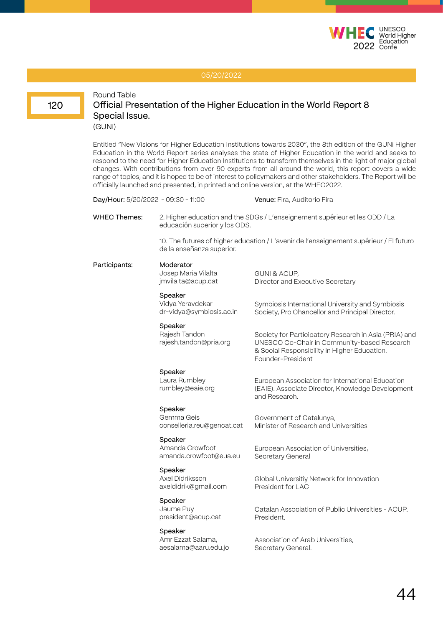

120

# Round Table Official Presentation of the Higher Education in the World Report 8 Special Issue.

(GUNi)

Entitled "New Visions for Higher Education Institutions towards 2030", the 8th edition of the GUNi Higher Education in the World Report series analyses the state of Higher Education in the world and seeks to respond to the need for Higher Education Institutions to transform themselves in the light of major global changes. With contributions from over 90 experts from all around the world, this report covers a wide range of topics, and it is hoped to be of interest to policymakers and other stakeholders. The Report will be officially launched and presented, in printed and online version, at the WHEC2022.

| Day/Hour: 5/20/2022 - 09:30 - 11:00 |                                                                                                              | Venue: Fira, Auditorio Fira                                                                                                                                               |
|-------------------------------------|--------------------------------------------------------------------------------------------------------------|---------------------------------------------------------------------------------------------------------------------------------------------------------------------------|
| WHEC Themes:                        | 2. Higher education and the SDGs / L'enseignement supérieur et les ODD / La<br>educación superior y los ODS. |                                                                                                                                                                           |
|                                     | de la enseñanza superior.                                                                                    | 10. The futures of higher education / L'avenir de l'enseignement supérieur / El futuro                                                                                    |
| Participants:                       | Moderator<br>Josep Maria Vilalta<br>jmvilalta@acup.cat                                                       | <b>GUNI &amp; ACUP,</b><br>Director and Executive Secretary                                                                                                               |
|                                     | Speaker<br>Vidya Yeravdekar<br>dr-vidya@symbiosis.ac.in                                                      | Symbiosis International University and Symbiosis<br>Society, Pro Chancellor and Principal Director.                                                                       |
|                                     | Speaker<br>Rajesh Tandon<br>rajesh.tandon@pria.org                                                           | Society for Participatory Research in Asia (PRIA) and<br>UNESCO Co-Chair in Community-based Research<br>& Social Responsibility in Higher Education.<br>Founder-President |
|                                     | Speaker<br>Laura Rumbley<br>rumbley@eaie.org                                                                 | European Association for International Education<br>(EAIE). Associate Director, Knowledge Development<br>and Research.                                                    |
|                                     | Speaker<br>Gemma Geis<br>conselleria.reu@gencat.cat                                                          | Government of Catalunya,<br>Minister of Research and Universities                                                                                                         |
|                                     | Speaker<br>Amanda Crowfoot<br>amanda.crowfoot@eua.eu                                                         | European Association of Universities,<br>Secretary General                                                                                                                |
|                                     | Speaker<br>Axel Didriksson<br>axeldidrik@gmail.com                                                           | Global Universitiy Network for Innovation<br>President for LAC                                                                                                            |
|                                     | Speaker<br>Jaume Puy<br>president@acup.cat                                                                   | Catalan Association of Public Universities - ACUP.<br>President.                                                                                                          |
|                                     | Speaker<br>Amr Ezzat Salama,<br>aesalama@aaru.edu.jo                                                         | Association of Arab Universities,<br>Secretary General.                                                                                                                   |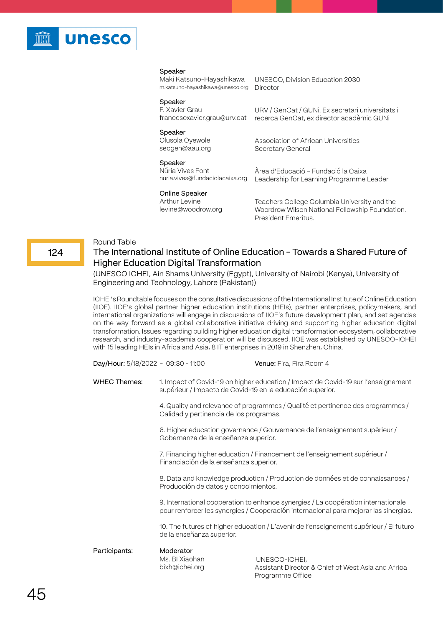

| Maki Katsuno-Hayashikawa<br>m.katsuno-hayashikawa@unesco.org   | UNESCO, Division Education 2030<br>Director                                                                            |
|----------------------------------------------------------------|------------------------------------------------------------------------------------------------------------------------|
| Speaker<br>F. Xavier Grau<br>francescxavier.grau@urv.cat       | URV / GenCat / GUNI. Ex secretari universitats i<br>recerca GenCat, ex director acadèmic GUNi                          |
| Speaker<br>Olusola Oyewole<br>secgen@aau.org                   | Association of African Universities<br>Secretary General                                                               |
| Speaker<br>Núria Vives Font<br>nuria.vives@fundaciolacaixa.org | Àrea d'Educació - Fundació la Caixa<br>Leadership for Learning Programme Leader                                        |
| Online Speaker<br>Arthur Levine<br>levine@woodrow.org          | Teachers College Columbia University and the<br>Woordrow Wilson National Fellowship Foundation.<br>President Emeritus. |

# 124

Round Table

# The International Institute of Online Education - Towards a Shared Future of Higher Education Digital Transformation

(UNESCO ICHEI, Ain Shams University (Egypt), University of Nairobi (Kenya), University of Engineering and Technology, Lahore (Pakistan))

ICHEI's Roundtable focuses on the consultative discussions of the International Institute of Online Education (IIOE). IIOE's global partner higher education institutions (HEIs), partner enterprises, policymakers, and international organizations will engage in discussions of IIOE's future development plan, and set agendas on the way forward as a global collaborative initiative driving and supporting higher education digital transformation. Issues regarding building higher education digital transformation ecosystem, collaborative research, and industry-academia cooperation will be discussed. IIOE was established by UNESCO-ICHEI with 15 leading HEIs in Africa and Asia, 8 IT enterprises in 2019 in Shenzhen, China.

| Day/Hour: 5/18/2022 - 09:30 - 11:00 |                                                                                                                                                | <b>Venue:</b> Fira, Fira Room 4                                                                                                                                           |
|-------------------------------------|------------------------------------------------------------------------------------------------------------------------------------------------|---------------------------------------------------------------------------------------------------------------------------------------------------------------------------|
| WHEC Themes:                        | 1. Impact of Covid-19 on higher education / Impact de Covid-19 sur l'enseignement<br>supérieur / Impacto de Covid-19 en la educación superior. |                                                                                                                                                                           |
|                                     | Calidad y pertinencia de los programas.                                                                                                        | 4. Quality and relevance of programmes / Qualité et pertinence des programmes /                                                                                           |
|                                     | Gobernanza de la enseñanza superior.                                                                                                           | 6. Higher education governance / Gouvernance de l'enseignement supérieur /                                                                                                |
|                                     | Financiación de la enseñanza superior.                                                                                                         | 7. Financing higher education / Financement de l'enseignement supérieur /                                                                                                 |
|                                     | 8. Data and knowledge production / Production de données et de connaissances /<br>Producción de datos y conocimientos.                         |                                                                                                                                                                           |
|                                     |                                                                                                                                                | 9. International cooperation to enhance synergies / La coopération internationale<br>pour renforcer les synergies / Cooperación internacional para mejorar las sinergias. |
|                                     | de la enseñanza superior.                                                                                                                      | 10. The futures of higher education / L'avenir de l'enseignement supérieur / El futuro                                                                                    |
| Participants:                       | Moderator<br>Ms. BI Xiaohan<br>bixh@ichei.org                                                                                                  | UNESCO-ICHEI,<br>Assistant Director & Chief of West Asia and Africa<br>Programme Office                                                                                   |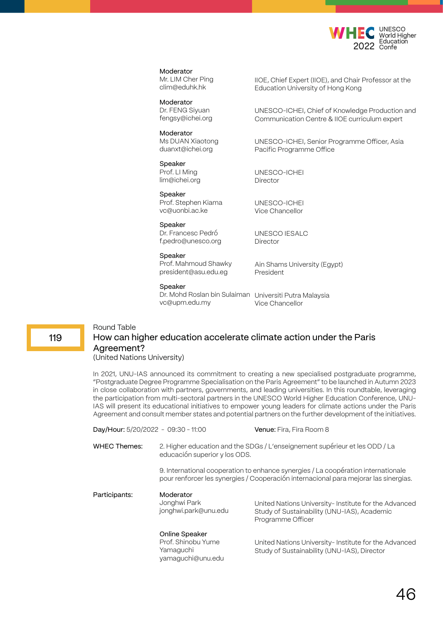

#### Moderator

Mr. LIM Cher Ping clim@eduhk.hk

Moderator Dr. FENG Siyuan

fengsy@ichei.org Moderator

Ms DUAN Xiaotong duanxt@ichei.org

Speaker

Prof. LI Ming lim@ichei.org

#### Speaker Prof. Stephen Kiama vc@uonbi.ac.ke

Speaker Dr. Francesc Pedró f.pedro@unesco.org

#### Speaker

Prof. Mahmoud Shawky president@asu.edu.eg

IIOE, Chief Expert (IIOE), and Chair Professor at the Education University of Hong Kong

UNESCO-ICHEI, Chief of Knowledge Production and Communication Centre & IIOE curriculum expert

UNESCO-ICHEI, Senior Programme Officer, Asia Pacific Programme Office

UNESCO-ICHEI Director

UNESCO-ICHEI Vice Chancellor

UNESCO IESALC Director

Ain Shams University (Egypt) President

#### Speaker

Dr. Mohd Roslan bin Sulaiman Universiti Putra Malaysia vc@upm.edu.my Vice Chancellor

# 119

## Round Table How can higher education accelerate climate action under the Paris Agreement? (United Nations University)

In 2021, UNU-IAS announced its commitment to creating a new specialised postgraduate programme, "Postgraduate Degree Programme Specialisation on the Paris Agreement" to be launched in Autumn 2023 in close collaboration with partners, governments, and leading universities. In this roundtable, leveraging the participation from multi-sectoral partners in the UNESCO World Higher Education Conference, UNU-IAS will present its educational initiatives to empower young leaders for climate actions under the Paris Agreement and consult member states and potential partners on the further development of the initiatives.

| Day/Hour: 5/20/2022 - 09:30 - 11:00 |                                                                                                              | <b>Venue:</b> Fira, Fira Room 8                                                                                                                                           |
|-------------------------------------|--------------------------------------------------------------------------------------------------------------|---------------------------------------------------------------------------------------------------------------------------------------------------------------------------|
| <b>WHEC Themes:</b>                 | 2. Higher education and the SDGs / L'enseignement supérieur et les ODD / La<br>educación superior y los ODS. |                                                                                                                                                                           |
|                                     |                                                                                                              | 9. International cooperation to enhance synergies / La coopération internationale<br>pour renforcer les synergies / Cooperación internacional para mejorar las sinergias. |
| Participants:                       | Moderator<br>Jonghwi Park<br>jonghwi.park@unu.edu                                                            | United Nations University-Institute for the Advanced<br>Study of Sustainability (UNU-IAS), Academic<br>Programme Officer                                                  |
|                                     | Online Speaker<br>Prof. Shinobu Yume<br>Yamaguchi<br>yamaguchi@unu.edu                                       | United Nations University-Institute for the Advanced<br>Study of Sustainability (UNU-IAS), Director                                                                       |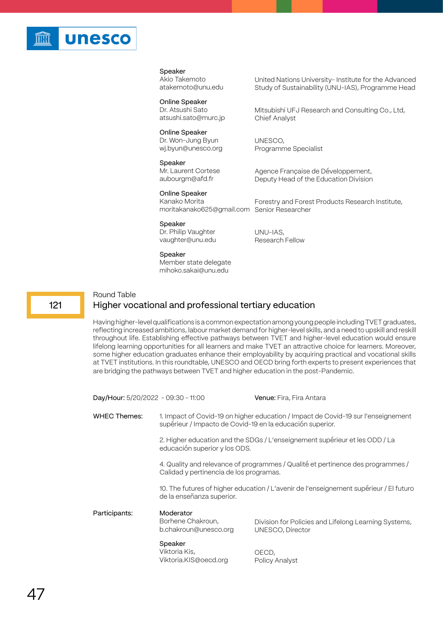

Akio Takemoto atakemoto@unu.edu

Online Speaker

Dr. Atsushi Sato atsushi.sato@murc.jp

#### Online Speaker

Dr. Won-Jung Byun wj.byun@unesco.org

Speaker Mr. Laurent Cortese aubourgm@afd.fr

United Nations University- Institute for the Advanced Study of Sustainability (UNU-IAS), Programme Head

Mitsubishi UFJ Research and Consulting Co., Ltd, Chief Analyst

UNESCO, Programme Specialist

Agence Française de Développement, Deputy Head of the Education Division

Online Speaker Kanako Morita

moritakanako625@gmail.com Senior Researcher Forestry and Forest Products Research Institute,

Speaker

Speaker

Dr. Philip Vaughter vaughter@unu.edu

Member state delegate mihoko.sakai@unu.edu

UNU-IAS, Research Fellow

#### Round Table

# Higher vocational and professional tertiary education

Having higher-level qualifications is a common expectation among young people including TVET graduates, reflecting increased ambitions, labour market demand for higher-level skills, and a need to upskill and reskill throughout life. Establishing effective pathways between TVET and higher-level education would ensure lifelong learning opportunities for all learners and make TVET an attractive choice for learners. Moreover, some higher education graduates enhance their employability by acquiring practical and vocational skills at TVET institutions. In this roundtable, UNESCO and OECD bring forth experts to present experiences that are bridging the pathways between TVET and higher education in the post-Pandemic.

| Day/Hour: 5/20/2022 - 09:30 - 11:00 |                                                                                                                                                | <b>Venue:</b> Fira, Fira Antara                                                 |
|-------------------------------------|------------------------------------------------------------------------------------------------------------------------------------------------|---------------------------------------------------------------------------------|
| <b>WHEC Themes:</b>                 | 1. Impact of Covid-19 on higher education / Impact de Covid-19 sur l'enseignement<br>supérieur / Impacto de Covid-19 en la educación superior. |                                                                                 |
|                                     | educación superior y los ODS.                                                                                                                  | 2. Higher education and the SDGs / L'enseignement supérieur et les ODD / La     |
|                                     | Calidad y pertinencia de los programas.                                                                                                        | 4. Quality and relevance of programmes / Qualité et pertinence des programmes / |
|                                     | 10. The futures of higher education / L'avenir de l'enseignement supérieur / El futuro<br>de la enseñanza superior.                            |                                                                                 |
| Participants:                       | Moderator<br>Borhene Chakroun,<br>b.chakroun@unesco.org                                                                                        | Division for Policies and Lifelong Learning Systems,<br>UNESCO, Director        |
|                                     | Speaker<br>Viktoria Kis,<br>Viktoria.KIS@oecd.org                                                                                              | OECD,<br>Policy Analyst                                                         |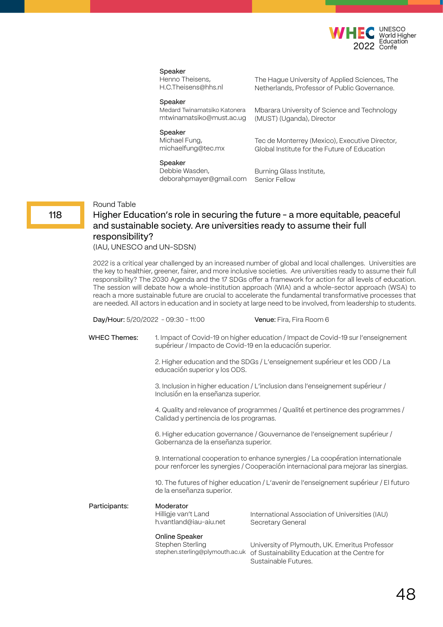

Henno Theisens, H.C.Theisens@hhs.nl The Hague University of Applied Sciences, The Netherlands, Professor of Public Governance.

Tec de Monterrey (Mexico), Executive Director, Global Institute for the Future of Education

#### Speaker

Medard Twinamatsiko Katonera mtwinamatsiko@must.ac.ug Mbarara University of Science and Technology (MUST) (Uganda), Director

Speaker

Michael Fung, michaelfung@tec.mx

Speaker

Debbie Wasden, deborahpmayer@gmail.com

Burning Glass Institute, Senior Fellow

#### Round Table

# Higher Education's role in securing the future - a more equitable, peaceful and sustainable society. Are universities ready to assume their full responsibility?

(IAU, UNESCO and UN-SDSN)

2022 is a critical year challenged by an increased number of global and local challenges. Universities are the key to healthier, greener, fairer, and more inclusive societies. Are universities ready to assume their full responsibility? The 2030 Agenda and the 17 SDGs offer a framework for action for all levels of education. The session will debate how a whole-institution approach (WIA) and a whole-sector approach (WSA) to reach a more sustainable future are crucial to accelerate the fundamental transformative processes that are needed. All actors in education and in society at large need to be involved, from leadership to students.

Day/Hour: 5/20/2022 - 09:30 - 11:00 Venue: Fira, Fira Room 6 1. Impact of Covid-19 on higher education / Impact de Covid-19 sur l'enseignement supérieur / Impacto de Covid-19 en la educación superior. 2. Higher education and the SDGs / L'enseignement supérieur et les ODD / La educación superior y los ODS. 3. Inclusion in higher education / L'inclusion dans l'enseignement supérieur / Inclusión en la enseñanza superior. 4. Quality and relevance of programmes / Qualité et pertinence des programmes / Calidad y pertinencia de los programas. 6. Higher education governance / Gouvernance de l'enseignement supérieur / Gobernanza de la enseñanza superior. 9. International cooperation to enhance synergies / La coopération internationale pour renforcer les synergies / Cooperación internacional para mejorar las sinergias. 10. The futures of higher education / L'avenir de l'enseignement supérieur / El futuro de la enseñanza superior. WHEC Themes: Moderator Hilligje van't Land h.vantland@iau-aiu.net Online Speaker Stephen Sterling stephen.sterling@plymouth.ac.uk International Association of Universities (IAU) Secretary General University of Plymouth, UK. Emeritus Professor of Sustainability Education at the Centre for Sustainable Futures. Participants: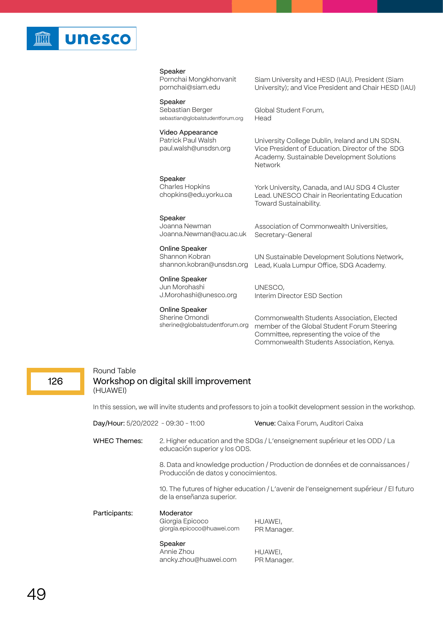

Pornchai Mongkhonvanit pornchai@siam.edu

Siam University and HESD (IAU). President (Siam University); and Vice President and Chair HESD (IAU)

University College Dublin, Ireland and UN SDSN. Vice President of Education. Director of the SDG Academy. Sustainable Development Solutions

York University, Canada, and IAU SDG 4 Cluster Lead. UNESCO Chair in Reorientating Education

Speaker Sebastian Berger sebastian@globalstudentforum.org

#### Video Appearance

Patrick Paul Walsh paul.walsh@unsdsn.org

Speaker Charles Hopkins chopkins@edu.yorku.ca

Speaker Joanna Newman Joanna.Newman@acu.ac.uk

Online Speaker Shannon Kobran shannon.kobran@unsdsn.org

#### Online Speaker

Jun Morohashi J.Morohashi@unesco.org

Online Speaker

Sherine Omondi sherine@globalstudentforum.org Association of Commonwealth Universities, Secretary-General

UN Sustainable Development Solutions Network, Lead, Kuala Lumpur Office, SDG Academy.

UNESCO, Interim Director ESD Section

Global Student Forum,

Toward Sustainability.

Head

Network

Commonwealth Students Association, Elected member of the Global Student Forum Steering Committee, representing the voice of the Commonwealth Students Association, Kenya.

126

## Round Table Workshop on digital skill improvement (HUAWEI)

In this session, we will invite students and professors to join a toolkit development session in the workshop.

| Day/Hour: 5/20/2022 - 09:30 - 11:00 |                                                                                                                        | Venue: Caixa Forum, Auditori Caixa                                                     |
|-------------------------------------|------------------------------------------------------------------------------------------------------------------------|----------------------------------------------------------------------------------------|
| <b>WHEC Themes:</b>                 | educación superior y los ODS.                                                                                          | 2. Higher education and the SDGs / L'enseignement supérieur et les ODD / La            |
|                                     | 8. Data and knowledge production / Production de données et de connaissances /<br>Producción de datos y conocimientos. |                                                                                        |
|                                     | de la enseñanza superior.                                                                                              | 10. The futures of higher education / L'avenir de l'enseignement supérieur / El futuro |
| Participants:                       | Moderator<br>Giorgia Epicoco<br>giorgia.epicoco@huawei.com                                                             | HUAWEI,<br>PR Manager.                                                                 |
|                                     | Speaker<br>Annie Zhou<br>ancky.zhou@huawei.com                                                                         | HUAWEI,<br>PR Manager.                                                                 |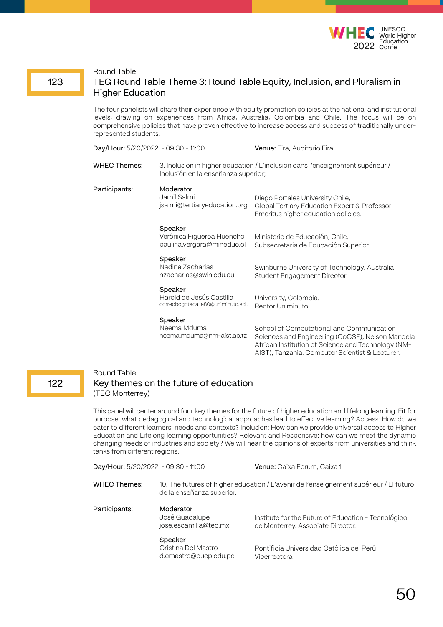

### Round Table

123

# TEG Round Table Theme 3: Round Table Equity, Inclusion, and Pluralism in Higher Education

The four panelists will share their experience with equity promotion policies at the national and institutional levels, drawing on experiences from Africa, Australia, Colombia and Chile. The focus will be on comprehensive policies that have proven effective to increase access and success of traditionally underrepresented students.

| Day/Hour: 5/20/2022 - 09:30 - 11:00 |                                                                          | <b>Venue:</b> Fira, Auditorio Fira                                                                                                                  |
|-------------------------------------|--------------------------------------------------------------------------|-----------------------------------------------------------------------------------------------------------------------------------------------------|
| WHEC Themes:                        | Inclusión en la enseñanza superior;                                      | 3. Inclusion in higher education / L'inclusion dans l'enseignement supérieur /                                                                      |
| Participants:                       | Moderator<br>Jamil Salmi<br>jsalmi@tertiaryeducation.org                 | Diego Portales University Chile,<br>Global Tertiary Education Expert & Professor<br>Emeritus higher education policies.                             |
|                                     | Speaker<br>Verónica Figueroa Huencho<br>paulina.vergara@mineduc.cl       | Ministerio de Educación, Chile.<br>Subsecretaria de Educación Superior                                                                              |
|                                     | Speaker<br>Nadine Zacharias<br>nzacharias@swin.edu.au                    | Swinburne University of Technology, Australia<br><b>Student Engagement Director</b>                                                                 |
|                                     | Speaker<br>Harold de Jesús Castilla<br>correobogotacalle80@uniminuto.edu | University, Colombia.<br><b>Rector Uniminuto</b>                                                                                                    |
|                                     | Speaker<br>Neema Mduma<br>neema.mduma@nm-aist.ac.tz                      | School of Computational and Communication<br>Sciences and Engineering (CoCSE), Nelson Mandela<br>African Institution of Science and Technology (NM- |

# 122

# Round Table

# Key themes on the future of education (TEC Monterrey)

This panel will center around four key themes for the future of higher education and lifelong learning. Fit for purpose: what pedagogical and technological approaches lead to effective learning? Access: How do we cater to different learners' needs and contexts? Inclusion: How can we provide universal access to Higher Education and Lifelong learning opportunities? Relevant and Responsive: how can we meet the dynamic changing needs of industries and society? We will hear the opinions of experts from universities and think tanks from different regions.

AIST), Tanzania. Computer Scientist & Lecturer.

| Day/Hour: 5/20/2022 - 09:30 - 11:00                                                                                 | Venue: Caixa Forum, Caixa 1                                                              |
|---------------------------------------------------------------------------------------------------------------------|------------------------------------------------------------------------------------------|
| 10. The futures of higher education / L'avenir de l'enseignement supérieur / El futuro<br>de la enseñanza superior. |                                                                                          |
| Moderator<br>José Guadalupe<br>jose.escamilla@tec.mx                                                                | Institute for the Future of Education - Tecnológico<br>de Monterrey. Associate Director. |
| Speaker<br>Cristina Del Mastro<br>d.cmastro@pucp.edu.pe                                                             | Pontificia Universidad Católica del Perú<br>Vicerrectora                                 |
|                                                                                                                     |                                                                                          |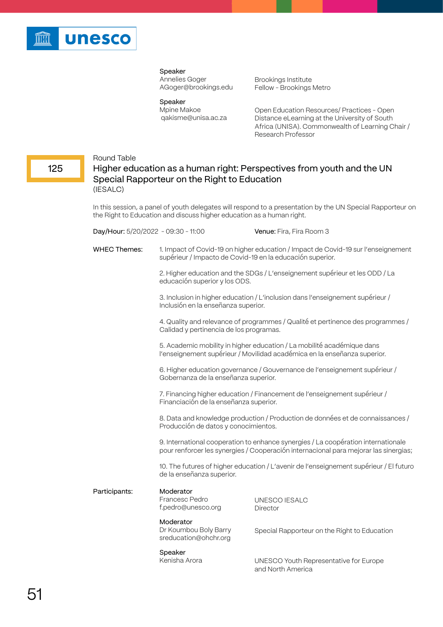

Annelies Goger AGoger@brookings.edu Brookings Institute Fellow - Brookings Metro

Speaker Mpine Makoe qakisme@unisa.ac.za

Open Education Resources/ Practices - Open Distance eLearning at the University of South Africa (UNISA). Commonwealth of Learning Chair / Research Professor

### Round Table

# Higher education as a human right: Perspectives from youth and the UN Special Rapporteur on the Right to Education (IESALC)

In this session, a panel of youth delegates will respond to a presentation by the UN Special Rapporteur on the Right to Education and discuss higher education as a human right.

Day/Hour: 5/20/2022 - 09:30 - 11:00 Venue: Fira, Fira Room 3

1. Impact of Covid-19 on higher education / Impact de Covid-19 sur l'enseignement supérieur / Impacto de Covid-19 en la educación superior. WHEC Themes:

> 2. Higher education and the SDGs / L'enseignement supérieur et les ODD / La educación superior y los ODS.

3. Inclusion in higher education / L'inclusion dans l'enseignement supérieur / Inclusión en la enseñanza superior.

4. Quality and relevance of programmes / Qualité et pertinence des programmes / Calidad y pertinencia de los programas.

5. Academic mobility in higher education / La mobilité académique dans l'enseignement supérieur / Movilidad académica en la enseñanza superior.

6. Higher education governance / Gouvernance de l'enseignement supérieur / Gobernanza de la enseñanza superior.

7. Financing higher education / Financement de l'enseignement supérieur / Financiación de la enseñanza superior.

8. Data and knowledge production / Production de données et de connaissances / Producción de datos y conocimientos.

9. International cooperation to enhance synergies / La coopération internationale pour renforcer les synergies / Cooperación internacional para mejorar las sinergias;

10. The futures of higher education / L'avenir de l'enseignement supérieur / El futuro de la enseñanza superior.

Participants:

Moderator Francesc Pedro f.pedro@unesco.org

UNESCO IESALC Director

#### Moderator

Dr Koumbou Boly Barry sreducation@ohchr.org Special Rapporteur on the Right to Education

Speaker

Kenisha Arora

UNESCO Youth Representative for Europe and North America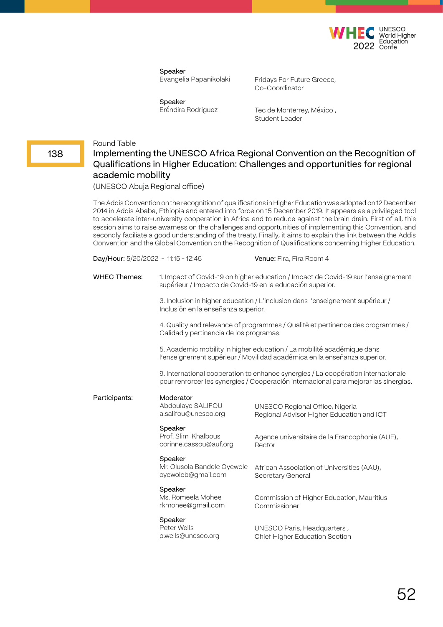

**Speaker**<br>Evangelia Papanikolaki

Fridays For Future Greece, Co-Coordinator

Speaker<br>Eréndira Rodriguez

Tec de Monterrey, México, Student Leader

# Round Table

# Implementing the UNESCO Africa Regional Convention on the Recognition of Qualifications in Higher Education: Challenges and opportunities for regional academic mobility

(UNESCO Abuja Regional office)

The Addis Convention on the recognition of qualifications in Higher Education was adopted on 12 December 2014 in Addis Ababa, Ethiopia and entered into force on 15 December 2019. It appears as a privileged tool to accelerate inter-university cooperation in Africa and to reduce against the brain drain. First of all, this session aims to raise awarness on the challenges and opportunities of implementing this Convention, and secondly faciliate a good understanding of the treaty. Finally, it aims to explain the link between the Addis Convention and the Global Convention on the Recognition of Qualifications concerning Higher Education.

| Day/Hour: 5/20/2022 - 11:15 - 12:45 |                                                                                                                                                | Venue: Fira, Fira Room 4                                                                                                                                                  |  |
|-------------------------------------|------------------------------------------------------------------------------------------------------------------------------------------------|---------------------------------------------------------------------------------------------------------------------------------------------------------------------------|--|
| <b>WHEC Themes:</b>                 | 1. Impact of Covid-19 on higher education / Impact de Covid-19 sur l'enseignement<br>supérieur / Impacto de Covid-19 en la educación superior. |                                                                                                                                                                           |  |
|                                     | Inclusión en la enseñanza superior.                                                                                                            | 3. Inclusion in higher education / L'inclusion dans l'enseignement supérieur /                                                                                            |  |
|                                     | Calidad y pertinencia de los programas.                                                                                                        | 4. Quality and relevance of programmes / Qualité et pertinence des programmes /                                                                                           |  |
|                                     |                                                                                                                                                | 5. Academic mobility in higher education / La mobilité académique dans<br>l'enseignement supérieur / Movilidad académica en la enseñanza superior.                        |  |
|                                     |                                                                                                                                                | 9. International cooperation to enhance synergies / La coopération internationale<br>pour renforcer les synergies / Cooperación internacional para mejorar las sinergias. |  |
| Participants:                       | Moderator<br>Abdoulaye SALIFOU<br>a.salifou@unesco.org                                                                                         | UNESCO Regional Office, Nigeria<br>Regional Advisor Higher Education and ICT                                                                                              |  |
|                                     | Speaker<br>Prof. Slim Khalbous<br>corinne.cassou@auf.org                                                                                       | Agence universitaire de la Francophonie (AUF),<br>Rector                                                                                                                  |  |
|                                     | Speaker<br>Mr. Olusola Bandele Oyewole<br>oyewoleb@gmail.com                                                                                   | African Association of Universities (AAU),<br>Secretary General                                                                                                           |  |
|                                     | Speaker<br>Ms. Romeela Mohee<br>rkmohee@gmail.com                                                                                              | Commission of Higher Education, Mauritius<br>Commissioner                                                                                                                 |  |
|                                     | Speaker<br>Peter Wells<br>p.wells@unesco.org                                                                                                   | UNESCO Paris, Headquarters,<br>Chief Higher Education Section                                                                                                             |  |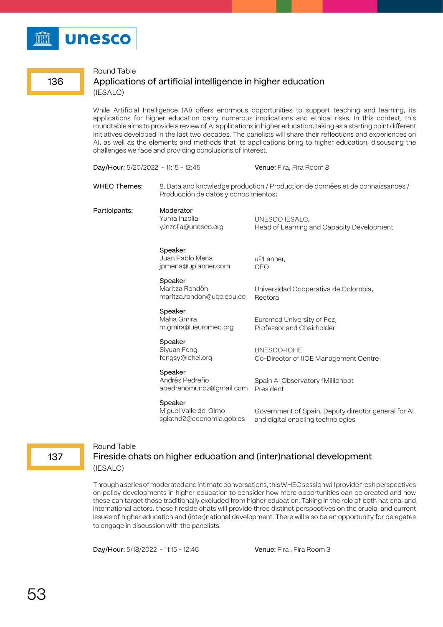

#### Round Table

136

# Applications of artificial intelligence in higher education (IESALC)

While Artificial Intelligence (AI) offers enormous opportunities to support teaching and learning, its applications for higher education carry numerous implications and ethical risks. In this context, this roundtable aims to provide a review of AI applications in higher education, taking as a starting point different initiatives developed in the last two decades. The panelists will share their reflections and experiences on AI, as well as the elements and methods that its applications bring to higher education, discussing the challenges we face and providing conclusions of interest.

| Day/Hour: 5/20/2022 - 11:15 - 12:45 |                                                              | Venue: Fira, Fira Room 8                                                                 |
|-------------------------------------|--------------------------------------------------------------|------------------------------------------------------------------------------------------|
| WHEC Themes:                        | Producción de datos y conocimientos;                         | 8. Data and knowledge production / Production de données et de connaissances /           |
| Participants:                       | Moderator<br>Yuma Inzolia<br>y.inzolia@unesco.org            | UNESCO IESALC,<br>Head of Learning and Capacity Development                              |
|                                     | Speaker<br>Juan Pablo Mena<br>jpmena@uplanner.com            | uPLanner,<br><b>CEO</b>                                                                  |
|                                     | Speaker<br>Maritza Rondón<br>maritza.rondon@ucc.edu.co       | Universidad Cooperativa de Colombia,<br>Rectora                                          |
|                                     | Speaker<br>Maha Gmira<br>m.gmira@ueuromed.org                | Euromed University of Fez,<br>Professor and Chairholder                                  |
|                                     | Speaker<br>Siyuan Feng<br>fengsy@ichei.org                   | UNESCO-ICHEI<br>Co-Director of IIOE Management Centre                                    |
|                                     | Speaker<br>Andrés Pedreño<br>apedrenomunoz@gmail.com         | Spain AI Observatory 1Millionbot<br>President                                            |
|                                     | Speaker<br>Miguel Valle del Olmo<br>sgiathd2@economia.gob.es | Government of Spain, Deputy director general for AI<br>and digital enabling technologies |



## Round Table Fireside chats on higher education and (inter)national development (IESALC)

Through a series of moderated and intimate conversations, this WHEC session will provide fresh perspectives on policy developments in higher education to consider how more opportunities can be created and how these can target those traditionally excluded from higher education. Taking in the role of both national and international actors, these fireside chats will provide three distinct perspectives on the crucial and current issues of higher education and (inter)national development. There will also be an opportunity for delegates to engage in discussion with the panelists.

**Day/Hour:** 5/18/2022 - 11:15 - 12:45 **Venue: Fira , Fira Room 3**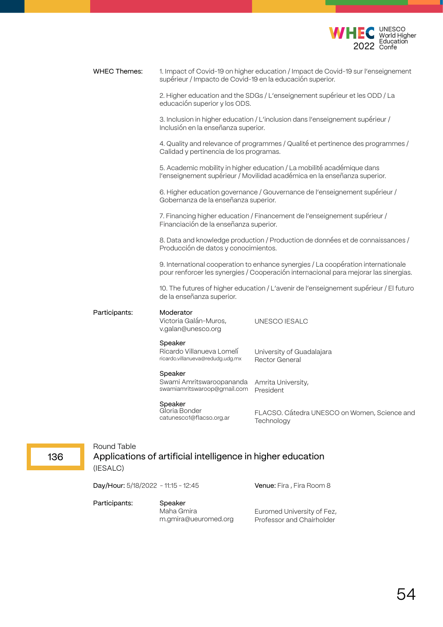

| WHEC Themes:       | supérieur / Impacto de Covid-19 en la educación superior.                                                              | 1. Impact of Covid-19 on higher education / Impact de Covid-19 sur l'enseignement                                                                                         |
|--------------------|------------------------------------------------------------------------------------------------------------------------|---------------------------------------------------------------------------------------------------------------------------------------------------------------------------|
|                    | educación superior y los ODS.                                                                                          | 2. Higher education and the SDGs / L'enseignement supérieur et les ODD / La                                                                                               |
|                    | Inclusión en la enseñanza superior.                                                                                    | 3. Inclusion in higher education / L'inclusion dans l'enseignement supérieur /                                                                                            |
|                    | Calidad y pertinencia de los programas.                                                                                | 4. Quality and relevance of programmes / Qualité et pertinence des programmes /                                                                                           |
|                    |                                                                                                                        | 5. Academic mobility in higher education / La mobilité académique dans<br>l'enseignement supérieur / Movilidad académica en la enseñanza superior.                        |
|                    | Gobernanza de la enseñanza superior.                                                                                   | 6. Higher education governance / Gouvernance de l'enseignement supérieur /                                                                                                |
|                    | 7. Financing higher education / Financement de l'enseignement supérieur /<br>Financiación de la enseñanza superior.    |                                                                                                                                                                           |
|                    | 8. Data and knowledge production / Production de données et de connaissances /<br>Producción de datos y conocimientos. |                                                                                                                                                                           |
|                    |                                                                                                                        | 9. International cooperation to enhance synergies / La coopération internationale<br>pour renforcer les synergies / Cooperación internacional para mejorar las sinergias. |
|                    | de la enseñanza superior.                                                                                              | 10. The futures of higher education / L'avenir de l'enseignement supérieur / El futuro                                                                                    |
| Participants:      | Moderator<br>Victoria Galán-Muros,<br>v.galan@unesco.org                                                               | UNESCO IESALC                                                                                                                                                             |
|                    | Speaker<br>Ricardo Villanueva Lomelí<br>ricardo.villanueva@redudg.udg.mx                                               | University of Guadalajara<br><b>Rector General</b>                                                                                                                        |
|                    | Speaker<br>Swami Amritswaroopananda<br>swamiamritswaroop@gmail.com                                                     | Amrita University,<br>President                                                                                                                                           |
|                    | Speaker<br>Gloria Bonder<br>catunesco1@flacso.org.ar                                                                   | FLACSO. Cátedra UNESCO on Women, Science and<br>Technology                                                                                                                |
| <b>Round Table</b> | Applications of artificial intelligence in higher education                                                            |                                                                                                                                                                           |

136

(IESALC)

Day/Hour: 5/18/2022 - 11:15 - 12:45 Venue: Fira , Fira Room 8

Participants:

Speaker Maha Gmira m.gmira@ueuromed.org

Euromed University of Fez, Professor and Chairholder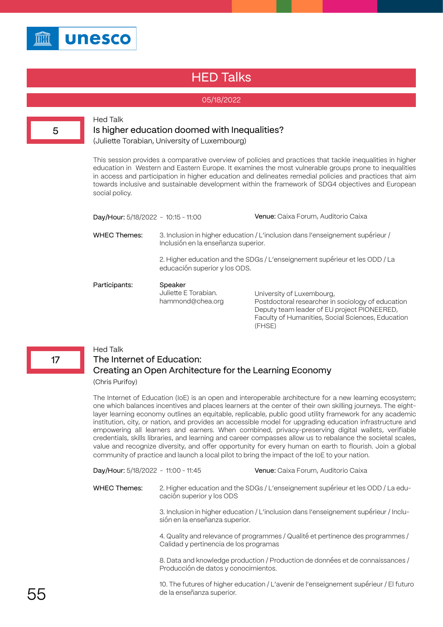

# HED Talks

## 05/18/2022



#### Hed Talk

# Is higher education doomed with Inequalities?

(Juliette Torabian, University of Luxembourg)

This session provides a comparative overview of policies and practices that tackle inequalities in higher education in Western and Eastern Europe. It examines the most vulnerable groups prone to inequalities in access and participation in higher education and delineates remedial policies and practices that aim towards inclusive and sustainable development within the framework of SDG4 objectives and European social policy.

| Day/Hour: 5/18/2022 - 10:15 - 11:00 |                                                     | Venue: Caixa Forum, Auditorio Caixa                                                                                                                                                          |
|-------------------------------------|-----------------------------------------------------|----------------------------------------------------------------------------------------------------------------------------------------------------------------------------------------------|
| <b>WHEC Themes:</b>                 | Inclusión en la enseñanza superior.                 | 3. Inclusion in higher education / L'inclusion dans l'enseignement supérieur /                                                                                                               |
|                                     | educación superior y los ODS.                       | 2. Higher education and the SDGs / L'enseignement supérieur et les ODD / La                                                                                                                  |
| Participants:                       | Speaker<br>Juliette E Torabian.<br>hammond@chea.org | University of Luxembourg,<br>Postdoctoral researcher in sociology of education<br>Deputy team leader of EU project PIONEERED,<br>Faculty of Humanities, Social Sciences, Education<br>(FHSE) |

#### 17

# Hed Talk

# The Internet of Education: Creating an Open Architecture for the Learning Economy

(Chris Purifoy)

The Internet of Education (IoE) is an open and interoperable architecture for a new learning ecosystem; one which balances incentives and places learners at the center of their own skilling journeys. The eightlayer learning economy outlines an equitable, replicable, public good utility framework for any academic institution, city, or nation, and provides an accessible model for upgrading education infrastructure and empowering all learners and earners. When combined, privacy-preserving digital wallets, verifiable credentials, skills libraries, and learning and career compasses allow us to rebalance the societal scales, value and recognize diversity, and offer opportunity for every human on earth to flourish. Join a global community of practice and launch a local pilot to bring the impact of the IoE to your nation.

| Day/Hour: 5/18/2022 - 11:00 - 11:45 |                                                                                                               | Venue: Caixa Forum, Auditorio Caixa                                                    |
|-------------------------------------|---------------------------------------------------------------------------------------------------------------|----------------------------------------------------------------------------------------|
| <b>WHEC Themes:</b>                 | 2. Higher education and the SDGs / L'enseignement supérieur et les ODD / La edu-<br>cación superior y los ODS |                                                                                        |
|                                     | sión en la enseñanza superior.                                                                                | 3. Inclusion in higher education / L'inclusion dans l'enseignement supérieur / Inclu-  |
|                                     | Calidad y pertinencia de los programas                                                                        | 4. Quality and relevance of programmes / Qualité et pertinence des programmes /        |
|                                     | Producción de datos y conocimientos.                                                                          | 8. Data and knowledge production / Production de données et de connaissances /         |
|                                     | de la enseñanza superior.                                                                                     | 10. The futures of higher education / L'avenir de l'enseignement supérieur / El futuro |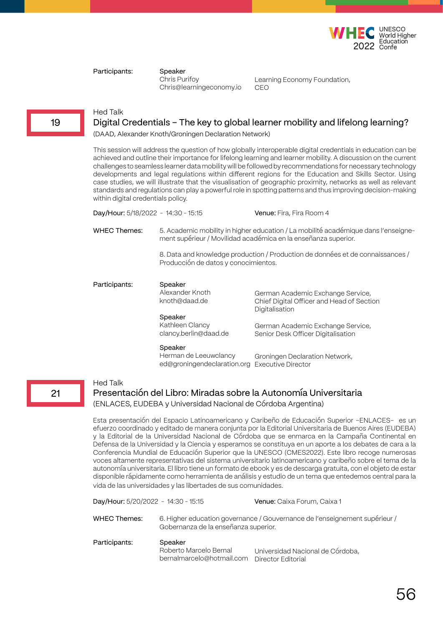

Participants:

Speaker Chris Purifoy Chris@learningeconomy.io

Learning Economy Foundation, C<sub>EO</sub>

## Hed Talk

# Digital Credentials – The key to global learner mobility and lifelong learning?

(DAAD, Alexander Knoth/Groningen Declaration Network)

This session will address the question of how globally interoperable digital credentials in education can be achieved and outline their importance for lifelong learning and learner mobility. A discussion on the current challenges to seamless learner data mobility will be followed by recommendations for necessary technology developments and legal regulations within different regions for the Education and Skills Sector. Using case studies, we will illustrate that the visualisation of geographic proximity, networks as well as relevant standards and regulations can play a powerful role in spotting patterns and thus improving decision-making within digital credentials policy.

| Day/Hour: 5/18/2022 - 14:30 - 15:15 |                                                                                                    | <b>Venue:</b> Fira, Fira Room 4                                                                                                                                             |
|-------------------------------------|----------------------------------------------------------------------------------------------------|-----------------------------------------------------------------------------------------------------------------------------------------------------------------------------|
| <b>WHEC Themes:</b>                 |                                                                                                    | 5. Academic mobility in higher education / La mobilité académique dans l'enseigne-<br>ment supérieur / Movilidad académica en la enseñanza superior.                        |
|                                     | Producción de datos y conocimientos.                                                               | 8. Data and knowledge production / Production de données et de connaissances /                                                                                              |
| Participants:                       | Speaker<br>Alexander Knoth<br>knoth@daad.de<br>Speaker<br>Kathleen Clancy<br>clancy.berlin@daad.de | German Academic Exchange Service,<br>Chief Digital Officer and Head of Section<br>Digitalisation<br>German Academic Exchange Service,<br>Senior Desk Officer Digitalisation |
|                                     | Speaker<br>Herman de Leeuwclancy<br>ed@groningendeclaration.org                                    | Groningen Declaration Network,<br><b>Executive Director</b>                                                                                                                 |

#### Hed Talk

# Presentación del Libro: Miradas sobre la Autonomía Universitaria (ENLACES, EUDEBA y Universidad Nacional de Córdoba Argentina)

Esta presentación del Espacio Latinoamericano y Caribeño de Educación Superior –ENLACES– es un efuerzo coordinado y editado de manera conjunta por la Editorial Universitaria de Buenos Aires (EUDEBA) y la Editorial de la Universidad Nacional de Córdoba que se enmarca en la Campaña Continental en Defensa de la Universidad y la Ciencia y esperamos se constituya en un aporte a los debates de cara a la Conferencia Mundial de Educación Superior que la UNESCO (CMES2022). Este libro recoge numerosas voces altamente representativas del sistema universitario latinoamericano y caribeño sobre el tema de la autonomía universitaria. El libro tiene un formato de ebook y es de descarga gratuita, con el objeto de estar disponible rápidamente como herramienta de análisis y estudio de un tema que entedemos central para la vida de las universidades y las libertades de sus comunidades.

Day/Hour: 5/20/2022 - 14:30 - 15:15 Venue: Caixa Forum, Caixa 1

6. Higher education governance / Gouvernance de l'enseignement supérieur / Gobernanza de la enseñanza superior. WHEC Themes:

| Participants: | Speaker                                      |                                  |
|---------------|----------------------------------------------|----------------------------------|
|               | Roberto Marcelo Bernal                       | Universidad Nacional de Córdoba, |
|               | bernalmarcelo@hotmail.com Director Editorial |                                  |

19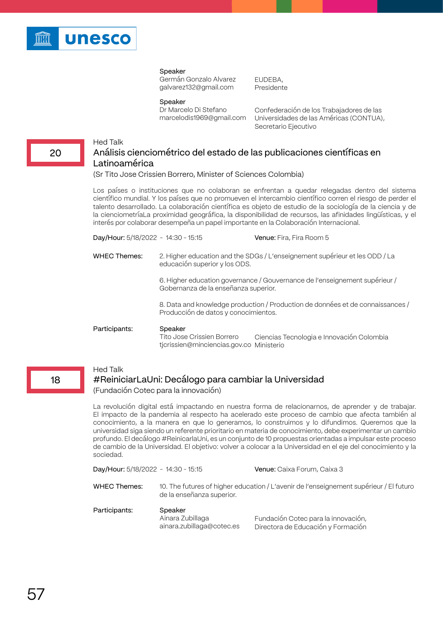

Germán Gonzalo Alvarez galvarez132@gmail.com

EUDEBA, Presidente

Speaker

Dr Marcelo Di Stefano marcelodis1969@gmail.com

Confederación de los Trabajadores de las Universidades de las Américas (CONTUA), Secretario Ejecutivo

# 20

# Hed Talk Análisis cienciométrico del estado de las publicaciones científicas en Latinoamérica

(Sr Tito Jose Crissien Borrero, Minister of Sciences Colombia)

Los países o instituciones que no colaboran se enfrentan a quedar relegadas dentro del sistema científico mundial. Y los países que no promueven el intercambio científico corren el riesgo de perder el talento desarrollado. La colaboración científica es objeto de estudio de la sociología de la ciencia y de la cienciometríaLa proximidad geográfica, la disponibilidad de recursos, las afinidades lingüísticas, y el interés por colaborar desempeña un papel importante en la Colaboración Internacional.

| Day/Hour: 5/18/2022 - 14:30 - 15:15 |                                                                                                                        | <b>Venue:</b> Fira, Fira Room 5                                             |
|-------------------------------------|------------------------------------------------------------------------------------------------------------------------|-----------------------------------------------------------------------------|
| <b>WHEC Themes:</b>                 | educación superior y los ODS.                                                                                          | 2. Higher education and the SDGs / L'enseignement supérieur et les ODD / La |
|                                     | Gobernanza de la enseñanza superior.                                                                                   | 6. Higher education governance / Gouvernance de l'enseignement supérieur /  |
|                                     | 8. Data and knowledge production / Production de données et de connaissances /<br>Producción de datos y conocimientos. |                                                                             |
| Participants:                       | Speaker<br>Tito Jose Crissien Borrero                                                                                  | Ciencias Tecnologia e Innovación Colombia                                   |

Tito Jose Crissien Borrero tjcrissien@minciencias.gov.co Ministerio Ciencias Tecnologia e Innovación Colombia

#### Hed Talk

## #ReiniciarLaUni: Decálogo para cambiar la Universidad

(Fundación Cotec para la innovación)

La revolución digital está impactando en nuestra forma de relacionarnos, de aprender y de trabajar. El impacto de la pandemia al respecto ha acelerado este proceso de cambio que afecta también al conocimiento, a la manera en que lo generamos, lo construimos y lo difundimos. Queremos que la universidad siga siendo un referente prioritario en materia de conocimiento, debe experimentar un cambio profundo. El decálogo #ReinicarlaUni, es un conjunto de 10 propuestas orientadas a impulsar este proceso de cambio de la Universidad. El objetivo: volver a colocar a la Universidad en el eje del conocimiento y la sociedad.

| Day/Hour: 5/18/2022 - 14:30 - 15:15 |                                                          | <b>Venue:</b> Caixa Forum, Caixa 3                                                     |
|-------------------------------------|----------------------------------------------------------|----------------------------------------------------------------------------------------|
| <b>WHEC Themes:</b>                 | de la enseñanza superior.                                | 10. The futures of higher education / L'avenir de l'enseignement supérieur / El futuro |
| Participants:                       | Speaker<br>Ainara Zubillaga<br>ainara.zubillaga@cotec.es | Fundación Cotec para la innovación,<br>Directora de Educación y Formación              |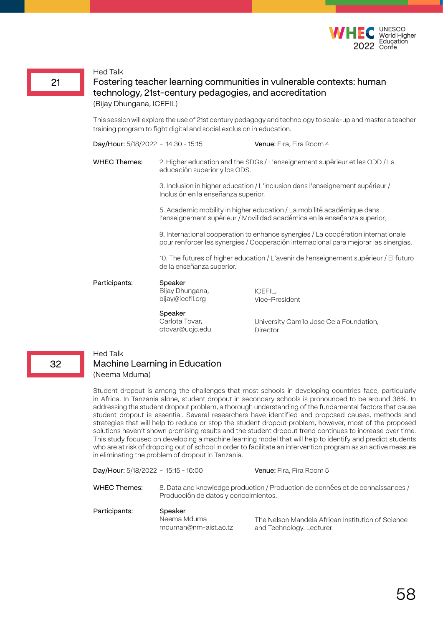

# Fostering teacher learning communities in vulnerable contexts: human technology, 21st-century pedagogies, and accreditation (Bijay Dhungana, ICEFIL)

This session will explore the use of 21st century pedagogy and technology to scale-up and master a teacher training program to fight digital and social exclusion in education.

Day/Hour: 5/18/2022 - 14:30 - 15:15 Venue: FIra, Fira Room 4 2. Higher education and the SDGs / L'enseignement supérieur et les ODD / La educación superior y los ODS. WHEC Themes:

3. Inclusion in higher education / L'inclusion dans l'enseignement supérieur / Inclusión en la enseñanza superior.

5. Academic mobility in higher education / La mobilité académique dans l'enseignement supérieur / Movilidad académica en la enseñanza superior;

9. International cooperation to enhance synergies / La coopération internationale pour renforcer les synergies / Cooperación internacional para mejorar las sinergias.

10. The futures of higher education / L'avenir de l'enseignement supérieur / El futuro de la enseñanza superior.

#### Speaker Participants:

Bijay Dhungana, bijay@icefil.org

ICEFIL, Vice-President

Speaker Carlota Tovar, ctovar@ucjc.edu

University Camilo Jose Cela Foundation, Director

32

## Hed Talk Machine Learning in Education (Neema Mduma)

Student dropout is among the challenges that most schools in developing countries face, particularly in Africa. In Tanzania alone, student dropout in secondary schools is pronounced to be around 36%. In addressing the student dropout problem, a thorough understanding of the fundamental factors that cause student dropout is essential. Several researchers have identified and proposed causes, methods and strategies that will help to reduce or stop the student dropout problem, however, most of the proposed solutions haven't shown promising results and the student dropout trend continues to increase over time. This study focused on developing a machine learning model that will help to identify and predict students who are at risk of dropping out of school in order to facilitate an intervention program as an active measure in eliminating the problem of dropout in Tanzania.

| Day/Hour: 5/18/2022 - 15:15 - 16:00 |                                                | <b>Venue:</b> Fira, Fira Room 5                                                |
|-------------------------------------|------------------------------------------------|--------------------------------------------------------------------------------|
| WHEC Themes:                        | Producción de datos y conocimientos.           | 8. Data and knowledge production / Production de données et de connaissances / |
| Participants:                       | Speaker<br>Neema Mduma<br>mduman@nm-aist.ac.tz | The Nelson Mandela African Institution of Science<br>and Technology. Lecturer  |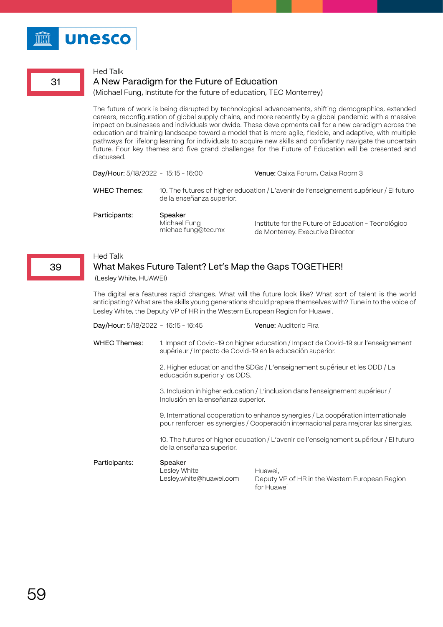

31

#### Hed Talk

#### A New Paradigm for the Future of Education

(Michael Fung, Institute for the future of education, TEC Monterrey)

The future of work is being disrupted by technological advancements, shifting demographics, extended careers, reconfiguration of global supply chains, and more recently by a global pandemic with a massive impact on businesses and individuals worldwide. These developments call for a new paradigm across the education and training landscape toward a model that is more agile, flexible, and adaptive, with multiple pathways for lifelong learning for individuals to acquire new skills and confidently navigate the uncertain future. Four key themes and five grand challenges for the Future of Education will be presented and discussed.

| Day/Hour: 5/18/2022 - 15:15 - 16:00 |                                               | Venue: Caixa Forum, Caixa Room 3                                                        |
|-------------------------------------|-----------------------------------------------|-----------------------------------------------------------------------------------------|
| <b>WHEC Themes:</b>                 | de la enseñanza superior.                     | 10. The futures of higher education / L'avenir de l'enseignement supérieur / El futuro  |
| Participants:                       | Speaker<br>Michael Fung<br>michaelfung@tec.mx | Institute for the Future of Education - Tecnológico<br>de Monterrey. Executive Director |

# Hed Talk

## What Makes Future Talent? Let's Map the Gaps TOGETHER!

(Lesley White, HUAWEI)

The digital era features rapid changes. What will the future look like? What sort of talent is the world anticipating? What are the skills young generations should prepare themselves with? Tune in to the voice of Lesley White, the Deputy VP of HR in the Western European Region for Huawei.

| Day/Hour: 5/18/2022 - 16:15 - 16:45 |                                                                                                                                                | Venue: Auditorio Fira                                                                                                                                                     |
|-------------------------------------|------------------------------------------------------------------------------------------------------------------------------------------------|---------------------------------------------------------------------------------------------------------------------------------------------------------------------------|
| <b>WHEC Themes:</b>                 | 1. Impact of Covid-19 on higher education / Impact de Covid-19 sur l'enseignement<br>supérieur / Impacto de Covid-19 en la educación superior. |                                                                                                                                                                           |
|                                     | educación superior y los ODS.                                                                                                                  | 2. Higher education and the SDGs / L'enseignement supérieur et les ODD / La                                                                                               |
|                                     | Inclusión en la enseñanza superior.                                                                                                            | 3. Inclusion in higher education / L'inclusion dans l'enseignement supérieur /                                                                                            |
|                                     |                                                                                                                                                | 9. International cooperation to enhance synergies / La coopération internationale<br>pour renforcer les synergies / Cooperación internacional para mejorar las sinergias. |
|                                     | de la enseñanza superior.                                                                                                                      | 10. The futures of higher education / L'avenir de l'enseignement supérieur / El futuro                                                                                    |

Speaker Lesley White Lesley.white@huawei.com Participants:

Huawei, Deputy VP of HR in the Western European Region for Huawei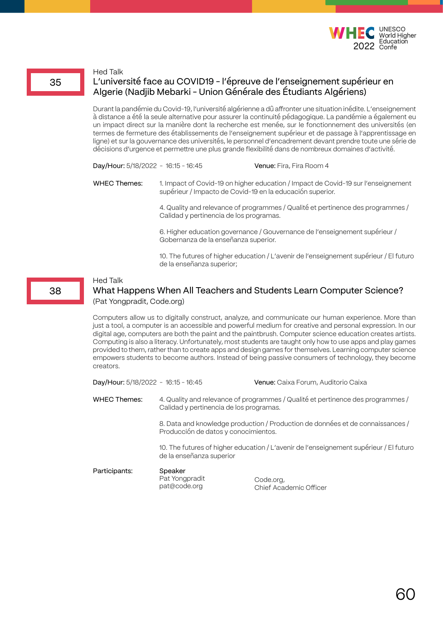

35

# L'université face au COVID19 - l'épreuve de l'enseignement supérieur en Algerie (Nadjib Mebarki - Union Générale des Étudiants Algériens)

Durant la pandémie du Covid-19, l'université algérienne a dû affronter une situation inédite. L'enseignement à distance a été la seule alternative pour assurer la continuité pédagogique. La pandémie a également eu un impact direct sur la manière dont la recherche est menée, sur le fonctionnement des universités (en termes de fermeture des établissements de l'enseignement supérieur et de passage à l'apprentissage en ligne) et sur la gouvernance des universités, le personnel d'encadrement devant prendre toute une série de décisions d'urgence et permettre une plus grande flexibilité dans de nombreux domaines d'activité.

Day/Hour: 5/18/2022 - 16:15 - 16:45 Venue: Fira, Fira Room 4

1. Impact of Covid-19 on higher education / Impact de Covid-19 sur l'enseignement supérieur / Impacto de Covid-19 en la educación superior. WHEC Themes:

> 4. Quality and relevance of programmes / Qualité et pertinence des programmes / Calidad y pertinencia de los programas.

6. Higher education governance / Gouvernance de l'enseignement supérieur / Gobernanza de la enseñanza superior.

10. The futures of higher education / L'avenir de l'enseignement supérieur / El futuro de la enseñanza superior;

## Hed Talk

38

# What Happens When All Teachers and Students Learn Computer Science? (Pat Yongpradit, Code.org)

Computers allow us to digitally construct, analyze, and communicate our human experience. More than just a tool, a computer is an accessible and powerful medium for creative and personal expression. In our digital age, computers are both the paint and the paintbrush. Computer science education creates artists. Computing is also a literacy. Unfortunately, most students are taught only how to use apps and play games provided to them, rather than to create apps and design games for themselves. Learning computer science empowers students to become authors. Instead of being passive consumers of technology, they become creators.

| Day/Hour: 5/18/2022 - 16:15 - 16:45 |                                                                                                                        | Venue: Caixa Forum, Auditorio Caixa                                             |
|-------------------------------------|------------------------------------------------------------------------------------------------------------------------|---------------------------------------------------------------------------------|
| <b>WHEC Themes:</b>                 | Calidad y pertinencia de los programas.                                                                                | 4. Quality and relevance of programmes / Qualité et pertinence des programmes / |
|                                     | 8. Data and knowledge production / Production de données et de connaissances /<br>Producción de datos y conocimientos. |                                                                                 |
|                                     | 10. The futures of higher education / L'avenir de l'enseignement supérieur / El futuro<br>de la enseñanza superior     |                                                                                 |
| Participants:                       | Speaker<br>Pat Yongpradit<br>pat@code.org                                                                              | Code.org,<br>Chief Academic Officer                                             |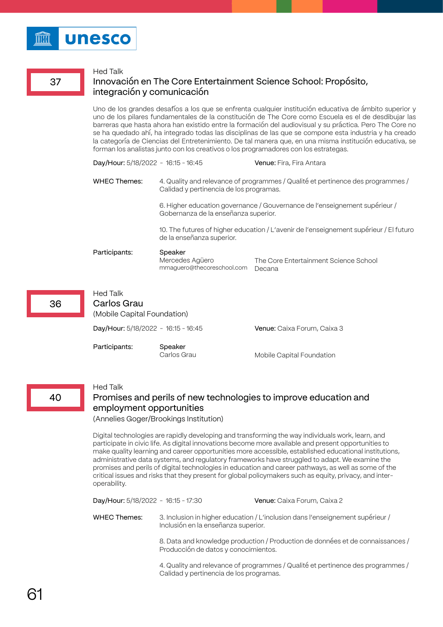

37

# Innovación en The Core Entertainment Science School: Propósito, integración y comunicación

Uno de los grandes desafíos a los que se enfrenta cualquier institución educativa de ámbito superior y uno de los pilares fundamentales de la constitución de The Core como Escuela es el de desdibujar las barreras que hasta ahora han existido entre la formación del audiovisual y su práctica. Pero The Core no se ha quedado ahí, ha integrado todas las disciplinas de las que se compone esta industria y ha creado la categoría de Ciencias del Entretenimiento. De tal manera que, en una misma institución educativa, se forman los analistas junto con los creativos o los programadores con los estrategas.

| Day/Hour: 5/18/2022 - 16:15 - 16:45 |                                                                                                                            | Venue: Fira, Fira Antara                                                   |
|-------------------------------------|----------------------------------------------------------------------------------------------------------------------------|----------------------------------------------------------------------------|
| <b>WHEC Themes:</b>                 | 4. Quality and relevance of programmes / Qualité et pertinence des programmes /<br>Calidad y pertinencia de los programas. |                                                                            |
|                                     | Gobernanza de la enseñanza superior.                                                                                       | 6. Higher education governance / Gouvernance de l'enseignement supérieur / |
|                                     | 10. The futures of higher education / L'avenir de l'enseignement supérieur / El futuro<br>de la enseñanza superior.        |                                                                            |
| Participants:                       | Speaker<br>Mercedes Agüero                                                                                                 | The Core Entertainment Science School                                      |

| 36 | Hed Talk<br>Carlos Grau<br>(Mobile Capital Foundation) |                                     |                                    |
|----|--------------------------------------------------------|-------------------------------------|------------------------------------|
|    |                                                        | Day/Hour: 5/18/2022 - 16:15 - 16:45 | <b>Venue:</b> Caixa Forum, Caixa 3 |
|    | Participants:                                          | Speaker<br>Carlos Grau              | Mobile Capital Foundation          |

mmaguero@thecoreschool.com Decana

#### Hed Talk

40

# Promises and perils of new technologies to improve education and employment opportunities

(Annelies Goger/Brookings Institution)

Digital technologies are rapidly developing and transforming the way individuals work, learn, and participate in civic life. As digital innovations become more available and present opportunities to make quality learning and career opportunities more accessible, established educational institutions, administrative data systems, and regulatory frameworks have struggled to adapt. We examine the promises and perils of digital technologies in education and career pathways, as well as some of the critical issues and risks that they present for global policymakers such as equity, privacy, and interoperability.

| Day/Hour: 5/18/2022 - 16:15 - 17:30 |                                         | <b>Venue:</b> Caixa Forum, Caixa 2                                              |
|-------------------------------------|-----------------------------------------|---------------------------------------------------------------------------------|
| <b>WHEC Themes:</b>                 | Inclusión en la enseñanza superior.     | 3. Inclusion in higher education / L'inclusion dans l'enseignement supérieur /  |
|                                     | Producción de datos y conocimientos.    | 8. Data and knowledge production / Production de données et de connaissances /  |
|                                     | Calidad y pertinencia de los programas. | 4. Quality and relevance of programmes / Qualité et pertinence des programmes / |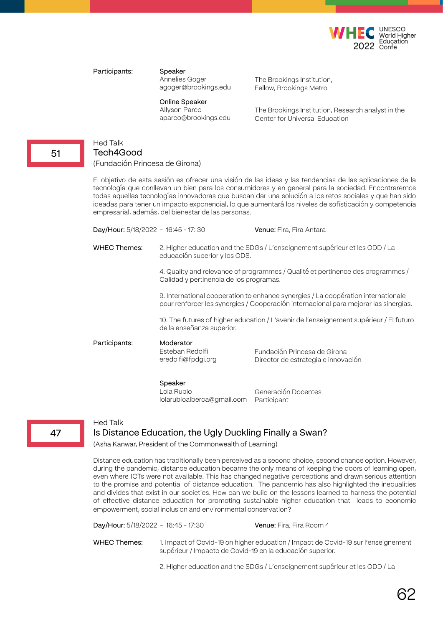

#### Participants:

Speaker Annelies Goger agoger@brookings.edu

The Brookings Institution, Fellow, Brookings Metro

Online Speaker Allyson Parco aparco@brookings.edu

The Brookings Institution, Research analyst in the Center for Universal Education

## Hed Talk Tech4Good (Fundación Princesa de Girona)

El objetivo de esta sesión es ofrecer una visión de las ideas y las tendencias de las aplicaciones de la tecnología que conllevan un bien para los consumidores y en general para la sociedad. Encontraremos todas aquellas tecnologías innovadoras que buscan dar una solución a los retos sociales y que han sido ideadas para tener un impacto exponencial, lo que aumentará los niveles de sofisticación y competencia empresarial, además, del bienestar de las personas.

| Day/Hour: 5/18/2022 - 16:45 - 17:30 |                                                                                                              | <b>Venue:</b> Fira, Fira Antara                                                                                                                                           |
|-------------------------------------|--------------------------------------------------------------------------------------------------------------|---------------------------------------------------------------------------------------------------------------------------------------------------------------------------|
| <b>WHEC Themes:</b>                 | 2. Higher education and the SDGs / L'enseignement supérieur et les ODD / La<br>educación superior y los ODS. |                                                                                                                                                                           |
|                                     | Calidad y pertinencia de los programas.                                                                      | 4. Quality and relevance of programmes / Qualité et pertinence des programmes /                                                                                           |
|                                     |                                                                                                              | 9. International cooperation to enhance synergies / La coopération internationale<br>pour renforcer les synergies / Cooperación internacional para mejorar las sinergias. |
|                                     | de la enseñanza superior.                                                                                    | 10. The futures of higher education / L'avenir de l'enseignement supérieur / El futuro                                                                                    |
| Participants:                       | Moderator<br>Esteban Redolfi<br>eredolfi@fpdgi.org                                                           | Fundación Princesa de Girona<br>Director de estrategia e innovación                                                                                                       |
|                                     | Speaker<br>Lola Rubio<br>lolarubioalberca@gmail.com                                                          | Generación Docentes<br>Participant                                                                                                                                        |

### Hed Talk

47

### Is Distance Education, the Ugly Duckling Finally a Swan?

(Asha Kanwar, President of the Commonwealth of Learning)

Distance education has traditionally been perceived as a second choice, second chance option. However, during the pandemic, distance education became the only means of keeping the doors of learning open, even where ICTs were not available. This has changed negative perceptions and drawn serious attention to the promise and potential of distance education. The pandemic has also highlighted the inequalities and divides that exist in our societies. How can we build on the lessons learned to harness the potential of effective distance education for promoting sustainable higher education that leads to economic empowerment, social inclusion and environmental conservation?

Day/Hour: 5/18/2022 - 16:45 - 17:30 Venue: Fira, Fira Room 4

1. Impact of Covid-19 on higher education / Impact de Covid-19 sur l'enseignement supérieur / Impacto de Covid-19 en la educación superior. WHEC Themes:

2. Higher education and the SDGs / L'enseignement supérieur et les ODD / La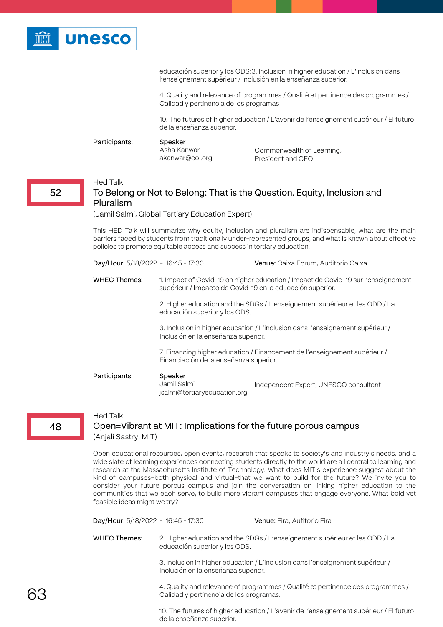

educación superior y los ODS;3. Inclusion in higher education / L'inclusion dans l'enseignement supérieur / Inclusión en la enseñanza superior.

4. Quality and relevance of programmes / Qualité et pertinence des programmes / Calidad y pertinencia de los programas

10. The futures of higher education / L'avenir de l'enseignement supérieur / El futuro de la enseñanza superior.

Participants:

## Speaker

Asha Kanwar akanwar@col.org Commonwealth of Learning, President and CEO

### Hed Talk

# To Belong or Not to Belong: That is the Question. Equity, Inclusion and Pluralism

(Jamil Salmi, Global Tertiary Education Expert)

This HED Talk will summarize why equity, inclusion and pluralism are indispensable, what are the main barriers faced by students from traditionally under-represented groups, and what is known about effective policies to promote equitable access and success in tertiary education.

| Day/Hour: 5/18/2022 - 16:45 - 17:30                                              |                                                        | Venue: Caixa Forum, Auditorio Caixa                                               |
|----------------------------------------------------------------------------------|--------------------------------------------------------|-----------------------------------------------------------------------------------|
| <b>WHEC Themes:</b><br>supérieur / Impacto de Covid-19 en la educación superior. |                                                        | 1. Impact of Covid-19 on higher education / Impact de Covid-19 sur l'enseignement |
|                                                                                  | educación superior y los ODS.                          | 2. Higher education and the SDGs / L'enseignement supérieur et les ODD / La       |
|                                                                                  | Inclusión en la enseñanza superior.                    | 3. Inclusion in higher education / L'inclusion dans l'enseignement supérieur /    |
|                                                                                  | Financiación de la enseñanza superior.                 | 7. Financing higher education / Financement de l'enseignement supérieur /         |
| Participants:                                                                    | Speaker<br>Jamil Salmi<br>jsalmi@tertiaryeducation.org | Independent Expert, UNESCO consultant                                             |

#### Hed Talk

# Open=Vibrant at MIT: Implications for the future porous campus (Anjali Sastry, MIT)

Open educational resources, open events, research that speaks to society's and industry's needs, and a wide slate of learning experiences connecting students directly to the world are all central to learning and research at the Massachusetts Institute of Technology. What does MIT's experience suggest about the kind of campuses–both physical and virtual–that we want to build for the future? We invite you to consider your future porous campus and join the conversation on linking higher education to the communities that we each serve, to build more vibrant campuses that engage everyone. What bold yet feasible ideas might we try?

| Day/Hour: 5/18/2022 - 16:45 - 17:30 |                               | <b>Venue:</b> Fira, Aufitorio Fira                                          |
|-------------------------------------|-------------------------------|-----------------------------------------------------------------------------|
| WHEC Themes:                        | educación superior y los ODS. | 2. Higher education and the SDGs / L'enseignement supérieur et les ODD / La |

3. Inclusion in higher education / L'inclusion dans l'enseignement supérieur / Inclusión en la enseñanza superior.

4. Quality and relevance of programmes / Qualité et pertinence des programmes / Calidad y pertinencia de los programas.

10. The futures of higher education / L'avenir de l'enseignement supérieur / El futuro de la enseñanza superior.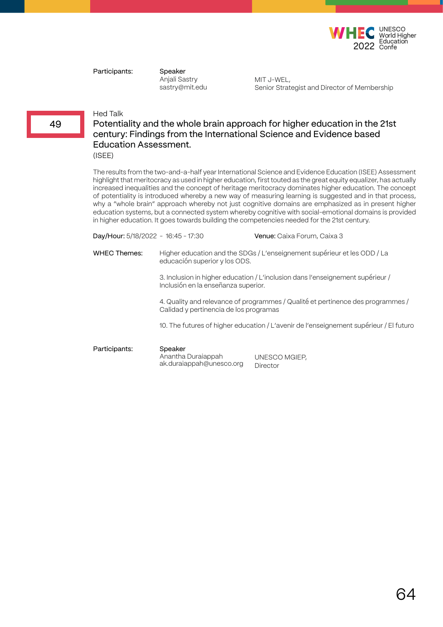

Participants:

Speaker Anjali Sastry sastry@mit.edu

MIT J-WEL, Senior Strategist and Director of Membership

### Hed Talk

Potentiality and the whole brain approach for higher education in the 21st century: Findings from the International Science and Evidence based Education Assessment.

(ISEE)

49

The results from the two-and-a-half year International Science and Evidence Education (ISEE) Assessment highlight that meritocracy as used in higher education, first touted as the great equity equalizer, has actually increased inequalities and the concept of heritage meritocracy dominates higher education. The concept of potentiality is introduced whereby a new way of measuring learning is suggested and in that process, why a "whole brain" approach whereby not just cognitive domains are emphasized as in present higher education systems, but a connected system whereby cognitive with social-emotional domains is provided in higher education. It goes towards building the competencies needed for the 21st century.

| Day/Hour: 5/18/2022 - 16:45 - 17:30 |                                                                                                           | Venue: Caixa Forum, Caixa 3                                                            |
|-------------------------------------|-----------------------------------------------------------------------------------------------------------|----------------------------------------------------------------------------------------|
| <b>WHEC Themes:</b>                 | Higher education and the SDGs / L'enseignement supérieur et les ODD / La<br>educación superior y los ODS. |                                                                                        |
|                                     | Inclusión en la enseñanza superior.                                                                       | 3. Inclusion in higher education / L'inclusion dans l'enseignement supérieur /         |
|                                     | Calidad y pertinencia de los programas                                                                    | 4. Quality and relevance of programmes / Qualité et pertinence des programmes /        |
|                                     |                                                                                                           | 10. The futures of higher education / L'avenir de l'enseignement supérieur / El futuro |
| Participants:                       | Speaker<br>Anantha Duraiappah<br>ak.duraiappah@unesco.org                                                 | UNESCO MGIEP,<br>Director                                                              |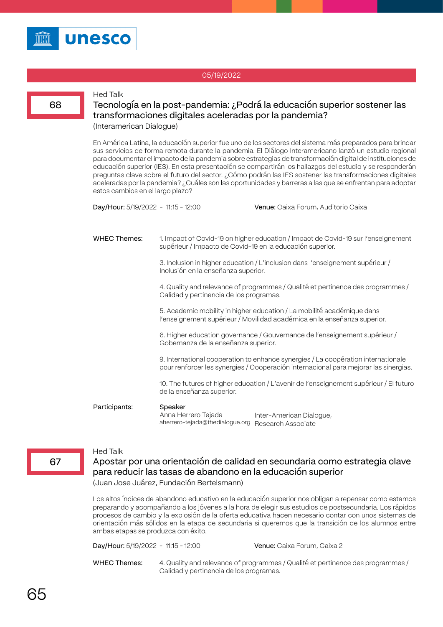

68

#### 05/19/2022

#### Hed Talk

# Tecnología en la post-pandemia: ¿Podrá la educación superior sostener las transformaciones digitales aceleradas por la pandemia? (Interamerican Dialogue)

En América Latina, la educación superior fue uno de los sectores del sistema más preparados para brindar sus servicios de forma remota durante la pandemia. El Diálogo Interamericano lanzó un estudio regional para documentar el impacto de la pandemia sobre estrategias de transformación digital de instituciones de educación superior (IES). En esta presentación se compartirán los hallazgos del estudio y se responderán preguntas clave sobre el futuro del sector. ¿Cómo podrán las IES sostener las transformaciones digitales aceleradas por la pandemia? ¿Cuáles son las oportunidades y barreras a las que se enfrentan para adoptar estos cambios en el largo plazo?

Day/Hour: 5/19/2022 - 11:15 - 12:00 Venue: Caixa Forum, Auditorio Caixa

1. Impact of Covid-19 on higher education / Impact de Covid-19 sur l'enseignement supérieur / Impacto de Covid-19 en la educación superior. WHEC Themes:

> 3. Inclusion in higher education / L'inclusion dans l'enseignement supérieur / Inclusión en la enseñanza superior.

4. Quality and relevance of programmes / Qualité et pertinence des programmes / Calidad y pertinencia de los programas.

5. Academic mobility in higher education / La mobilité académique dans l'enseignement supérieur / Movilidad académica en la enseñanza superior.

6. Higher education governance / Gouvernance de l'enseignement supérieur / Gobernanza de la enseñanza superior.

9. International cooperation to enhance synergies / La coopération internationale pour renforcer les synergies / Cooperación internacional para mejorar las sinergias.

10. The futures of higher education / L'avenir de l'enseignement supérieur / El futuro de la enseñanza superior.

Participants:

Hed Talk

#### Speaker

Anna Herrero Tejada aherrero-tejada@thedialogue.org Research Associate Inter-American Dialogue,

# Apostar por una orientación de calidad en secundaria como estrategia clave para reducir las tasas de abandono en la educación superior

(Juan Jose Juárez, Fundación Bertelsmann)

Los altos índices de abandono educativo en la educación superior nos obligan a repensar como estamos preparando y acompañando a los jóvenes a la hora de elegir sus estudios de postsecundaria. Los rápidos procesos de cambio y la explosión de la oferta educativa hacen necesario contar con unos sistemas de orientación más sólidos en la etapa de secundaria si queremos que la transición de los alumnos entre ambas etapas se produzca con éxito.

Day/Hour: 5/19/2022 - 11:15 - 12:00 Venue: Caixa Forum, Caixa 2

4. Quality and relevance of programmes / Qualité et pertinence des programmes / Calidad y pertinencia de los programas. WHEC Themes: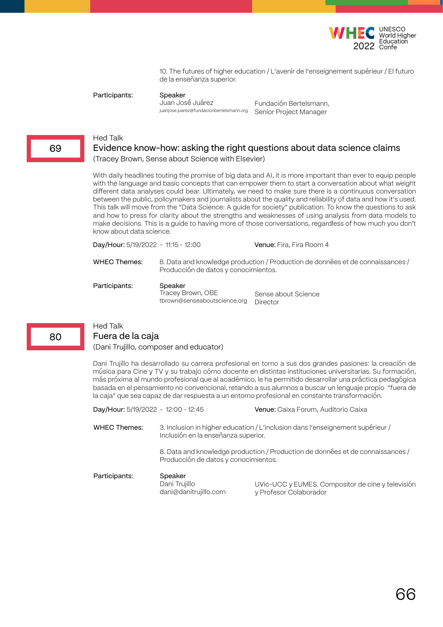

10. The futures of higher education / L'avenir de l'enseignement supérieur / El futuro de la enseñanza superior.

Participants:

#### Speaker

Juan José Juárez juanjose.juarez@fundacionbertelsmann.org Senior Project Manager Fundación Bertelsmann,

#### Hed Talk

Evidence know-how: asking the right questions about data science claims (Tracey Brown, Sense about Science with Elsevier)

With daily headlines touting the promise of big data and AI, it is more important than ever to equip people with the language and basic concepts that can empower them to start a conversation about what weight different data analyses could bear. Ultimately, we need to make sure there is a continuous conversation between the public, policymakers and journalists about the quality and reliability of data and how it's used. This talk will move from the "Data Science: A guide for society" publication. To know the questions to ask and how to press for clarity about the strengths and weaknesses of using analysis from data models to make decisions. This is a guide to having more of those conversations, regardless of how much you don't know about data science.

| Day/Hour: $5/19/2022 - 11:15 - 12:00$ |                                                              | <b>Venue:</b> Fira, Fira Room 4                                                |
|---------------------------------------|--------------------------------------------------------------|--------------------------------------------------------------------------------|
| <b>WHEC Themes:</b>                   | Producción de datos y conocimientos.                         | 8. Data and knowledge production / Production de données et de connaissances / |
| Participants:                         | Speaker<br>Tracey Brown, OBE<br>tbrown@senseaboutscience.org | Sense about Science<br>Director                                                |

## 80

## Hed Talk Fuera de la caja

(Dani Trujillo, composer and educator)

Dani Trujillo ha desarrollado su carrera profesional en torno a sus dos grandes pasiones: la creación de música para Cine y TV y su trabajo cómo docente en distintas instituciones universitarias. Su formación, más próxima al mundo profesional que al académico, le ha permitido desarrollar una práctica pedagógica basada en el pensamiento no convencional, retando a sus alumnos a buscar un lenguaje propio "fuera de la caja" que sea capaz de dar respuesta a un entorno profesional en constante transformación.

| Day/Hour: 5/19/2022 - 12:00 - 12:45 |                                                   | Venue: Caixa Forum, Auditorio Caixa                                            |
|-------------------------------------|---------------------------------------------------|--------------------------------------------------------------------------------|
| WHEC Themes:                        | Inclusión en la enseñanza superior.               | 3. Inclusion in higher education / L'inclusion dans l'enseignement supérieur / |
|                                     | Producción de datos y conocimientos.              | 8. Data and knowledge production / Production de données et de connaissances / |
| Participants:                       | Speaker<br>Dani Trujillo<br>dani@danitrujillo.com | UVic-UCC y EUMES. Compositor de cine y televisión<br>y Profesor Colaborador    |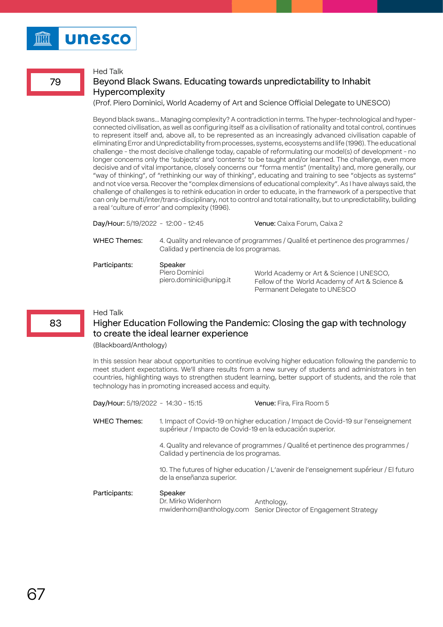# 79

# Beyond Black Swans. Educating towards unpredictability to Inhabit Hypercomplexity

(Prof. Piero Dominici, World Academy of Art and Science Official Delegate to UNESCO)

Beyond black swans... Managing complexity? A contradiction in terms. The hyper-technological and hyperconnected civilisation, as well as configuring itself as a civilisation of rationality and total control, continues to represent itself and, above all, to be represented as an increasingly advanced civilisation capable of eliminating Error and Unpredictability from processes, systems, ecosystems and life (1996). The educational challenge - the most decisive challenge today, capable of reformulating our model(s) of development - no longer concerns only the 'subjects' and 'contents' to be taught and/or learned. The challenge, even more decisive and of vital importance, closely concerns our "forma mentis" (mentality) and, more generally, our "way of thinking", of "rethinking our way of thinking", educating and training to see "objects as systems" and not vice versa. Recover the "complex dimensions of educational complexity". As I have always said, the challenge of challenges is to rethink education in order to educate, in the framework of a perspective that can only be multi/inter/trans-disciplinary, not to control and total rationality, but to unpredictability, building a real 'culture of error' and complexity (1996).

| Day/Hour: 5/19/2022 - 12:00 - 12:45 |                                                      | <b>Venue:</b> Caixa Forum, Caixa 2                                                         |
|-------------------------------------|------------------------------------------------------|--------------------------------------------------------------------------------------------|
| <b>WHEC Themes:</b>                 | Calidad y pertinencia de los programas.              | 4. Quality and relevance of programmes / Qualité et pertinence des programmes /            |
| Participants:                       | Speaker<br>Piero Dominici<br>piero.dominici@unipg.it | World Academy or Art & Science   UNESCO,<br>Fellow of the World Academy of Art & Science & |

#### Hed Talk

# Higher Education Following the Pandemic: Closing the gap with technology to create the ideal learner experience

Permanent Delegate to UNESCO

(Blackboard/Anthology)

In this session hear about opportunities to continue evolving higher education following the pandemic to meet student expectations. We'll share results from a new survey of students and administrators in ten countries, highlighting ways to strengthen student learning, better support of students, and the role that technology has in promoting increased access and equity.

| Day/Hour: 5/19/2022 - 14:30 - 15:15 |                                                           | Venue: Fira, Fira Room 5                                                               |
|-------------------------------------|-----------------------------------------------------------|----------------------------------------------------------------------------------------|
| <b>WHEC Themes:</b>                 | supérieur / Impacto de Covid-19 en la educación superior. | 1. Impact of Covid-19 on higher education / Impact de Covid-19 sur l'enseignement      |
|                                     | Calidad y pertinencia de los programas.                   | 4. Quality and relevance of programmes / Qualité et pertinence des programmes /        |
|                                     | de la enseñanza superior.                                 | 10. The futures of higher education / L'avenir de l'enseignement supérieur / El futuro |
| Participants:                       | Speaker<br>Dr. Mirko Widenhorn                            | Anthology,<br>mwidenhorn@anthology.com Senior Director of Engagement Strategy          |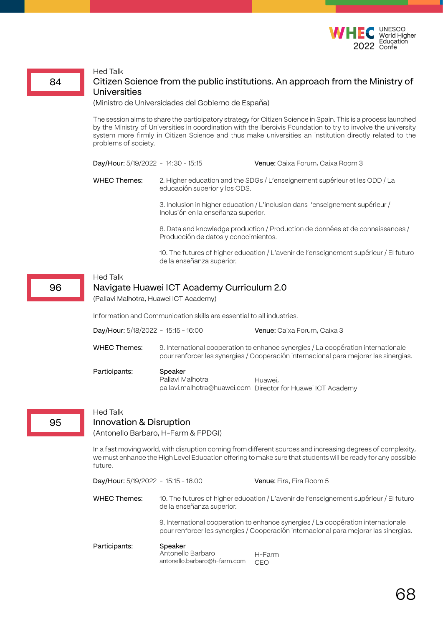

# Citizen Science from the public institutions. An approach from the Ministry of **Universities**

(Ministro de Universidades del Gobierno de España)

The session aims to share the participatory strategy for Citizen Science in Spain. This is a process launched by the Ministry of Universities in coordination with the Ibercivis Foundation to try to involve the university system more firmly in Citizen Science and thus make universities an institution directly related to the problems of society.

| Day/Hour: 5/19/2022 - 14:30 - 15:15 | <b>Venue:</b> Caixa Forum, Caixa Room 3 |
|-------------------------------------|-----------------------------------------|
|-------------------------------------|-----------------------------------------|

2. Higher education and the SDGs / L'enseignement supérieur et les ODD / La educación superior y los ODS. WHEC Themes:

> 3. Inclusion in higher education / L'inclusion dans l'enseignement supérieur / Inclusión en la enseñanza superior.

8. Data and knowledge production / Production de données et de connaissances / Producción de datos y conocimientos.

10. The futures of higher education / L'avenir de l'enseignement supérieur / El futuro de la enseñanza superior.

#### Hed Talk

#### Navigate Huawei ICT Academy Curriculum 2.0

(Pallavi Malhotra, Huawei ICT Academy)

Information and Communication skills are essential to all industries.

| Day/Hour: 5/18/2022 - 15:15 - 16:00 |                             | <b>Venue:</b> Caixa Forum, Caixa 3                                                                                                                                        |
|-------------------------------------|-----------------------------|---------------------------------------------------------------------------------------------------------------------------------------------------------------------------|
| <b>WHEC Themes:</b>                 |                             | 9. International cooperation to enhance synergies / La coopération internationale<br>pour renforcer les synergies / Cooperación internacional para mejorar las sinergias. |
| Participants:                       | Speaker<br>Pallavi Malhotra | Huawei,<br>pallavi.malhotra@huawei.com Director for Huawei ICT Academy                                                                                                    |

# 95

96

#### Hed Talk

# Innovation & Disruption

(Antonello Barbaro, H-Farm & FPDGI)

In a fast moving world, with disruption coming from different sources and increasing degrees of complexity, we must enhance the High Level Education offering to make sure that students will be ready for any possible future.

| Day/Hour: 5/19/2022 - 15:15 - 16.00 |                                                                                                                     | Venue: Fira, Fira Room 5                                                                                                                                                  |
|-------------------------------------|---------------------------------------------------------------------------------------------------------------------|---------------------------------------------------------------------------------------------------------------------------------------------------------------------------|
| <b>WHEC Themes:</b>                 | 10. The futures of higher education / L'avenir de l'enseignement supérieur / El futuro<br>de la enseñanza superior. |                                                                                                                                                                           |
|                                     |                                                                                                                     | 9. International cooperation to enhance synergies / La coopération internationale<br>pour renforcer les synergies / Cooperación internacional para mejorar las sinergias. |
| Participants:                       | Speaker<br>Antonello Barbaro<br>antonello.barbaro@h-farm.com                                                        | H-Farm<br><b>CEO</b>                                                                                                                                                      |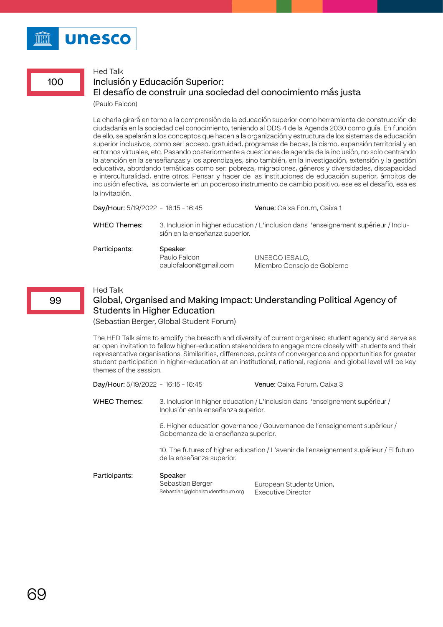

# 100

# Inclusión y Educación Superior: El desafío de construir una sociedad del conocimiento más justa

(Paulo Falcon)

La charla girará en torno a la comprensión de la educación superior como herramienta de construcción de ciudadanía en la sociedad del conocimiento, teniendo al ODS 4 de la Agenda 2030 como guía. En función de ello, se apelarán a los conceptos que hacen a la organización y estructura de los sistemas de educación superior inclusivos, como ser: acceso, gratuidad, programas de becas, laicismo, expansión territorial y en entornos virtuales, etc. Pasando posteriormente a cuestiones de agenda de la inclusión, no solo centrando la atención en la senseñanzas y los aprendizajes, sino también, en la investigación, extensión y la gestión educativa, abordando temáticas como ser: pobreza, migraciones, géneros y diversidades, discapacidad e interculturalidad, entre otros. Pensar y hacer de las instituciones de educación superior, ámbitos de inclusión efectiva, las convierte en un poderoso instrumento de cambio positivo, ese es el desafío, esa es la invitación.

| Day/Hour: 5/19/2022 - 16:15 - 16:45 |                                                  | Venue: Caixa Forum, Caixa 1                                                           |
|-------------------------------------|--------------------------------------------------|---------------------------------------------------------------------------------------|
| <b>WHEC Themes:</b>                 | sión en la enseñanza superior.                   | 3. Inclusion in higher education / L'inclusion dans l'enseignement supérieur / Inclu- |
| Participants:                       | Speaker<br>Paulo Falcon<br>paulofalcon@gmail.com | UNESCO IESALC,<br>Miembro Consejo de Gobierno                                         |

## Hed Talk

# Global, Organised and Making Impact: Understanding Political Agency of Students in Higher Education

(Sebastian Berger, Global Student Forum)

The HED Talk aims to amplify the breadth and diversity of current organised student agency and serve as an open invitation to fellow higher-education stakeholders to engage more closely with students and their representative organisations. Similarities, differences, points of convergence and opportunities for greater student participation in higher-education at an institutional, national, regional and global level will be key themes of the session.

| Day/Hour: $5/19/2022 - 16:15 - 16:45$ |                                                                                                                       | <b>Venue:</b> Caixa Forum, Caixa 3                    |
|---------------------------------------|-----------------------------------------------------------------------------------------------------------------------|-------------------------------------------------------|
| WHEC Themes:                          | 3. Inclusion in higher education / L'inclusion dans l'enseignement supérieur /<br>Inclusión en la enseñanza superior. |                                                       |
|                                       | 6. Higher education governance / Gouvernance de l'enseignement supérieur /<br>Gobernanza de la enseñanza superior.    |                                                       |
|                                       | 10. The futures of higher education / L'avenir de l'enseignement supérieur / El futuro<br>de la enseñanza superior.   |                                                       |
| Participants:                         | Speaker<br>Sebastian Berger<br>Sebastian@globalstudentforum.org                                                       | European Students Union,<br><b>Executive Director</b> |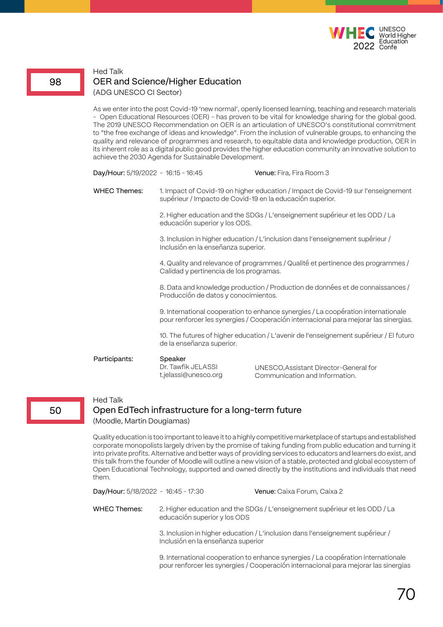

# Hed Talk OER and Science/Higher Education (ADG UNESCO CI Sector)

As we enter into the post Covid-19 'new normal', openly licensed learning, teaching and research materials - Open Educational Resources (OER) - has proven to be vital for knowledge sharing for the global good. The 2019 UNESCO Recommendation on OER is an articulation of UNESCO's constitutional commitment to "the free exchange of ideas and knowledge". From the inclusion of vulnerable groups, to enhancing the quality and relevance of programmes and research, to equitable data and knowledge production, OER in its inherent role as a digital public good provides the higher education community an innovative solution to achieve the 2030 Agenda for Sustainable Development.

| Day/Hour: 5/19/2022 - 16:15 - 16:45 | <b>Venue:</b> Fira, Fira Room 3 |
|-------------------------------------|---------------------------------|
|-------------------------------------|---------------------------------|

1. Impact of Covid-19 on higher education / Impact de Covid-19 sur l'enseignement supérieur / Impacto de Covid-19 en la educación superior. WHEC Themes:

> 2. Higher education and the SDGs / L'enseignement supérieur et les ODD / La educación superior y los ODS.

3. Inclusion in higher education / L'inclusion dans l'enseignement supérieur / Inclusión en la enseñanza superior.

4. Quality and relevance of programmes / Qualité et pertinence des programmes / Calidad y pertinencia de los programas.

8. Data and knowledge production / Production de données et de connaissances / Producción de datos y conocimientos.

9. International cooperation to enhance synergies / La coopération internationale pour renforcer les synergies / Cooperación internacional para mejorar las sinergias.

10. The futures of higher education / L'avenir de l'enseignement supérieur / El futuro de la enseñanza superior.

#### Speaker Participants:

Dr. Tawfik JELASSI t.jelassi@unesco.org

UNESCO,Assistant Director-General for Communication and Information.

#### Hed Talk

50

# Open EdTech infrastructure for a long-term future (Moodle, Martin Dougiamas)

Quality education is too important to leave it to a highly competitive marketplace of startups and established corporate monopolists largely driven by the promise of taking funding from public education and turning it into private profits. Alternative and better ways of providing services to educators and learners do exist, and this talk from the founder of Moodle will outline a new vision of a stable, protected and global ecosystem of Open Educational Technology, supported and owned directly by the institutions and individuals that need them.

| Day/Hour: $5/18/2022 - 16:45 - 17:30$ |                                                                                                                      | <b>Venue:</b> Caixa Forum, Caixa 2                                               |
|---------------------------------------|----------------------------------------------------------------------------------------------------------------------|----------------------------------------------------------------------------------|
| <b>WHEC Themes:</b>                   | educación superior y los ODS                                                                                         | 2. Higher education and the SDGs / L'enseignement supérieur et les ODD / La      |
|                                       | 3. Inclusion in higher education / L'inclusion dans l'enseignement supérieur /<br>Inclusión en la enseñanza superior |                                                                                  |
|                                       |                                                                                                                      | 9. International cooperation to enhance synergies / La coopération international |

9. International cooperation to enhance synergies / La coopération internationale pour renforcer les synergies / Cooperación internacional para mejorar las sinergias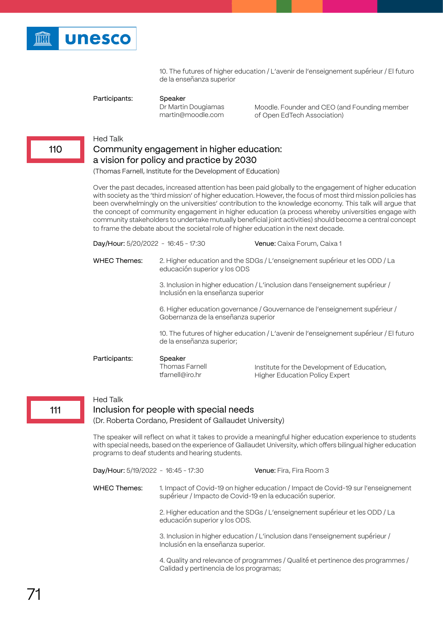

10. The futures of higher education / L'avenir de l'enseignement supérieur / El futuro de la enseñanza superior

Participants:

Speaker Dr Martin Dougiamas martin@moodle.com

Moodle. Founder and CEO (and Founding member of Open EdTech Association)

#### Hed Talk

# Community engagement in higher education: a vision for policy and practice by 2030

(Thomas Farnell, Institute for the Development of Education)

Over the past decades, increased attention has been paid globally to the engagement of higher education with society as the 'third mission' of higher education. However, the focus of most third mission policies has been overwhelmingly on the universities' contribution to the knowledge economy. This talk will argue that the concept of community engagement in higher education (a process whereby universities engage with community stakeholders to undertake mutually beneficial joint activities) should become a central concept to frame the debate about the societal role of higher education in the next decade.

| Day/Hour: $5/20/2022 - 16:45 - 17:30$ |                                                                                                                      | Venue: Caixa Forum, Caixa 1                                                          |
|---------------------------------------|----------------------------------------------------------------------------------------------------------------------|--------------------------------------------------------------------------------------|
| <b>WHEC Themes:</b>                   | 2. Higher education and the SDGs / L'enseignement supérieur et les ODD / La<br>educación superior y los ODS          |                                                                                      |
|                                       | 3. Inclusion in higher education / L'inclusion dans l'enseignement supérieur /<br>Inclusión en la enseñanza superior |                                                                                      |
|                                       | Gobernanza de la enseñanza superior                                                                                  | 6. Higher education governance / Gouvernance de l'enseignement supérieur /           |
|                                       | 10. The futures of higher education / L'avenir de l'enseignement supérieur / El futuro<br>de la enseñanza superior;  |                                                                                      |
| Participants:                         | Speaker<br><b>Thomas Farnell</b><br>tfarnell@iro.hr                                                                  | Institute for the Development of Education,<br><b>Higher Education Policy Expert</b> |

#### Hed Talk

111

# Inclusion for people with special needs

(Dr. Roberta Cordano, President of Gallaudet University)

The speaker will reflect on what it takes to provide a meaningful higher education experience to students with special needs, based on the experience of Gallaudet University, which offers bilingual higher education programs to deaf students and hearing students.

| Day/Hour: 5/19/2022 - 16:45 - 17:30 |                                                                                                                                                                                                                                                                                                                                                                                         | <b>Venue:</b> Fira, Fira Room 3                                                 |
|-------------------------------------|-----------------------------------------------------------------------------------------------------------------------------------------------------------------------------------------------------------------------------------------------------------------------------------------------------------------------------------------------------------------------------------------|---------------------------------------------------------------------------------|
| <b>WHEC Themes:</b>                 | 1. Impact of Covid-19 on higher education / Impact de Covid-19 sur l'enseignement<br>supérieur / Impacto de Covid-19 en la educación superior.<br>2. Higher education and the SDGs / L'enseignement supérieur et les ODD / La<br>educación superior y los ODS.<br>3. Inclusion in higher education / L'inclusion dans l'enseignement supérieur /<br>Inclusión en la enseñanza superior. |                                                                                 |
|                                     |                                                                                                                                                                                                                                                                                                                                                                                         |                                                                                 |
|                                     |                                                                                                                                                                                                                                                                                                                                                                                         |                                                                                 |
|                                     | Calidad y pertinencia de los programas;                                                                                                                                                                                                                                                                                                                                                 | 4. Quality and relevance of programmes / Qualité et pertinence des programmes / |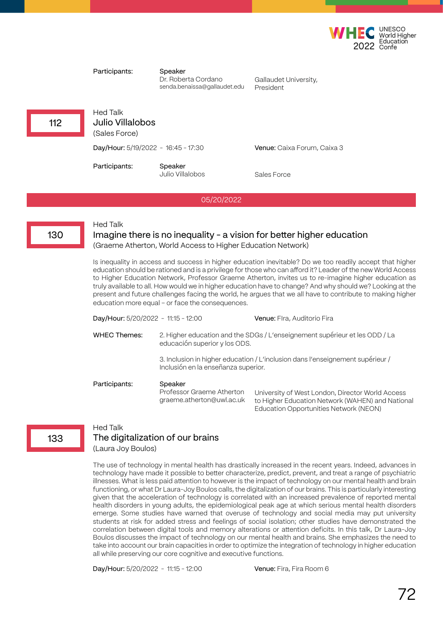

Participants:

Speaker

Dr. Roberta Cordano senda.benaissa@gallaudet.edu

Gallaudet University, President

112

Hed Talk Julio Villalobos

(Sales Force)

Day/Hour: 5/19/2022 - 16:45 - 17:30 Venue: Caixa Forum, Caixa 3

Participants:

Speaker Julio Villalobos Sales Force

05/20/2022

### 130

133

### Hed Talk

# Imagine there is no inequality - a vision for better higher education

(Graeme Atherton, World Access to Higher Education Network)

Is inequality in access and success in higher education inevitable? Do we too readily accept that higher education should be rationed and is a privilege for those who can afford it? Leader of the new World Access to Higher Education Network, Professor Graeme Atherton, invites us to re-imagine higher education as truly available to all. How would we in higher education have to change? And why should we? Looking at the present and future challenges facing the world, he argues that we all have to contribute to making higher education more equal – or face the consequences.

| Day/Hour: $5/20/2022 - 11:15 - 12:00$ |                                                                   | Venue: Fira, Auditorio Fira                                                                                                                    |
|---------------------------------------|-------------------------------------------------------------------|------------------------------------------------------------------------------------------------------------------------------------------------|
| <b>WHEC Themes:</b>                   | educación superior y los ODS.                                     | 2. Higher education and the SDGs / L'enseignement supérieur et les ODD / La                                                                    |
|                                       | Inclusión en la enseñanza superior.                               | 3. Inclusion in higher education / L'inclusion dans l'enseignement supérieur /                                                                 |
| Participants:                         | Speaker<br>Professor Graeme Atherton<br>graeme.atherton@uwl.ac.uk | University of West London, Director World Access<br>to Higher Education Network (WAHEN) and National<br>Education Opportunities Network (NEON) |

### Hed Talk

## The digitalization of our brains (Laura Joy Boulos)

The use of technology in mental health has drastically increased in the recent years. Indeed, advances in technology have made it possible to better characterize, predict, prevent, and treat a range of psychiatric illnesses. What is less paid attention to however is the impact of technology on our mental health and brain functioning, or what Dr Laura-Joy Boulos calls, the digitalization of our brains. This is particularly interesting given that the acceleration of technology is correlated with an increased prevalence of reported mental health disorders in young adults, the epidemiological peak age at which serious mental health disorders emerge. Some studies have warned that overuse of technology and social media may put university students at risk for added stress and feelings of social isolation; other studies have demonstrated the correlation between digital tools and memory alterations or attention deficits. In this talk, Dr Laura-Joy Boulos discusses the impact of technology on our mental health and brains. She emphasizes the need to take into account our brain capacities in order to optimize the integration of technology in higher education all while preserving our core cognitive and executive functions.

Day/Hour: 5/20/2022 - 11:15 - 12:00 Venue: Fira, Fira Room 6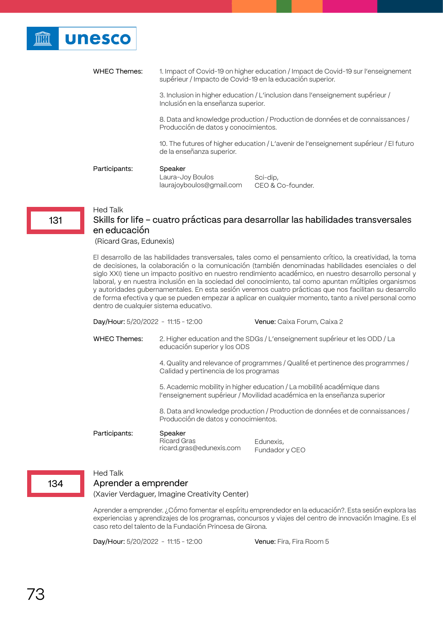

Speaker Laura-Joy Boulos laurajoyboulos@gmail.com Sci-dip, CEO & Co-founder. Participants: 1. Impact of Covid-19 on higher education / Impact de Covid-19 sur l'enseignement supérieur / Impacto de Covid-19 en la educación superior. 3. Inclusion in higher education / L'inclusion dans l'enseignement supérieur / Inclusión en la enseñanza superior. 8. Data and knowledge production / Production de données et de connaissances / Producción de datos y conocimientos. 10. The futures of higher education / L'avenir de l'enseignement supérieur / El futuro de la enseñanza superior. WHEC Themes:

### 131

# Hed Talk Skills for life – cuatro prácticas para desarrollar las habilidades transversales en educación

(Ricard Gras, Edunexis)

El desarrollo de las habilidades transversales, tales como el pensamiento crítico, la creatividad, la toma de decisiones, la colaboración o la comunicación (también denominadas habilidades esenciales o del siglo XXI) tiene un impacto positivo en nuestro rendimiento académico, en nuestro desarrollo personal y laboral, y en nuestra inclusión en la sociedad del conocimiento, tal como apuntan múltiples organismos y autoridades gubernamentales. En esta sesión veremos cuatro prácticas que nos facilitan su desarrollo de forma efectiva y que se pueden empezar a aplicar en cualquier momento, tanto a nivel personal como dentro de cualquier sistema educativo.

| Day/Hour: 5/20/2022 - 11:15 - 12:00 |                                                                                                                                                   | <b>Venue:</b> Caixa Forum, Caixa 2 |
|-------------------------------------|---------------------------------------------------------------------------------------------------------------------------------------------------|------------------------------------|
| <b>WHEC Themes:</b>                 | 2. Higher education and the SDGs / L'enseignement supérieur et les ODD / La<br>educación superior y los ODS                                       |                                    |
|                                     | 4. Quality and relevance of programmes / Qualité et pertinence des programmes /<br>Calidad y pertinencia de los programas                         |                                    |
|                                     | 5. Academic mobility in higher education / La mobilité académique dans<br>l'enseignement supérieur / Movilidad académica en la enseñanza superior |                                    |
|                                     | 8. Data and knowledge production / Production de données et de connaissances /<br>Producción de datos y conocimientos.                            |                                    |
| Participants:                       | Speaker<br><b>Ricard Gras</b><br>ricard.gras@edunexis.com                                                                                         | Edunexis,<br>Fundador y CEO        |

# Hed Talk

### Aprender a emprender

(Xavier Verdaguer, Imagine Creativity Center)

Aprender a emprender. ¿Cómo fomentar el espíritu emprendedor en la educación?. Esta sesión explora las experiencias y aprendizajes de los programas, concursos y viajes del centro de innovación Imagine. Es el caso reto del talento de la Fundación Princesa de Girona.

Day/Hour: 5/20/2022 - 11:15 - 12:00 Venue: Fira, Fira Room 5

134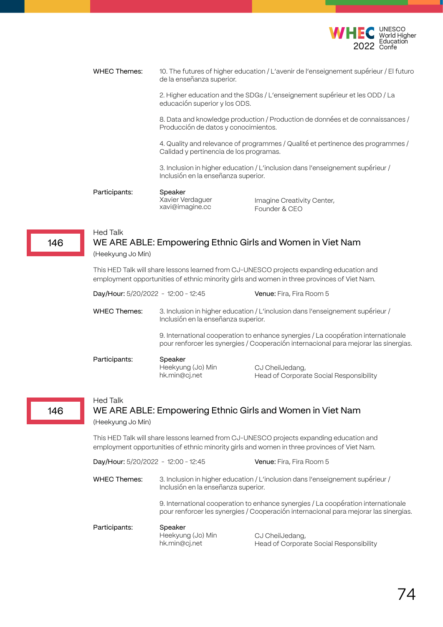

10. The futures of higher education / L'avenir de l'enseignement supérieur / El futuro de la enseñanza superior. WHEC Themes:

> 2. Higher education and the SDGs / L'enseignement supérieur et les ODD / La educación superior y los ODS.

8. Data and knowledge production / Production de données et de connaissances / Producción de datos y conocimientos.

4. Quality and relevance of programmes / Qualité et pertinence des programmes / Calidad y pertinencia de los programas.

3. Inclusion in higher education / L'inclusion dans l'enseignement supérieur / Inclusión en la enseñanza superior.

Participants:

Xavier Verdaguer xavi@imagine.cc

Speaker

Imagine Creativity Center, Founder & CEO

### 146

# Hed Talk WE ARE ABLE: Empowering Ethnic Girls and Women in Viet Nam

(Heekyung Jo Min)

This HED Talk will share lessons learned from CJ-UNESCO projects expanding education and employment opportunities of ethnic minority girls and women in three provinces of Viet Nam.

| Day/Hour: 5/20/2022 - 12:00 - 12:45 |                                                                                                                                                                                                                                                                                                    | <b>Venue:</b> Fira, Fira Room 5                            |
|-------------------------------------|----------------------------------------------------------------------------------------------------------------------------------------------------------------------------------------------------------------------------------------------------------------------------------------------------|------------------------------------------------------------|
| <b>WHEC Themes:</b>                 | 3. Inclusion in higher education / L'inclusion dans l'enseignement supérieur /<br>Inclusión en la enseñanza superior.<br>9. International cooperation to enhance synergies / La coopération internationale<br>pour renforcer les synergies / Cooperación internacional para mejorar las sinergias. |                                                            |
|                                     |                                                                                                                                                                                                                                                                                                    |                                                            |
| Participants:                       | Speaker<br>Heekyung (Jo) Min<br>hk.min@cj.net                                                                                                                                                                                                                                                      | CJ CheilJedang,<br>Head of Corporate Social Responsibility |

# 146

# Hed Talk WE ARE ABLE: Empowering Ethnic Girls and Women in Viet Nam (Heekyung Jo Min)

This HED Talk will share lessons learned from CJ-UNESCO projects expanding education and employment opportunities of ethnic minority girls and women in three provinces of Viet Nam.

| Day/Hour: 5/20/2022 - 12:00 - 12:45 |                                                                                                                       | <b>Venue:</b> Fira, Fira Room 5                                                                                                                                           |
|-------------------------------------|-----------------------------------------------------------------------------------------------------------------------|---------------------------------------------------------------------------------------------------------------------------------------------------------------------------|
| <b>WHEC Themes:</b>                 | 3. Inclusion in higher education / L'inclusion dans l'enseignement supérieur /<br>Inclusión en la enseñanza superior. |                                                                                                                                                                           |
|                                     |                                                                                                                       | 9. International cooperation to enhance synergies / La coopération internationale<br>pour renforcer les synergies / Cooperación internacional para mejorar las sinergias. |
| Participants:                       | Speaker<br>Heekyung (Jo) Min<br>hk.min@cj.net                                                                         | CJ CheilJedang,<br>Head of Corporate Social Responsibility                                                                                                                |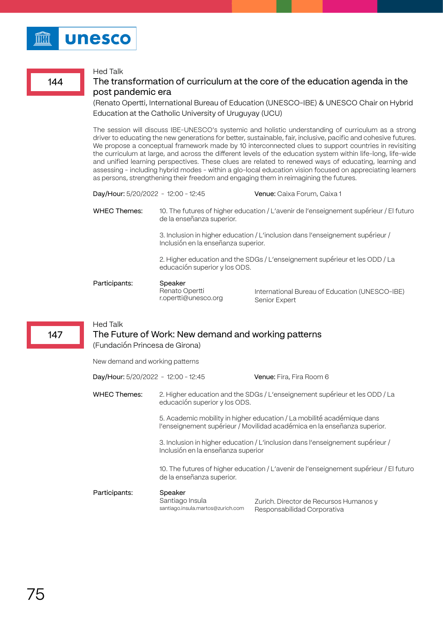### Hed Talk

144

# The transformation of curriculum at the core of the education agenda in the post pandemic era

(Renato Opertti, International Bureau of Education (UNESCO-IBE) & UNESCO Chair on Hybrid Education at the Catholic University of Uruguyay (UCU)

The session will discuss IBE-UNESCO's systemic and holistic understanding of curriculum as a strong driver to educating the new generations for better, sustainable, fair, inclusive, pacific and cohesive futures. We propose a conceptual framework made by 10 interconnected clues to support countries in revisiting the curriculum at large, and across the different levels of the education system within life-long, life-wide and unified learning perspectives. These clues are related to renewed ways of educating, learning and assessing - including hybrid modes - within a glo-local education vision focused on appreciating learners as persons, strengthening their freedom and engaging them in reimagining the futures.

| Day/Hour: $5/20/2022 - 12:00 - 12:45$ |                                                                                                                       | Venue: Caixa Forum, Caixa 1                                                 |
|---------------------------------------|-----------------------------------------------------------------------------------------------------------------------|-----------------------------------------------------------------------------|
| <b>WHEC Themes:</b>                   | 10. The futures of higher education / L'avenir de l'enseignement supérieur / El futuro<br>de la enseñanza superior.   |                                                                             |
|                                       | 3. Inclusion in higher education / L'inclusion dans l'enseignement supérieur /<br>Inclusión en la enseñanza superior. |                                                                             |
|                                       | educación superior y los ODS.                                                                                         | 2. Higher education and the SDGs / L'enseignement supérieur et les ODD / La |
| Participants:                         | Speaker<br>Renato Opertti<br>r.opertti@unesco.org                                                                     | International Bureau of Education (UNESCO-IBE)<br>Senior Expert             |

147

### Hed Talk

# The Future of Work: New demand and working patterns (Fundación Princesa de Girona)

New demand and working patterns

| Day/Hour: 5/20/2022 - 12:00 - 12:45 |                                                                                                                                                    | <b>Venue:</b> Fira, Fira Room 6                                             |
|-------------------------------------|----------------------------------------------------------------------------------------------------------------------------------------------------|-----------------------------------------------------------------------------|
| <b>WHEC Themes:</b>                 | educación superior y los ODS.                                                                                                                      | 2. Higher education and the SDGs / L'enseignement supérieur et les ODD / La |
|                                     | 5. Academic mobility in higher education / La mobilité académique dans<br>l'enseignement supérieur / Movilidad académica en la enseñanza superior. |                                                                             |
|                                     | 3. Inclusion in higher education / L'inclusion dans l'enseignement supérieur /<br>Inclusión en la enseñanza superior                               |                                                                             |
|                                     | 10. The futures of higher education / L'avenir de l'enseignement supérieur / El futuro<br>de la enseñanza superior.                                |                                                                             |
| Participants:                       | Speaker<br>Santiago Insula<br>santiago.insula.martos@zurich.com                                                                                    | Zurich. Director de Recursos Humanos y<br>Responsabilidad Corporativa       |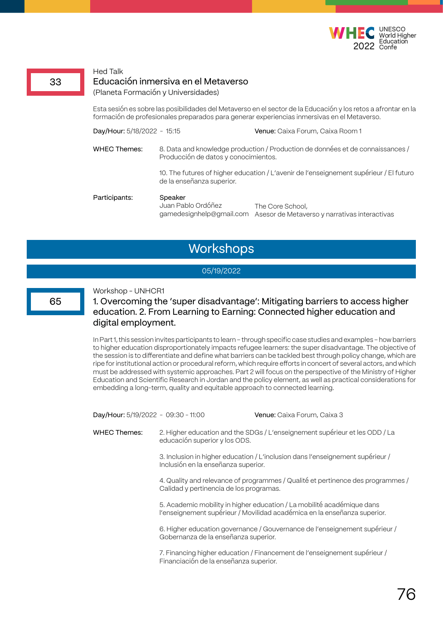

### Hed Talk

### Educación inmersiva en el Metaverso

(Planeta Formación y Universidades)

Esta sesión es sobre las posibilidades del Metaverso en el sector de la Educación y los retos a afrontar en la formación de profesionales preparados para generar experiencias inmersivas en el Metaverso.

| Day/Hour: 5/18/2022 - 15:15 |                                                                                                                        | Venue: Caixa Forum, Caixa Room 1                                                       |
|-----------------------------|------------------------------------------------------------------------------------------------------------------------|----------------------------------------------------------------------------------------|
| <b>WHEC Themes:</b>         | 8. Data and knowledge production / Production de données et de connaissances /<br>Producción de datos y conocimientos. |                                                                                        |
|                             | de la enseñanza superior.                                                                                              | 10. The futures of higher education / L'avenir de l'enseignement supérieur / El futuro |
| Participants:               | Speaker<br>Juan Pablo Ordóñez<br>gamedesignhelp@gmail.com                                                              | The Core School,<br>Asesor de Metaverso y narrativas interactivas                      |

# **Workshops**

### 05/19/2022

### 65

Workshop - UNHCR1

# 1. Overcoming the 'super disadvantage': Mitigating barriers to access higher education. 2. From Learning to Earning: Connected higher education and digital employment.

In Part 1, this session invites participants to learn – through specific case studies and examples – how barriers to higher education disproportionately impacts refugee learners: the super disadvantage. The objective of the session is to differentiate and define what barriers can be tackled best through policy change, which are ripe for institutional action or procedural reform, which require efforts in concert of several actors, and which must be addressed with systemic approaches. Part 2 will focus on the perspective of the Ministry of Higher Education and Scientific Research in Jordan and the policy element, as well as practical considerations for embedding a long-term, quality and equitable approach to connected learning.

2. Higher education and the SDGs / L'enseignement supérieur et les ODD / La educación superior y los ODS. 3. Inclusion in higher education / L'inclusion dans l'enseignement supérieur / Inclusión en la enseñanza superior. 4. Quality and relevance of programmes / Qualité et pertinence des programmes / Calidad y pertinencia de los programas. WHEC Themes: Day/Hour: 5/19/2022 - 09:30 - 11:00 Venue: Caixa Forum, Caixa 3

> 5. Academic mobility in higher education / La mobilité académique dans l'enseignement supérieur / Movilidad académica en la enseñanza superior.

6. Higher education governance / Gouvernance de l'enseignement supérieur / Gobernanza de la enseñanza superior.

7. Financing higher education / Financement de l'enseignement supérieur / Financiación de la enseñanza superior.

33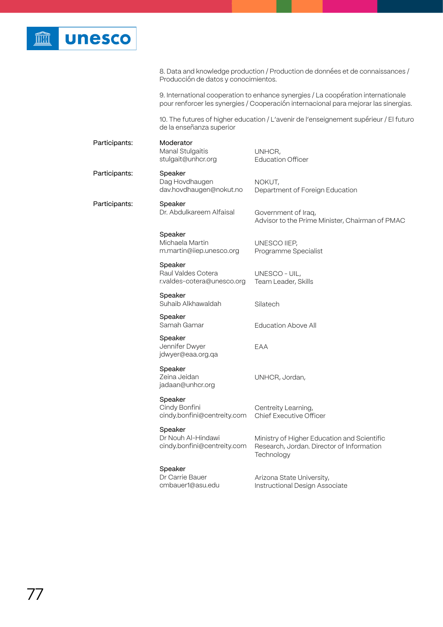

8. Data and knowledge production / Production de données et de connaissances / Producción de datos y conocimientos.

9. International cooperation to enhance synergies / La coopération internationale pour renforcer les synergies / Cooperación internacional para mejorar las sinergias.

10. The futures of higher education / L'avenir de l'enseignement supérieur / El futuro de la enseñanza superior

| Participants: | Moderator<br>Manal Stulgaitis<br>stulgait@unhcr.org          | UNHCR,<br><b>Education Officer</b>                                                                     |
|---------------|--------------------------------------------------------------|--------------------------------------------------------------------------------------------------------|
| Participants: | Speaker<br>Dag Hovdhaugen<br>dav.hovdhaugen@nokut.no         | NOKUT,<br>Department of Foreign Education                                                              |
| Participants: | Speaker<br>Dr. Abdulkareem Alfaisal                          | Government of Iraq,<br>Advisor to the Prime Minister, Chairman of PMAC                                 |
|               | Speaker<br>Michaela Martin<br>m.martin@iiep.unesco.org       | UNESCO IIEP,<br>Programme Specialist                                                                   |
|               | Speaker<br>Raul Valdes Cotera<br>r.valdes-cotera@unesco.org  | UNESCO - UIL,<br>Team Leader, Skills                                                                   |
|               | Speaker<br>Suhaib Alkhawaldah                                | Silatech                                                                                               |
|               | Speaker<br>Samah Gamar                                       | <b>Education Above All</b>                                                                             |
|               | Speaker<br>Jennifer Dwyer<br>jdwyer@eaa.org.qa               | EAA                                                                                                    |
|               | Speaker<br>Zeina Jeidan<br>jadaan@unhcr.org                  | UNHCR, Jordan,                                                                                         |
|               | Speaker<br>Cindy Bonfini<br>cindy.bonfini@centreity.com      | Centreity Learning,<br><b>Chief Executive Officer</b>                                                  |
|               | Speaker<br>Dr Nouh Al-Hindawi<br>cindy.bonfini@centreity.com | Ministry of Higher Education and Scientific<br>Research, Jordan. Director of Information<br>Technology |
|               | Speaker<br>Dr Carrie Bauer<br>cmbauer1@asu.edu               | Arizona State University,<br>Instructional Design Associate                                            |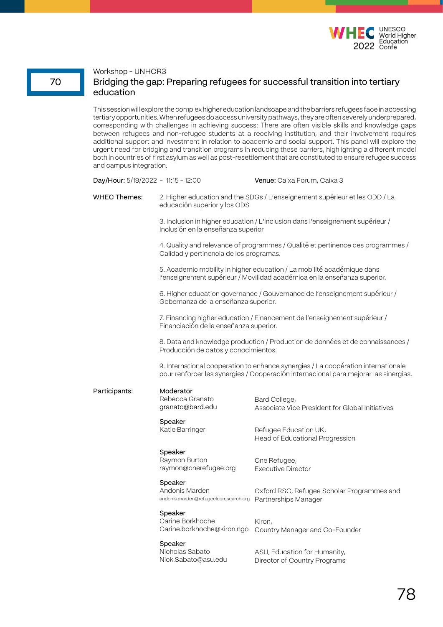

### Workshop - UNHCR3

70

# Bridging the gap: Preparing refugees for successful transition into tertiary education

This session will explore the complex higher education landscape and the barriers refugees face in accessing tertiary opportunities. When refugees do access university pathways, they are often severely underprepared, corresponding with challenges in achieving success: There are often visible skills and knowledge gaps between refugees and non-refugee students at a receiving institution, and their involvement requires additional support and investment in relation to academic and social support. This panel will explore the urgent need for bridging and transition programs in reducing these barriers, highlighting a different model both in countries of first asylum as well as post-resettlement that are constituted to ensure refugee success and campus integration.

| Day/Hour: 5/19/2022 - 11:15 - 12:00 |                                                                                                                                                                           | Venue: Caixa Forum, Caixa 3                                                                                                                        |  |
|-------------------------------------|---------------------------------------------------------------------------------------------------------------------------------------------------------------------------|----------------------------------------------------------------------------------------------------------------------------------------------------|--|
| <b>WHEC Themes:</b>                 | 2. Higher education and the SDGs / L'enseignement supérieur et les ODD / La<br>educación superior y los ODS                                                               |                                                                                                                                                    |  |
|                                     | Inclusión en la enseñanza superior                                                                                                                                        | 3. Inclusion in higher education / L'inclusion dans l'enseignement supérieur /                                                                     |  |
|                                     | 4. Quality and relevance of programmes / Qualité et pertinence des programmes /<br>Calidad y pertinencia de los programas.                                                |                                                                                                                                                    |  |
|                                     |                                                                                                                                                                           | 5. Academic mobility in higher education / La mobilité académique dans<br>l'enseignement supérieur / Movilidad académica en la enseñanza superior. |  |
|                                     | Gobernanza de la enseñanza superior.                                                                                                                                      | 6. Higher education governance / Gouvernance de l'enseignement supérieur /                                                                         |  |
|                                     | Financiación de la enseñanza superior.                                                                                                                                    | 7. Financing higher education / Financement de l'enseignement supérieur /                                                                          |  |
|                                     | 8. Data and knowledge production / Production de données et de connaissances /<br>Producción de datos y conocimientos.                                                    |                                                                                                                                                    |  |
|                                     | 9. International cooperation to enhance synergies / La coopération internationale<br>pour renforcer les synergies / Cooperación internacional para mejorar las sinergias. |                                                                                                                                                    |  |
| Participants:                       | Moderator<br>Rebecca Granato<br>granato@bard.edu                                                                                                                          | Bard College,<br>Associate Vice President for Global Initiatives                                                                                   |  |
|                                     | Speaker<br>Katie Barringer                                                                                                                                                | Refugee Education UK,<br>Head of Educational Progression                                                                                           |  |
|                                     | Speaker<br>Raymon Burton<br>raymon@onerefugee.org                                                                                                                         | One Refugee,<br><b>Executive Director</b>                                                                                                          |  |
|                                     | Speaker<br>Andonis Marden<br>andonis.marden@refugeeledresearch.org    Partnerships Manager                                                                                | Oxford RSC, Refugee Scholar Programmes and                                                                                                         |  |
|                                     | Speaker<br>Carine Borkhoche<br>Carine.borkhoche@kiron.ngo                                                                                                                 | Kiron,<br>Country Manager and Co-Founder                                                                                                           |  |
|                                     | Speaker<br>Nicholas Sabato<br>Nick.Sabato@asu.edu                                                                                                                         | ASU, Education for Humanity,<br>Director of Country Programs                                                                                       |  |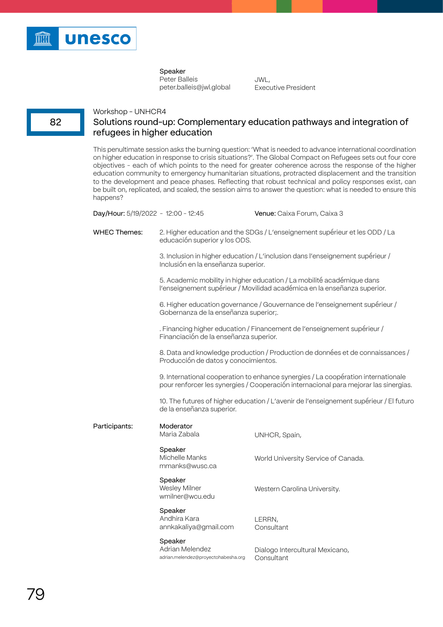

Speaker Peter Balleis peter.balleis@jwl.global

JWL, Executive President

# Workshop - UNHCR4 Solutions round-up: Complementary education pathways and integration of refugees in higher education

This penultimate session asks the burning question: 'What is needed to advance international coordination on higher education in response to crisis situations?'. The Global Compact on Refugees sets out four core objectives - each of which points to the need for greater coherence across the response of the higher education community to emergency humanitarian situations, protracted displacement and the transition to the development and peace phases. Reflecting that robust technical and policy responses exist, can be built on, replicated, and scaled, the session aims to answer the question: what is needed to ensure this happens?

| Day/Hour: 5/19/2022 - 12:00 - 12:45 |                                                                                                                                                                                                                                                                                                  | <b>Venue:</b> Caixa Forum, Caixa 3                                                                                                                 |  |
|-------------------------------------|--------------------------------------------------------------------------------------------------------------------------------------------------------------------------------------------------------------------------------------------------------------------------------------------------|----------------------------------------------------------------------------------------------------------------------------------------------------|--|
| <b>WHEC Themes:</b>                 | 2. Higher education and the SDGs / L'enseignement supérieur et les ODD / La<br>educación superior y los ODS.                                                                                                                                                                                     |                                                                                                                                                    |  |
|                                     | Inclusión en la enseñanza superior.                                                                                                                                                                                                                                                              | 3. Inclusion in higher education / L'inclusion dans l'enseignement supérieur /                                                                     |  |
|                                     |                                                                                                                                                                                                                                                                                                  | 5. Academic mobility in higher education / La mobilité académique dans<br>l'enseignement supérieur / Movilidad académica en la enseñanza superior. |  |
|                                     | 6. Higher education governance / Gouvernance de l'enseignement supérieur /<br>Gobernanza de la enseñanza superior;.                                                                                                                                                                              |                                                                                                                                                    |  |
|                                     | . Financing higher education / Financement de l'enseignement supérieur /<br>Financiación de la enseñanza superior.                                                                                                                                                                               |                                                                                                                                                    |  |
|                                     | 8. Data and knowledge production / Production de données et de connaissances /<br>Producción de datos y conocimientos.                                                                                                                                                                           |                                                                                                                                                    |  |
|                                     | 9. International cooperation to enhance synergies / La coopération internationale<br>pour renforcer les synergies / Cooperación internacional para mejorar las sinergias.<br>10. The futures of higher education / L'avenir de l'enseignement supérieur / El futuro<br>de la enseñanza superior. |                                                                                                                                                    |  |
|                                     |                                                                                                                                                                                                                                                                                                  |                                                                                                                                                    |  |
| Participants:                       | Moderator<br>Maria Zabala                                                                                                                                                                                                                                                                        | UNHCR, Spain,                                                                                                                                      |  |
|                                     | Speaker<br>Michelle Manks<br>mmanks@wusc.ca                                                                                                                                                                                                                                                      | World University Service of Canada.                                                                                                                |  |
|                                     | Speaker<br>Wesley Milner<br>wmilner@wcu.edu                                                                                                                                                                                                                                                      | Western Carolina University.                                                                                                                       |  |
|                                     | Speaker<br>Andhira Kara<br>annkakaliya@gmail.com                                                                                                                                                                                                                                                 | LERRN,<br>Consultant                                                                                                                               |  |
|                                     | Speaker<br>Adrian Melendez<br>adrian.melendez@proyectohabesha.org                                                                                                                                                                                                                                | Dialogo Intercultural Mexicano,<br>Consultant                                                                                                      |  |
|                                     |                                                                                                                                                                                                                                                                                                  |                                                                                                                                                    |  |

82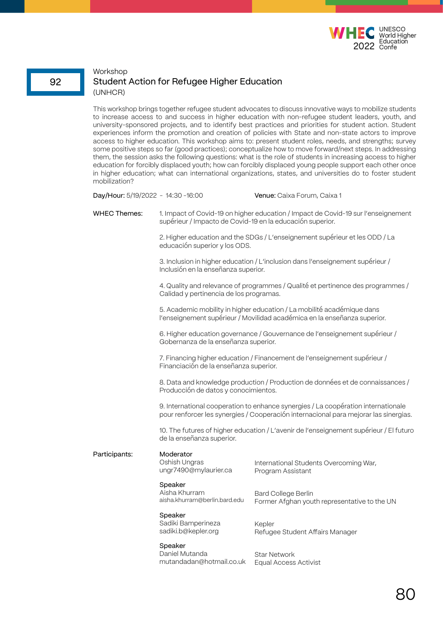

# Workshop Student Action for Refugee Higher Education (UNHCR)

This workshop brings together refugee student advocates to discuss innovative ways to mobilize students to increase access to and success in higher education with non-refugee student leaders, youth, and university-sponsored projects, and to identify best practices and priorities for student action. Student experiences inform the promotion and creation of policies with State and non-state actors to improve access to higher education. This workshop aims to: present student roles, needs, and strengths; survey some positive steps so far (good practices); conceptualize how to move forward/next steps. In addressing them, the session asks the following questions: what is the role of students in increasing access to higher education for forcibly displaced youth; how can forcibly displaced young people support each other once in higher education; what can international organizations, states, and universities do to foster student mobilization?

Day/Hour: 5/19/2022 - 14:30 -16:00 Venue: Caixa Forum, Caixa 1

1. Impact of Covid-19 on higher education / Impact de Covid-19 sur l'enseignement supérieur / Impacto de Covid-19 en la educación superior. WHEC Themes:

> 2. Higher education and the SDGs / L'enseignement supérieur et les ODD / La educación superior y los ODS.

3. Inclusion in higher education / L'inclusion dans l'enseignement supérieur / Inclusión en la enseñanza superior.

4. Quality and relevance of programmes / Qualité et pertinence des programmes / Calidad y pertinencia de los programas.

5. Academic mobility in higher education / La mobilité académique dans l'enseignement supérieur / Movilidad académica en la enseñanza superior.

6. Higher education governance / Gouvernance de l'enseignement supérieur / Gobernanza de la enseñanza superior.

7. Financing higher education / Financement de l'enseignement supérieur / Financiación de la enseñanza superior.

8. Data and knowledge production / Production de données et de connaissances / Producción de datos y conocimientos.

9. International cooperation to enhance synergies / La coopération internationale pour renforcer les synergies / Cooperación internacional para mejorar las sinergias.

10. The futures of higher education / L'avenir de l'enseignement supérieur / El futuro de la enseñanza superior.

**Moderator** Oshish Ungras ungr7490@mylaurier.ca Speaker Aisha Khurram aisha.khurram@berlin.bard.edu Speaker International Students Overcoming War, Program Assistant Bard College Berlin Former Afghan youth representative to the UN Participants:

Sadiki Bamperineza sadiki.b@kepler.org

Kepler Refugee Student Affairs Manager

Speaker Daniel Mutanda mutandadan@hotmail.co.uk

Star Network Equal Access Activist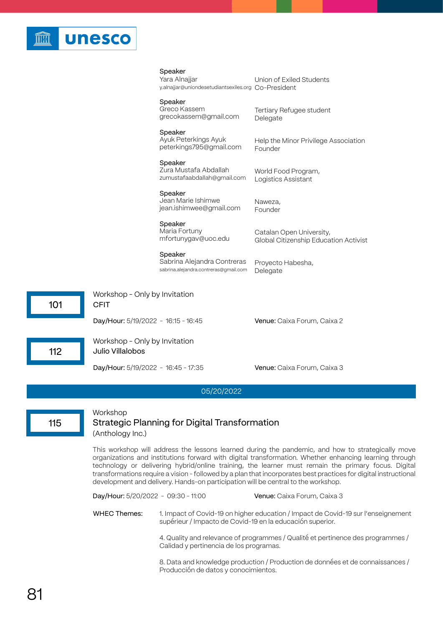

This workshop will address the lessons learned during the pandemic, and how to strategically move organizations and institutions forward with digital transformation. Whether enhancing learning through technology or delivering hybrid/online training, the learner must remain the primary focus. Digital transformations require a vision - followed by a plan that incorporates best practices for digital instructional development and delivery. Hands-on participation will be central to the workshop.

| Day/Hour: 5/20/2022 - 09:30 - 11:00     |                                                                                                                                                | Venue: Caixa Forum, Caixa 3                                                     |
|-----------------------------------------|------------------------------------------------------------------------------------------------------------------------------------------------|---------------------------------------------------------------------------------|
| WHEC Themes:                            | 1. Impact of Covid-19 on higher education / Impact de Covid-19 sur l'enseignement<br>supérieur / Impacto de Covid-19 en la educación superior. |                                                                                 |
| Calidad y pertinencia de los programas. |                                                                                                                                                | 4. Quality and relevance of programmes / Qualité et pertinence des programmes / |
|                                         | Producción de datos y conocimientos.                                                                                                           | 8. Data and knowledge production / Production de données et de connaissances /  |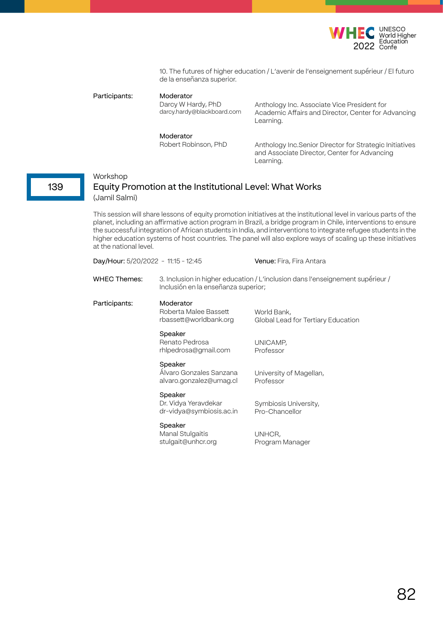

10. The futures of higher education / L'avenir de l'enseignement supérieur / El futuro de la enseñanza superior.

Participants:

### Moderator

Darcy W Hardy, PhD darcy.hardy@blackboard.com Anthology Inc. Associate Vice President for Academic Affairs and Director, Center for Advancing Learning.

**Moderator**<br>Robert Robinson, PhD

Anthology Inc.Senior Director for Strategic Initiatives and Associate Director, Center for Advancing Learning.

### Workshop

Equity Promotion at the Institutional Level: What Works (Jamil Salmi)

This session will share lessons of equity promotion initiatives at the institutional level in various parts of the planet, including an affirmative action program in Brazil, a bridge program in Chile, interventions to ensure the successful integration of African students in India, and interventions to integrate refugee students in the higher education systems of host countries. The panel will also explore ways of scaling up these initiatives at the national level.

| Day/Hour: 5/20/2022 - 11:15 - 12:45 |                                                               | <b>Venue:</b> Fira, Fira Antara                                                |
|-------------------------------------|---------------------------------------------------------------|--------------------------------------------------------------------------------|
| WHEC Themes:                        | Inclusión en la enseñanza superior;                           | 3. Inclusion in higher education / L'inclusion dans l'enseignement supérieur / |
| Participants:                       | Moderator<br>Roberta Malee Bassett<br>rbassett@worldbank.org  | World Bank,<br>Global Lead for Tertiary Education                              |
|                                     | Speaker<br>Renato Pedrosa<br>rhlpedrosa@gmail.com             | UNICAMP,<br>Professor                                                          |
|                                     | Speaker<br>Álvaro Gonzales Sanzana<br>alvaro.gonzalez@umag.cl | University of Magellan,<br>Professor                                           |
|                                     | Speaker<br>Dr. Vidya Yeravdekar<br>dr-vidya@symbiosis.ac.in   | Symbiosis University,<br>Pro-Chancellor                                        |
|                                     | Speaker<br>Manal Stulgaitis<br>stulgait@unhcr.org             | UNHCR,<br>Program Manager                                                      |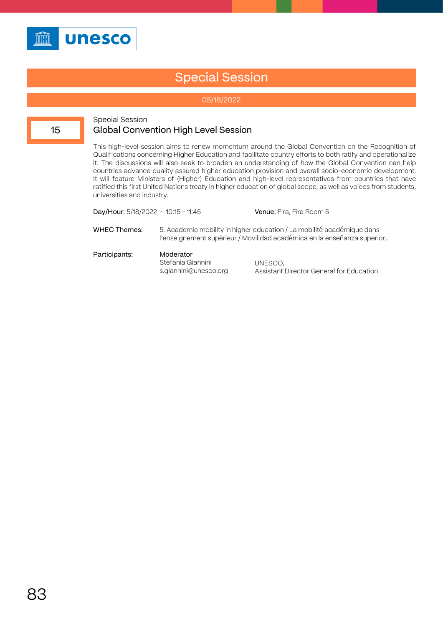

# Special Session

# 05/18/2022

15

# Special Session Global Convention High Level Session

This high-level session aims to renew momentum around the Global Convention on the Recognition of Qualifications concerning Higher Education and facilitate country efforts to both ratify and operationalize it. The discussions will also seek to broaden an understanding of how the Global Convention can help countries advance quality assured higher education provision and overall socio-economic development. It will feature Ministers of (Higher) Education and high-level representatives from countries that have ratified this first United Nations treaty in higher education of global scope, as well as voices from students, universities and industry.

| Day/Hour: 5/18/2022 - 10:15 - 11:45 |                                                         | <b>Venue:</b> Fira, Fira Room 5                                                                                                                    |
|-------------------------------------|---------------------------------------------------------|----------------------------------------------------------------------------------------------------------------------------------------------------|
| <b>WHEC Themes:</b>                 |                                                         | 5. Academic mobility in higher education / La mobilité académique dans<br>l'enseignement supérieur / Movilidad académica en la enseñanza superior; |
| Participants:                       | Moderator<br>Stefania Giannini<br>s.giannini@unesco.org | UNESCO,<br>Assistant Director General for Education                                                                                                |